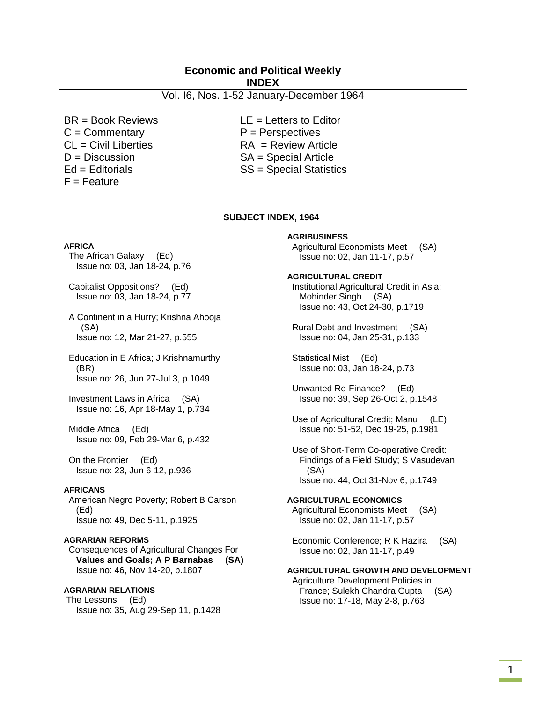| <b>Economic and Political Weekly</b><br><b>INDEX</b>                                                                        |                                                                                                                                     |
|-----------------------------------------------------------------------------------------------------------------------------|-------------------------------------------------------------------------------------------------------------------------------------|
| Vol. 16, Nos. 1-52 January-December 1964                                                                                    |                                                                                                                                     |
| $BR = Book Reviews$<br>$C =$ Commentary<br>$CL = Civil$ Liberties<br>$D = Discussion$<br>$Ed =$ Editorials<br>$F =$ Feature | $LE = Letters to Editor$<br>$P =$ Perspectives<br>$RA = Review Article$<br>$SA = Special Article$<br><b>SS</b> = Special Statistics |

#### **SUBJECT INDEX, 1964**

#### **AFRICA**

 The African Galaxy (Ed) Issue no: 03, Jan 18-24, p.76

 Capitalist Oppositions? (Ed) Issue no: 03, Jan 18-24, p.77

 A Continent in a Hurry; Krishna Ahooja (SA) Issue no: 12, Mar 21-27, p.555

 Education in E Africa; J Krishnamurthy (BR) Issue no: 26, Jun 27-Jul 3, p.1049

 Investment Laws in Africa (SA) Issue no: 16, Apr 18-May 1, p.734

 Middle Africa (Ed) Issue no: 09, Feb 29-Mar 6, p.432

 On the Frontier (Ed) Issue no: 23, Jun 6-12, p.936

#### **AFRICANS**

 American Negro Poverty; Robert B Carson (Ed) Issue no: 49, Dec 5-11, p.1925

#### **AGRARIAN REFORMS**

 Consequences of Agricultural Changes For  **Values and Goals; A P Barnabas (SA)**  Issue no: 46, Nov 14-20, p.1807

### **AGRARIAN RELATIONS**

 The Lessons (Ed) Issue no: 35, Aug 29-Sep 11, p.1428

#### **AGRIBUSINESS**

 Agricultural Economists Meet (SA) Issue no: 02, Jan 11-17, p.57

#### **AGRICULTURAL CREDIT**

 Institutional Agricultural Credit in Asia; Mohinder Singh (SA) Issue no: 43, Oct 24-30, p.1719

 Rural Debt and Investment (SA) Issue no: 04, Jan 25-31, p.133

 Statistical Mist (Ed) Issue no: 03, Jan 18-24, p.73

 Unwanted Re-Finance? (Ed) Issue no: 39, Sep 26-Oct 2, p.1548

 Use of Agricultural Credit; Manu (LE) Issue no: 51-52, Dec 19-25, p.1981

 Use of Short-Term Co-operative Credit: Findings of a Field Study; S Vasudevan (SA) Issue no: 44, Oct 31-Nov 6, p.1749

#### **AGRICULTURAL ECONOMICS**  Agricultural Economists Meet (SA) Issue no: 02, Jan 11-17, p.57

 Economic Conference; R K Hazira (SA) Issue no: 02, Jan 11-17, p.49

### **AGRICULTURAL GROWTH AND DEVELOPMENT**

 Agriculture Development Policies in France; Sulekh Chandra Gupta (SA) Issue no: 17-18, May 2-8, p.763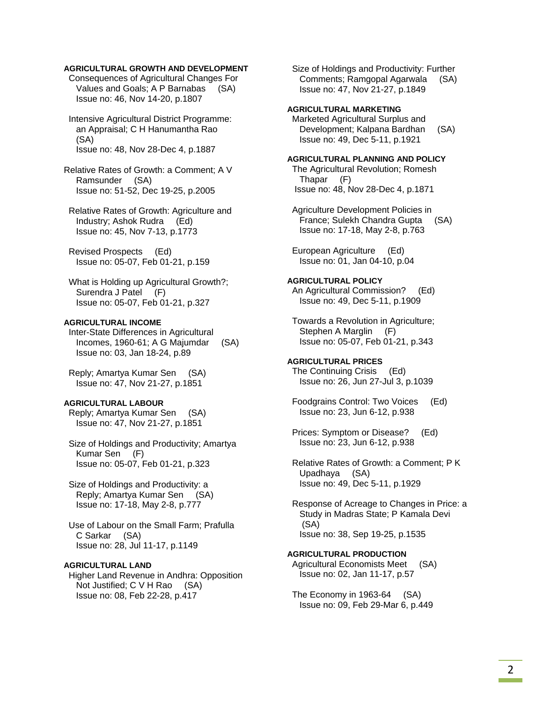## **AGRICULTURAL GROWTH AND DEVELOPMENT**

 Consequences of Agricultural Changes For Values and Goals; A P Barnabas (SA) Issue no: 46, Nov 14-20, p.1807

 Intensive Agricultural District Programme: an Appraisal; C H Hanumantha Rao (SA) Issue no: 48, Nov 28-Dec 4, p.1887

Relative Rates of Growth: a Comment; A V Ramsunder (SA) Issue no: 51-52, Dec 19-25, p.2005

 Relative Rates of Growth: Agriculture and Industry; Ashok Rudra (Ed) Issue no: 45, Nov 7-13, p.1773

 Revised Prospects (Ed) Issue no: 05-07, Feb 01-21, p.159

 What is Holding up Agricultural Growth?; Surendra J Patel (F) Issue no: 05-07, Feb 01-21, p.327

### **AGRICULTURAL INCOME**

 Inter-State Differences in Agricultural Incomes, 1960-61; A G Majumdar (SA) Issue no: 03, Jan 18-24, p.89

 Reply; Amartya Kumar Sen (SA) Issue no: 47, Nov 21-27, p.1851

### **AGRICULTURAL LABOUR**

 Reply; Amartya Kumar Sen (SA) Issue no: 47, Nov 21-27, p.1851

 Size of Holdings and Productivity; Amartya Kumar Sen (F) Issue no: 05-07, Feb 01-21, p.323

 Size of Holdings and Productivity: a Reply; Amartya Kumar Sen (SA) Issue no: 17-18, May 2-8, p.777

 Use of Labour on the Small Farm; Prafulla C Sarkar (SA) Issue no: 28, Jul 11-17, p.1149

### **AGRICULTURAL LAND**

 Higher Land Revenue in Andhra: Opposition Not Justified; C V H Rao (SA) Issue no: 08, Feb 22-28, p.417

 Size of Holdings and Productivity: Further Comments; Ramgopal Agarwala (SA) Issue no: 47, Nov 21-27, p.1849

### **AGRICULTURAL MARKETING**

 Marketed Agricultural Surplus and Development; Kalpana Bardhan (SA) Issue no: 49, Dec 5-11, p.1921

#### **AGRICULTURAL PLANNING AND POLICY**  The Agricultural Revolution; Romesh Thapar (F) Issue no: 48, Nov 28-Dec 4, p.1871

 Agriculture Development Policies in France; Sulekh Chandra Gupta (SA) Issue no: 17-18, May 2-8, p.763

 European Agriculture (Ed) Issue no: 01, Jan 04-10, p.04

#### **AGRICULTURAL POLICY**

 An Agricultural Commission? (Ed) Issue no: 49, Dec 5-11, p.1909

 Towards a Revolution in Agriculture; Stephen A Marglin (F) Issue no: 05-07, Feb 01-21, p.343

### **AGRICULTURAL PRICES**

 The Continuing Crisis (Ed) Issue no: 26, Jun 27-Jul 3, p.1039

 Foodgrains Control: Two Voices (Ed) Issue no: 23, Jun 6-12, p.938

 Prices: Symptom or Disease? (Ed) Issue no: 23, Jun 6-12, p.938

 Relative Rates of Growth: a Comment; P K Upadhaya (SA) Issue no: 49, Dec 5-11, p.1929

 Response of Acreage to Changes in Price: a Study in Madras State; P Kamala Devi (SA) Issue no: 38, Sep 19-25, p.1535

### **AGRICULTURAL PRODUCTION**  Agricultural Economists Meet (SA)

 Issue no: 02, Jan 11-17, p.57 The Economy in 1963-64 (SA)

Issue no: 09, Feb 29-Mar 6, p.449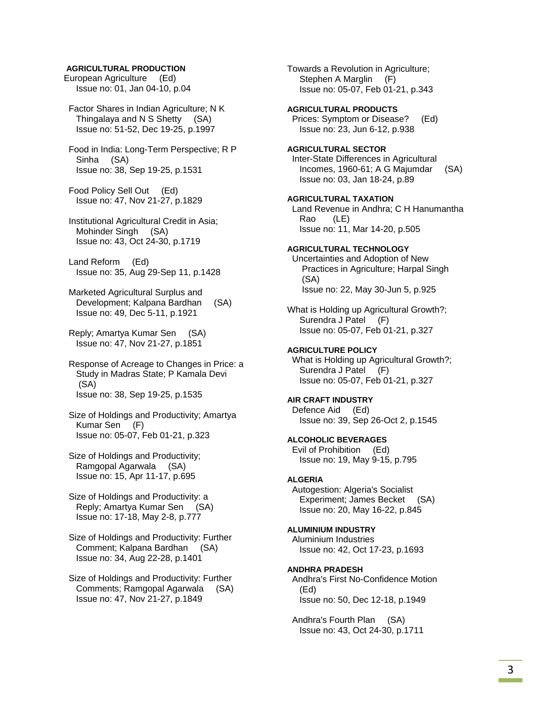#### **AGRICULTURAL PRODUCTION**

European Agriculture (Ed) Issue no: 01, Jan 04-10, p.04

 Factor Shares in Indian Agriculture; N K Thingalaya and N S Shetty (SA) Issue no: 51-52, Dec 19-25, p.1997

 Food in India: Long-Term Perspective; R P Sinha (SA) Issue no: 38, Sep 19-25, p.1531

 Food Policy Sell Out (Ed) Issue no: 47, Nov 21-27, p.1829

 Institutional Agricultural Credit in Asia; Mohinder Singh (SA) Issue no: 43, Oct 24-30, p.1719

 Land Reform (Ed) Issue no: 35, Aug 29-Sep 11, p.1428

 Marketed Agricultural Surplus and Development; Kalpana Bardhan (SA) Issue no: 49, Dec 5-11, p.1921

 Reply; Amartya Kumar Sen (SA) Issue no: 47, Nov 21-27, p.1851

 Response of Acreage to Changes in Price: a Study in Madras State; P Kamala Devi (SA) Issue no: 38, Sep 19-25, p.1535

 Size of Holdings and Productivity; Amartya Kumar Sen (F) Issue no: 05-07, Feb 01-21, p.323

 Size of Holdings and Productivity; Ramgopal Agarwala (SA) Issue no: 15, Apr 11-17, p.695

 Size of Holdings and Productivity: a Reply; Amartya Kumar Sen (SA) Issue no: 17-18, May 2-8, p.777

 Size of Holdings and Productivity: Further Comment; Kalpana Bardhan (SA) Issue no: 34, Aug 22-28, p.1401

 Size of Holdings and Productivity: Further Comments; Ramgopal Agarwala (SA) Issue no: 47, Nov 21-27, p.1849

Towards a Revolution in Agriculture; Stephen A Marglin (F) Issue no: 05-07, Feb 01-21, p.343 **AGRICULTURAL PRODUCTS**  Prices: Symptom or Disease? (Ed) Issue no: 23, Jun 6-12, p.938 **AGRICULTURAL SECTOR**  Inter-State Differences in Agricultural Incomes, 1960-61; A G Majumdar (SA) Issue no: 03, Jan 18-24, p.89 **AGRICULTURAL TAXATION**  Land Revenue in Andhra; C H Hanumantha Rao (LE) Issue no: 11, Mar 14-20, p.505 **AGRICULTURAL TECHNOLOGY**  Uncertainties and Adoption of New Practices in Agriculture; Harpal Singh (SA) Issue no: 22, May 30-Jun 5, p.925 What is Holding up Agricultural Growth?; Surendra J Patel (F) Issue no: 05-07, Feb 01-21, p.327 **AGRICULTURE POLICY**  What is Holding up Agricultural Growth?; Surendra J Patel (F) Issue no: 05-07, Feb 01-21, p.327 **AIR CRAFT INDUSTRY**  Defence Aid (Ed) Issue no: 39, Sep 26-Oct 2, p.1545 **ALCOHOLIC BEVERAGES**  Evil of Prohibition (Ed) Issue no: 19, May 9-15, p.795 **ALGERIA**  Autogestion: Algeria's Socialist Experiment; James Becket (SA) Issue no: 20, May 16-22, p.845 **ALUMINIUM INDUSTRY**  Aluminium Industries Issue no: 42, Oct 17-23, p.1693 **ANDHRA PRADESH**  Andhra's First No-Confidence Motion (Ed) Issue no: 50, Dec 12-18, p.1949 Andhra's Fourth Plan (SA)

Issue no: 43, Oct 24-30, p.1711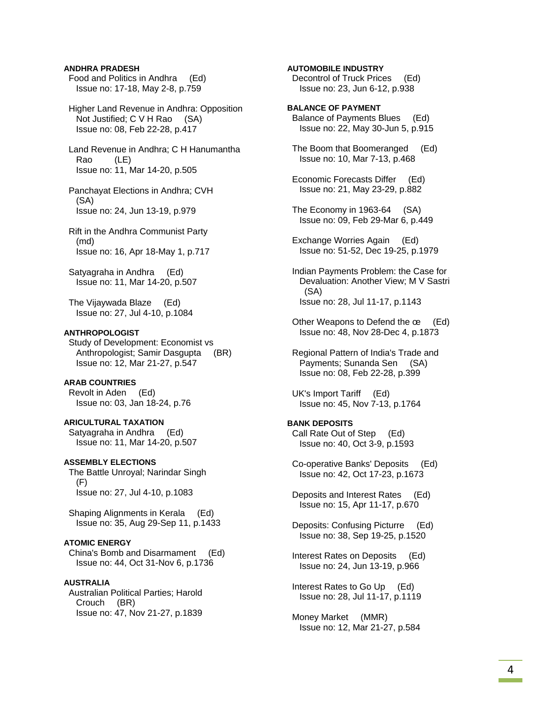### **ANDHRA PRADESH**

 Food and Politics in Andhra (Ed) Issue no: 17-18, May 2-8, p.759

 Higher Land Revenue in Andhra: Opposition Not Justified; C V H Rao (SA) Issue no: 08, Feb 22-28, p.417

 Land Revenue in Andhra; C H Hanumantha Rao (LE) Issue no: 11, Mar 14-20, p.505

 Panchayat Elections in Andhra; CVH (SA) Issue no: 24, Jun 13-19, p.979

 Rift in the Andhra Communist Party (md) Issue no: 16, Apr 18-May 1, p.717

 Satyagraha in Andhra (Ed) Issue no: 11, Mar 14-20, p.507

 The Vijaywada Blaze (Ed) Issue no: 27, Jul 4-10, p.1084

#### **ANTHROPOLOGIST**

 Study of Development: Economist vs Anthropologist; Samir Dasgupta (BR) Issue no: 12, Mar 21-27, p.547

### **ARAB COUNTRIES**

 Revolt in Aden (Ed) Issue no: 03, Jan 18-24, p.76

**ARICULTURAL TAXATION**  Satyagraha in Andhra (Ed) Issue no: 11, Mar 14-20, p.507

#### **ASSEMBLY ELECTIONS**

 The Battle Unroyal; Narindar Singh  $(F)$ Issue no: 27, Jul 4-10, p.1083

 Shaping Alignments in Kerala (Ed) Issue no: 35, Aug 29-Sep 11, p.1433

#### **ATOMIC ENERGY**

 China's Bomb and Disarmament (Ed) Issue no: 44, Oct 31-Nov 6, p.1736

### **AUSTRALIA**

 Australian Political Parties; Harold Crouch (BR) Issue no: 47, Nov 21-27, p.1839

#### **AUTOMOBILE INDUSTRY**

 Decontrol of Truck Prices (Ed) Issue no: 23, Jun 6-12, p.938

### **BALANCE OF PAYMENT**

- Balance of Payments Blues (Ed) Issue no: 22, May 30-Jun 5, p.915
- The Boom that Boomeranged (Ed) Issue no: 10, Mar 7-13, p.468
- Economic Forecasts Differ (Ed) Issue no: 21, May 23-29, p.882
- The Economy in 1963-64 (SA) Issue no: 09, Feb 29-Mar 6, p.449
- Exchange Worries Again (Ed) Issue no: 51-52, Dec 19-25, p.1979
- Indian Payments Problem: the Case for Devaluation: Another View; M V Sastri (SA) Issue no: 28, Jul 11-17, p.1143
- Other Weapons to Defend the œ (Ed) Issue no: 48, Nov 28-Dec 4, p.1873

 Regional Pattern of India's Trade and Payments; Sunanda Sen (SA) Issue no: 08, Feb 22-28, p.399

 UK's Import Tariff (Ed) Issue no: 45, Nov 7-13, p.1764

#### **BANK DEPOSITS**

 Call Rate Out of Step (Ed) Issue no: 40, Oct 3-9, p.1593

 Co-operative Banks' Deposits (Ed) Issue no: 42, Oct 17-23, p.1673

 Deposits and Interest Rates (Ed) Issue no: 15, Apr 11-17, p.670

 Deposits: Confusing Picturre (Ed) Issue no: 38, Sep 19-25, p.1520

 Interest Rates on Deposits (Ed) Issue no: 24, Jun 13-19, p.966

 Interest Rates to Go Up (Ed) Issue no: 28, Jul 11-17, p.1119

 Money Market (MMR) Issue no: 12, Mar 21-27, p.584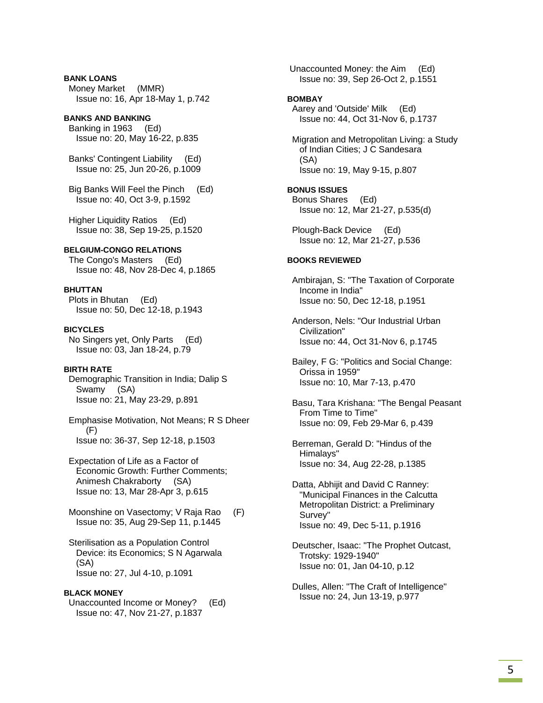**BANK LOANS**  Money Market (MMR) Issue no: 16, Apr 18-May 1, p.742

**BANKS AND BANKING**  Banking in 1963 (Ed) Issue no: 20, May 16-22, p.835

 Banks' Contingent Liability (Ed) Issue no: 25, Jun 20-26, p.1009

 Big Banks Will Feel the Pinch (Ed) Issue no: 40, Oct 3-9, p.1592

 Higher Liquidity Ratios (Ed) Issue no: 38, Sep 19-25, p.1520

**BELGIUM-CONGO RELATIONS**  The Congo's Masters (Ed) Issue no: 48, Nov 28-Dec 4, p.1865

**BHUTTAN** 

 Plots in Bhutan (Ed) Issue no: 50, Dec 12-18, p.1943

**BICYCLES**  No Singers yet, Only Parts (Ed)

Issue no: 03, Jan 18-24, p.79

**BIRTH RATE** 

 Demographic Transition in India; Dalip S Swamy (SA) Issue no: 21, May 23-29, p.891

 Emphasise Motivation, Not Means; R S Dheer (F) Issue no: 36-37, Sep 12-18, p.1503

 Expectation of Life as a Factor of Economic Growth: Further Comments; Animesh Chakraborty (SA) Issue no: 13, Mar 28-Apr 3, p.615

Moonshine on Vasectomy; V Raja Rao (F) Issue no: 35, Aug 29-Sep 11, p.1445

 Sterilisation as a Population Control Device: its Economics; S N Agarwala (SA) Issue no: 27, Jul 4-10, p.1091

#### **BLACK MONEY**

 Unaccounted Income or Money? (Ed) Issue no: 47, Nov 21-27, p.1837

 Unaccounted Money: the Aim (Ed) Issue no: 39, Sep 26-Oct 2, p.1551

#### **BOMBAY**

 Aarey and 'Outside' Milk (Ed) Issue no: 44, Oct 31-Nov 6, p.1737

 Migration and Metropolitan Living: a Study of Indian Cities; J C Sandesara (SA) Issue no: 19, May 9-15, p.807

**BONUS ISSUES** 

 Bonus Shares (Ed) Issue no: 12, Mar 21-27, p.535(d)

 Plough-Back Device (Ed) Issue no: 12, Mar 21-27, p.536

#### **BOOKS REVIEWED**

 Ambirajan, S: "The Taxation of Corporate Income in India" Issue no: 50, Dec 12-18, p.1951

 Anderson, Nels: "Our Industrial Urban Civilization" Issue no: 44, Oct 31-Nov 6, p.1745

 Bailey, F G: "Politics and Social Change: Orissa in 1959" Issue no: 10, Mar 7-13, p.470

 Basu, Tara Krishana: "The Bengal Peasant From Time to Time" Issue no: 09, Feb 29-Mar 6, p.439

 Berreman, Gerald D: "Hindus of the Himalays" Issue no: 34, Aug 22-28, p.1385

 Datta, Abhijit and David C Ranney: "Municipal Finances in the Calcutta Metropolitan District: a Preliminary Survey" Issue no: 49, Dec 5-11, p.1916

 Deutscher, Isaac: "The Prophet Outcast, Trotsky: 1929-1940" Issue no: 01, Jan 04-10, p.12

 Dulles, Allen: "The Craft of Intelligence" Issue no: 24, Jun 13-19, p.977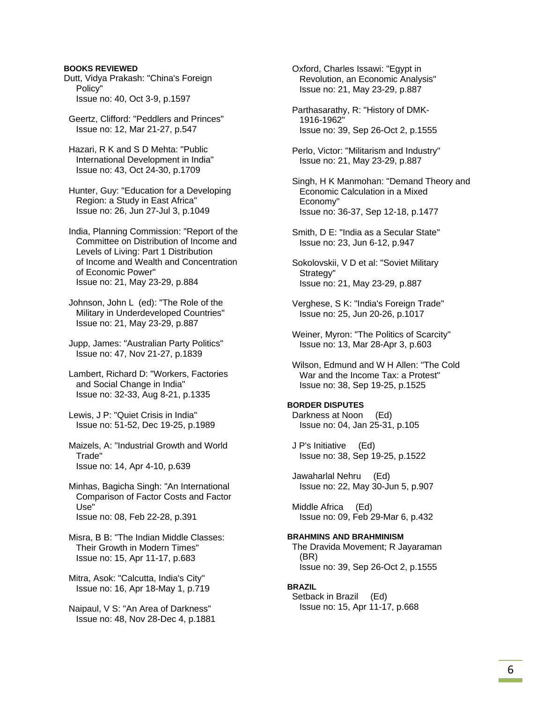### **BOOKS REVIEWED**

Dutt, Vidya Prakash: "China's Foreign Policy" Issue no: 40, Oct 3-9, p.1597

 Geertz, Clifford: "Peddlers and Princes" Issue no: 12, Mar 21-27, p.547

 Hazari, R K and S D Mehta: "Public International Development in India" Issue no: 43, Oct 24-30, p.1709

 Hunter, Guy: "Education for a Developing Region: a Study in East Africa" Issue no: 26, Jun 27-Jul 3, p.1049

 India, Planning Commission: "Report of the Committee on Distribution of Income and Levels of Living: Part 1 Distribution of Income and Wealth and Concentration of Economic Power" Issue no: 21, May 23-29, p.884

 Johnson, John L (ed): "The Role of the Military in Underdeveloped Countries" Issue no: 21, May 23-29, p.887

 Jupp, James: "Australian Party Politics" Issue no: 47, Nov 21-27, p.1839

 Lambert, Richard D: "Workers, Factories and Social Change in India" Issue no: 32-33, Aug 8-21, p.1335

 Lewis, J P: "Quiet Crisis in India" Issue no: 51-52, Dec 19-25, p.1989

 Maizels, A: "Industrial Growth and World Trade" Issue no: 14, Apr 4-10, p.639

 Minhas, Bagicha Singh: "An International Comparison of Factor Costs and Factor Use" Issue no: 08, Feb 22-28, p.391

 Misra, B B: "The Indian Middle Classes: Their Growth in Modern Times" Issue no: 15, Apr 11-17, p.683

 Mitra, Asok: "Calcutta, India's City" Issue no: 16, Apr 18-May 1, p.719

 Naipaul, V S: "An Area of Darkness" Issue no: 48, Nov 28-Dec 4, p.1881  Oxford, Charles Issawi: "Egypt in Revolution, an Economic Analysis" Issue no: 21, May 23-29, p.887

 Parthasarathy, R: "History of DMK- 1916-1962" Issue no: 39, Sep 26-Oct 2, p.1555

 Perlo, Victor: "Militarism and Industry" Issue no: 21, May 23-29, p.887

 Singh, H K Manmohan: "Demand Theory and Economic Calculation in a Mixed Economy" Issue no: 36-37, Sep 12-18, p.1477

 Smith, D E: "India as a Secular State" Issue no: 23, Jun 6-12, p.947

 Sokolovskii, V D et al: "Soviet Military Strategy" Issue no: 21, May 23-29, p.887

 Verghese, S K: "India's Foreign Trade" Issue no: 25, Jun 20-26, p.1017

 Weiner, Myron: "The Politics of Scarcity" Issue no: 13, Mar 28-Apr 3, p.603

 Wilson, Edmund and W H Allen: "The Cold War and the Income Tax: a Protest" Issue no: 38, Sep 19-25, p.1525

### **BORDER DISPUTES**

 Darkness at Noon (Ed) Issue no: 04, Jan 25-31, p.105

 J P's Initiative (Ed) Issue no: 38, Sep 19-25, p.1522

 Jawaharlal Nehru (Ed) Issue no: 22, May 30-Jun 5, p.907

 Middle Africa (Ed) Issue no: 09, Feb 29-Mar 6, p.432

### **BRAHMINS AND BRAHMINISM**

 The Dravida Movement; R Jayaraman (BR) Issue no: 39, Sep 26-Oct 2, p.1555

#### **BRAZIL**

 Setback in Brazil (Ed) Issue no: 15, Apr 11-17, p.668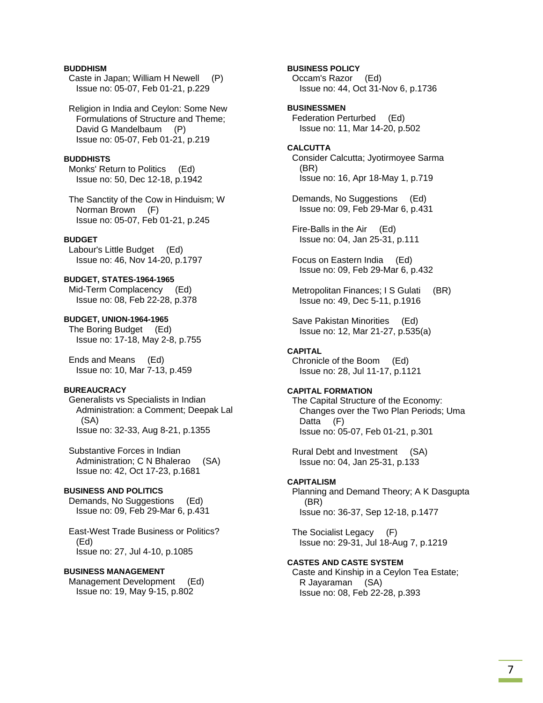### **BUDDHISM**

 Caste in Japan; William H Newell (P) Issue no: 05-07, Feb 01-21, p.229

 Religion in India and Ceylon: Some New Formulations of Structure and Theme; David G Mandelbaum (P) Issue no: 05-07, Feb 01-21, p.219

#### **BUDDHISTS**

 Monks' Return to Politics (Ed) Issue no: 50, Dec 12-18, p.1942

 The Sanctity of the Cow in Hinduism; W Norman Brown (F) Issue no: 05-07, Feb 01-21, p.245

#### **BUDGET**

 Labour's Little Budget (Ed) Issue no: 46, Nov 14-20, p.1797

### **BUDGET, STATES-1964-1965**

 Mid-Term Complacency (Ed) Issue no: 08, Feb 22-28, p.378

**BUDGET, UNION-1964-1965**  The Boring Budget (Ed) Issue no: 17-18, May 2-8, p.755

 Ends and Means (Ed) Issue no: 10, Mar 7-13, p.459

### **BUREAUCRACY**

 Generalists vs Specialists in Indian Administration: a Comment; Deepak Lal (SA) Issue no: 32-33, Aug 8-21, p.1355

 Substantive Forces in Indian Administration; C N Bhalerao (SA) Issue no: 42, Oct 17-23, p.1681

## **BUSINESS AND POLITICS**

 Demands, No Suggestions (Ed) Issue no: 09, Feb 29-Mar 6, p.431

 East-West Trade Business or Politics? (Ed) Issue no: 27, Jul 4-10, p.1085

### **BUSINESS MANAGEMENT**

 Management Development (Ed) Issue no: 19, May 9-15, p.802

**BUSINESS POLICY**  Occam's Razor (Ed) Issue no: 44, Oct 31-Nov 6, p.1736

**BUSINESSMEN**  Federation Perturbed (Ed) Issue no: 11, Mar 14-20, p.502

**CALCUTTA**  Consider Calcutta; Jyotirmoyee Sarma (BR) Issue no: 16, Apr 18-May 1, p.719

 Demands, No Suggestions (Ed) Issue no: 09, Feb 29-Mar 6, p.431

 Fire-Balls in the Air (Ed) Issue no: 04, Jan 25-31, p.111

 Focus on Eastern India (Ed) Issue no: 09, Feb 29-Mar 6, p.432

Metropolitan Finances: I S Gulati (BR) Issue no: 49, Dec 5-11, p.1916

 Save Pakistan Minorities (Ed) Issue no: 12, Mar 21-27, p.535(a)

#### **CAPITAL**

 Chronicle of the Boom (Ed) Issue no: 28, Jul 11-17, p.1121

#### **CAPITAL FORMATION**

 The Capital Structure of the Economy: Changes over the Two Plan Periods; Uma Datta (F) Issue no: 05-07, Feb 01-21, p.301

 Rural Debt and Investment (SA) Issue no: 04, Jan 25-31, p.133

#### **CAPITALISM**

 Planning and Demand Theory; A K Dasgupta (BR) Issue no: 36-37, Sep 12-18, p.1477

 The Socialist Legacy (F) Issue no: 29-31, Jul 18-Aug 7, p.1219

### **CASTES AND CASTE SYSTEM**

 Caste and Kinship in a Ceylon Tea Estate; R Jayaraman (SA) Issue no: 08, Feb 22-28, p.393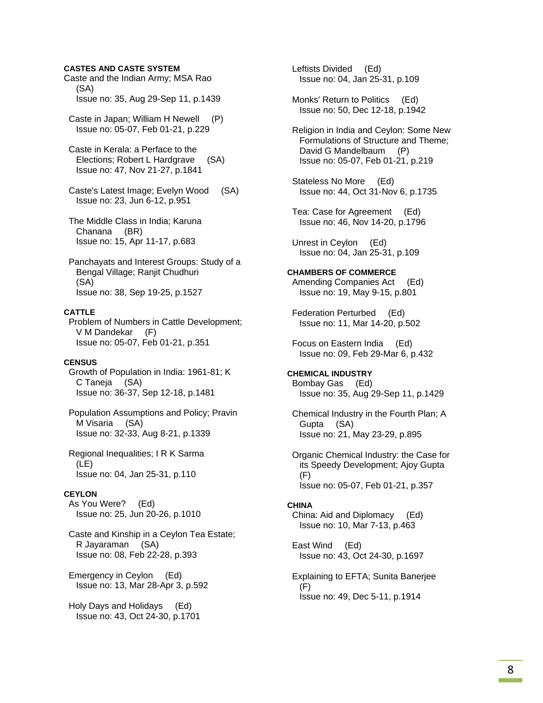### **CASTES AND CASTE SYSTEM**

Caste and the Indian Army; MSA Rao (SA) Issue no: 35, Aug 29-Sep 11, p.1439

 Caste in Japan; William H Newell (P) Issue no: 05-07, Feb 01-21, p.229

 Caste in Kerala: a Perface to the Elections; Robert L Hardgrave (SA) Issue no: 47, Nov 21-27, p.1841

 Caste's Latest Image; Evelyn Wood (SA) Issue no: 23, Jun 6-12, p.951

 The Middle Class in India; Karuna Chanana (BR) Issue no: 15, Apr 11-17, p.683

 Panchayats and Interest Groups: Study of a Bengal Village; Ranjit Chudhuri (SA) Issue no: 38, Sep 19-25, p.1527

### **CATTLE**

 Problem of Numbers in Cattle Development; V M Dandekar (F) Issue no: 05-07, Feb 01-21, p.351

#### **CENSUS**

 Growth of Population in India: 1961-81; K C Taneja (SA) Issue no: 36-37, Sep 12-18, p.1481

 Population Assumptions and Policy; Pravin M Visaria (SA) Issue no: 32-33, Aug 8-21, p.1339

 Regional Inequalities; I R K Sarma (LE) Issue no: 04, Jan 25-31, p.110

### **CEYLON**

 As You Were? (Ed) Issue no: 25, Jun 20-26, p.1010

 Caste and Kinship in a Ceylon Tea Estate; R Jayaraman (SA) Issue no: 08, Feb 22-28, p.393

 Emergency in Ceylon (Ed) Issue no: 13, Mar 28-Apr 3, p.592

 Holy Days and Holidays (Ed) Issue no: 43, Oct 24-30, p.1701  Leftists Divided (Ed) Issue no: 04, Jan 25-31, p.109

 Monks' Return to Politics (Ed) Issue no: 50, Dec 12-18, p.1942

 Religion in India and Ceylon: Some New Formulations of Structure and Theme; David G Mandelbaum (P) Issue no: 05-07, Feb 01-21, p.219

 Stateless No More (Ed) Issue no: 44, Oct 31-Nov 6, p.1735

 Tea: Case for Agreement (Ed) Issue no: 46, Nov 14-20, p.1796

 Unrest in Ceylon (Ed) Issue no: 04, Jan 25-31, p.109

#### **CHAMBERS OF COMMERCE**

 Amending Companies Act (Ed) Issue no: 19, May 9-15, p.801

 Federation Perturbed (Ed) Issue no: 11, Mar 14-20, p.502

 Focus on Eastern India (Ed) Issue no: 09, Feb 29-Mar 6, p.432

#### **CHEMICAL INDUSTRY**  Bombay Gas (Ed)

Issue no: 35, Aug 29-Sep 11, p.1429

 Chemical Industry in the Fourth Plan; A Gupta (SA) Issue no: 21, May 23-29, p.895

 Organic Chemical Industry: the Case for its Speedy Development; Ajoy Gupta (F) Issue no: 05-07, Feb 01-21, p.357

#### **CHINA**

 China: Aid and Diplomacy (Ed) Issue no: 10, Mar 7-13, p.463

 East Wind (Ed) Issue no: 43, Oct 24-30, p.1697

 Explaining to EFTA; Sunita Banerjee (F) Issue no: 49, Dec 5-11, p.1914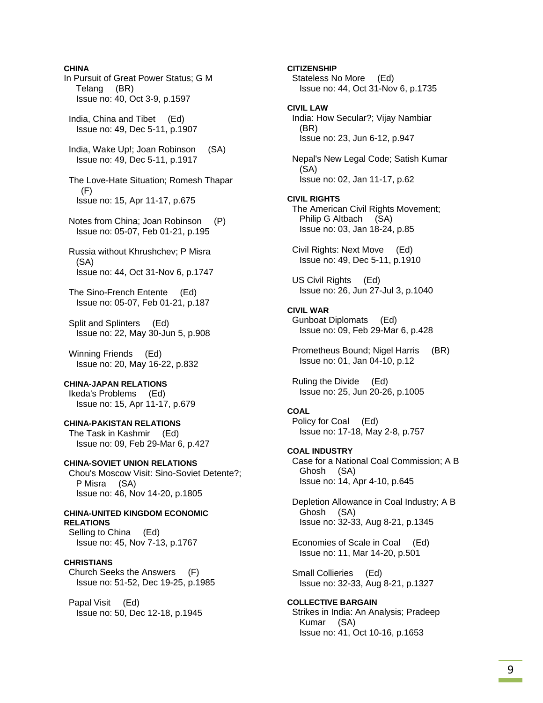**CHINA**  In Pursuit of Great Power Status; G M Telang (BR) Issue no: 40, Oct 3-9, p.1597 India, China and Tibet (Ed) Issue no: 49, Dec 5-11, p.1907 India, Wake Up!; Joan Robinson (SA) Issue no: 49, Dec 5-11, p.1917 The Love-Hate Situation; Romesh Thapar (F) Issue no: 15, Apr 11-17, p.675 Notes from China; Joan Robinson (P) Issue no: 05-07, Feb 01-21, p.195 Russia without Khrushchev; P Misra (SA) Issue no: 44, Oct 31-Nov 6, p.1747 The Sino-French Entente (Ed) Issue no: 05-07, Feb 01-21, p.187 Split and Splinters (Ed) Issue no: 22, May 30-Jun 5, p.908 Winning Friends (Ed) Issue no: 20, May 16-22, p.832 **CHINA-JAPAN RELATIONS**  Ikeda's Problems (Ed) Issue no: 15, Apr 11-17, p.679 **CHINA-PAKISTAN RELATIONS**  The Task in Kashmir (Ed) Issue no: 09, Feb 29-Mar 6, p.427 **CHINA-SOVIET UNION RELATIONS**  Chou's Moscow Visit: Sino-Soviet Detente?; P Misra (SA) Issue no: 46, Nov 14-20, p.1805 **CHINA-UNITED KINGDOM ECONOMIC RELATIONS**  Selling to China (Ed) Issue no: 45, Nov 7-13, p.1767 **CHRISTIANS**  Church Seeks the Answers (F) Issue no: 51-52, Dec 19-25, p.1985 Papal Visit (Ed) Issue no: 50, Dec 12-18, p.1945

**CITIZENSHIP**  Stateless No More (Ed) Issue no: 44, Oct 31-Nov 6, p.1735 **CIVIL LAW**  India: How Secular?; Vijay Nambiar (BR) Issue no: 23, Jun 6-12, p.947 Nepal's New Legal Code; Satish Kumar (SA) Issue no: 02, Jan 11-17, p.62 **CIVIL RIGHTS**  The American Civil Rights Movement; Philip G Altbach (SA) Issue no: 03, Jan 18-24, p.85 Civil Rights: Next Move (Ed) Issue no: 49, Dec 5-11, p.1910 US Civil Rights (Ed) Issue no: 26, Jun 27-Jul 3, p.1040 **CIVIL WAR**  Gunboat Diplomats (Ed) Issue no: 09, Feb 29-Mar 6, p.428 Prometheus Bound; Nigel Harris (BR) Issue no: 01, Jan 04-10, p.12 Ruling the Divide (Ed) Issue no: 25, Jun 20-26, p.1005 **COAL**  Policy for Coal (Ed) Issue no: 17-18, May 2-8, p.757 **COAL INDUSTRY**  Case for a National Coal Commission; A B Ghosh (SA) Issue no: 14, Apr 4-10, p.645 Depletion Allowance in Coal Industry; A B Ghosh (SA) Issue no: 32-33, Aug 8-21, p.1345 Economies of Scale in Coal (Ed) Issue no: 11, Mar 14-20, p.501 Small Collieries (Ed) Issue no: 32-33, Aug 8-21, p.1327 **COLLECTIVE BARGAIN**  Strikes in India: An Analysis; Pradeep Kumar (SA) Issue no: 41, Oct 10-16, p.1653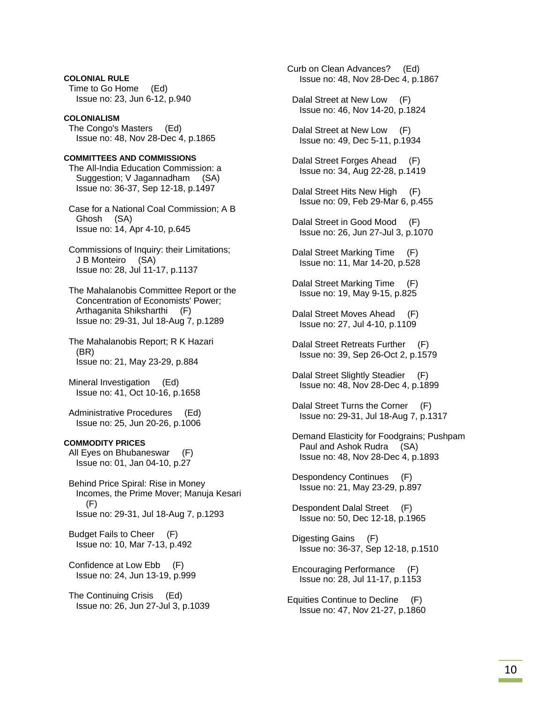**COLONIAL RULE**  Time to Go Home (Ed) Issue no: 23, Jun 6-12, p.940

### **COLONIALISM**

 The Congo's Masters (Ed) Issue no: 48, Nov 28-Dec 4, p.1865

### **COMMITTEES AND COMMISSIONS**

 The All-India Education Commission: a Suggestion; V Jagannadham (SA) Issue no: 36-37, Sep 12-18, p.1497

 Case for a National Coal Commission; A B Ghosh (SA) Issue no: 14, Apr 4-10, p.645

 Commissions of Inquiry: their Limitations; J B Monteiro (SA) Issue no: 28, Jul 11-17, p.1137

 The Mahalanobis Committee Report or the Concentration of Economists' Power; Arthaganita Shiksharthi (F) Issue no: 29-31, Jul 18-Aug 7, p.1289

 The Mahalanobis Report; R K Hazari (BR) Issue no: 21, May 23-29, p.884

 Mineral Investigation (Ed) Issue no: 41, Oct 10-16, p.1658

 Administrative Procedures (Ed) Issue no: 25, Jun 20-26, p.1006

#### **COMMODITY PRICES**

 All Eyes on Bhubaneswar (F) Issue no: 01, Jan 04-10, p.27

 Behind Price Spiral: Rise in Money Incomes, the Prime Mover; Manuja Kesari (F) Issue no: 29-31, Jul 18-Aug 7, p.1293

 Budget Fails to Cheer (F) Issue no: 10, Mar 7-13, p.492

 Confidence at Low Ebb (F) Issue no: 24, Jun 13-19, p.999

 The Continuing Crisis (Ed) Issue no: 26, Jun 27-Jul 3, p.1039 Curb on Clean Advances? (Ed) Issue no: 48, Nov 28-Dec 4, p.1867 Dalal Street at New Low (F) Issue no: 46, Nov 14-20, p.1824 Dalal Street at New Low (F) Issue no: 49, Dec 5-11, p.1934 Dalal Street Forges Ahead (F) Issue no: 34, Aug 22-28, p.1419 Dalal Street Hits New High (F) Issue no: 09, Feb 29-Mar 6, p.455 Dalal Street in Good Mood (F) Issue no: 26, Jun 27-Jul 3, p.1070 Dalal Street Marking Time (F) Issue no: 11, Mar 14-20, p.528 Dalal Street Marking Time (F) Issue no: 19, May 9-15, p.825 Dalal Street Moves Ahead (F) Issue no: 27, Jul 4-10, p.1109 Dalal Street Retreats Further (F) Issue no: 39, Sep 26-Oct 2, p.1579 Dalal Street Slightly Steadier (F) Issue no: 48, Nov 28-Dec 4, p.1899 Dalal Street Turns the Corner (F) Issue no: 29-31, Jul 18-Aug 7, p.1317 Demand Elasticity for Foodgrains; Pushpam Paul and Ashok Rudra (SA) Issue no: 48, Nov 28-Dec 4, p.1893 Despondency Continues (F) Issue no: 21, May 23-29, p.897 Despondent Dalal Street (F) Issue no: 50, Dec 12-18, p.1965 Digesting Gains (F) Issue no: 36-37, Sep 12-18, p.1510 Encouraging Performance (F) Issue no: 28, Jul 11-17, p.1153 Equities Continue to Decline (F)

Issue no: 47, Nov 21-27, p.1860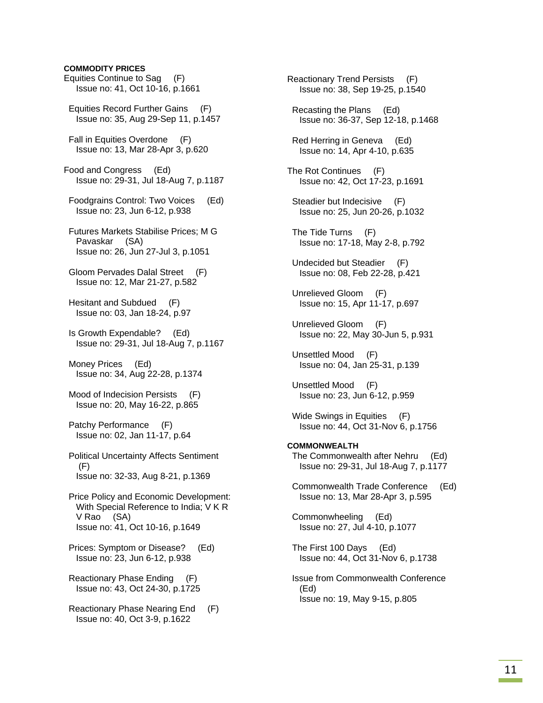### **COMMODITY PRICES**

Equities Continue to Sag (F) Issue no: 41, Oct 10-16, p.1661 Equities Record Further Gains (F) Issue no: 35, Aug 29-Sep 11, p.1457 Fall in Equities Overdone (F) Issue no: 13, Mar 28-Apr 3, p.620 Food and Congress (Ed) Issue no: 29-31, Jul 18-Aug 7, p.1187 Foodgrains Control: Two Voices (Ed) Issue no: 23, Jun 6-12, p.938 Futures Markets Stabilise Prices; M G Pavaskar (SA) Issue no: 26, Jun 27-Jul 3, p.1051 Gloom Pervades Dalal Street (F) Issue no: 12, Mar 21-27, p.582 Hesitant and Subdued (F) Issue no: 03, Jan 18-24, p.97 Is Growth Expendable? (Ed) Issue no: 29-31, Jul 18-Aug 7, p.1167 Money Prices (Ed) Issue no: 34, Aug 22-28, p.1374 Mood of Indecision Persists (F) Issue no: 20, May 16-22, p.865 Patchy Performance (F) Issue no: 02, Jan 11-17, p.64 Political Uncertainty Affects Sentiment (F) Issue no: 32-33, Aug 8-21, p.1369 Price Policy and Economic Development: With Special Reference to India; V K R V Rao (SA) Issue no: 41, Oct 10-16, p.1649 Prices: Symptom or Disease? (Ed) Issue no: 23, Jun 6-12, p.938 Reactionary Phase Ending (F) Issue no: 43, Oct 24-30, p.1725 Reactionary Phase Nearing End (F) Issue no: 40, Oct 3-9, p.1622

Reactionary Trend Persists (F) Issue no: 38, Sep 19-25, p.1540 Recasting the Plans (Ed) Issue no: 36-37, Sep 12-18, p.1468 Red Herring in Geneva (Ed) Issue no: 14, Apr 4-10, p.635 The Rot Continues (F) Issue no: 42, Oct 17-23, p.1691 Steadier but Indecisive (F) Issue no: 25, Jun 20-26, p.1032 The Tide Turns (F) Issue no: 17-18, May 2-8, p.792 Undecided but Steadier (F) Issue no: 08, Feb 22-28, p.421 Unrelieved Gloom (F) Issue no: 15, Apr 11-17, p.697 Unrelieved Gloom (F) Issue no: 22, May 30-Jun 5, p.931 Unsettled Mood (F) Issue no: 04, Jan 25-31, p.139 Unsettled Mood (F) Issue no: 23, Jun 6-12, p.959 Wide Swings in Equities (F) Issue no: 44, Oct 31-Nov 6, p.1756 **COMMONWEALTH**  The Commonwealth after Nehru (Ed) Issue no: 29-31, Jul 18-Aug 7, p.1177 Commonwealth Trade Conference (Ed) Issue no: 13, Mar 28-Apr 3, p.595 Commonwheeling (Ed) Issue no: 27, Jul 4-10, p.1077 The First 100 Days (Ed) Issue no: 44, Oct 31-Nov 6, p.1738 Issue from Commonwealth Conference (Ed) Issue no: 19, May 9-15, p.805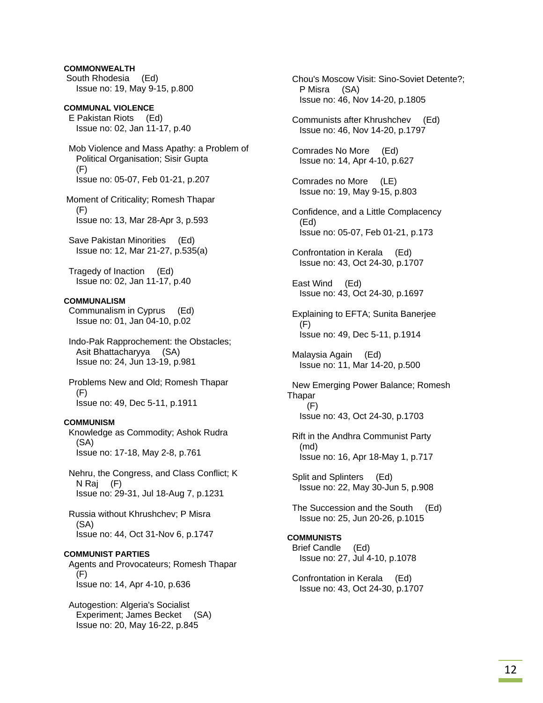### **COMMONWEALTH**

 South Rhodesia (Ed) Issue no: 19, May 9-15, p.800

**COMMUNAL VIOLENCE**  E Pakistan Riots (Ed) Issue no: 02, Jan 11-17, p.40

 Mob Violence and Mass Apathy: a Problem of Political Organisation; Sisir Gupta (F) Issue no: 05-07, Feb 01-21, p.207

 Moment of Criticality; Romesh Thapar (F) Issue no: 13, Mar 28-Apr 3, p.593

 Save Pakistan Minorities (Ed) Issue no: 12, Mar 21-27, p.535(a)

 Tragedy of Inaction (Ed) Issue no: 02, Jan 11-17, p.40

### **COMMUNALISM**

 Communalism in Cyprus (Ed) Issue no: 01, Jan 04-10, p.02

 Indo-Pak Rapprochement: the Obstacles; Asit Bhattacharyya (SA) Issue no: 24, Jun 13-19, p.981

 Problems New and Old; Romesh Thapar (F) Issue no: 49, Dec 5-11, p.1911

#### **COMMUNISM**

 Knowledge as Commodity; Ashok Rudra (SA) Issue no: 17-18, May 2-8, p.761

 Nehru, the Congress, and Class Conflict; K N Raj (F) Issue no: 29-31, Jul 18-Aug 7, p.1231

 Russia without Khrushchev; P Misra (SA) Issue no: 44, Oct 31-Nov 6, p.1747

### **COMMUNIST PARTIES**

 Agents and Provocateurs; Romesh Thapar (F) Issue no: 14, Apr 4-10, p.636

 Autogestion: Algeria's Socialist Experiment; James Becket (SA) Issue no: 20, May 16-22, p.845

 Chou's Moscow Visit: Sino-Soviet Detente?; P Misra (SA) Issue no: 46, Nov 14-20, p.1805

 Communists after Khrushchev (Ed) Issue no: 46, Nov 14-20, p.1797

 Comrades No More (Ed) Issue no: 14, Apr 4-10, p.627

 Comrades no More (LE) Issue no: 19, May 9-15, p.803

 Confidence, and a Little Complacency (Ed) Issue no: 05-07, Feb 01-21, p.173

 Confrontation in Kerala (Ed) Issue no: 43, Oct 24-30, p.1707

 East Wind (Ed) Issue no: 43, Oct 24-30, p.1697

 Explaining to EFTA; Sunita Banerjee (F) Issue no: 49, Dec 5-11, p.1914

 Malaysia Again (Ed) Issue no: 11, Mar 14-20, p.500

 New Emerging Power Balance; Romesh Thapar (F) Issue no: 43, Oct 24-30, p.1703

 Rift in the Andhra Communist Party (md) Issue no: 16, Apr 18-May 1, p.717

 Split and Splinters (Ed) Issue no: 22, May 30-Jun 5, p.908

 The Succession and the South (Ed) Issue no: 25, Jun 20-26, p.1015

## **COMMUNISTS**

 Brief Candle (Ed) Issue no: 27, Jul 4-10, p.1078

 Confrontation in Kerala (Ed) Issue no: 43, Oct 24-30, p.1707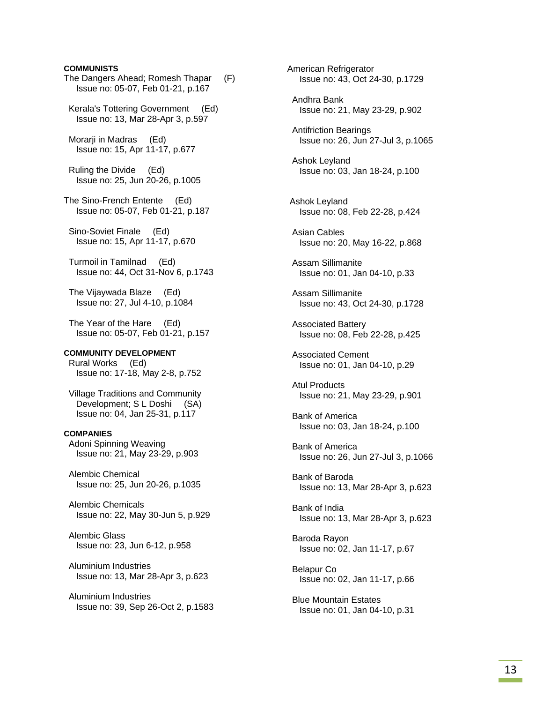### **COMMUNISTS**

The Dangers Ahead; Romesh Thapar (F) Issue no: 05-07, Feb 01-21, p.167 Kerala's Tottering Government (Ed) Issue no: 13, Mar 28-Apr 3, p.597 Morarji in Madras (Ed) Issue no: 15, Apr 11-17, p.677 Ruling the Divide (Ed) Issue no: 25, Jun 20-26, p.1005 The Sino-French Entente (Ed) Issue no: 05-07, Feb 01-21, p.187 Sino-Soviet Finale (Ed) Issue no: 15, Apr 11-17, p.670 Turmoil in Tamilnad (Ed) Issue no: 44, Oct 31-Nov 6, p.1743 The Vijaywada Blaze (Ed) Issue no: 27, Jul 4-10, p.1084 The Year of the Hare (Ed) Issue no: 05-07, Feb 01-21, p.157 **COMMUNITY DEVELOPMENT**  Rural Works (Ed) Issue no: 17-18, May 2-8, p.752 Village Traditions and Community Development; S L Doshi (SA) Issue no: 04, Jan 25-31, p.117 **COMPANIES**  Adoni Spinning Weaving Issue no: 21, May 23-29, p.903 Alembic Chemical Issue no: 25, Jun 20-26, p.1035 Alembic Chemicals Issue no: 22, May 30-Jun 5, p.929 Alembic Glass Issue no: 23, Jun 6-12, p.958 Aluminium Industries Issue no: 13, Mar 28-Apr 3, p.623 Aluminium Industries

Issue no: 39, Sep 26-Oct 2, p.1583

American Refrigerator Issue no: 43, Oct 24-30, p.1729 Andhra Bank Issue no: 21, May 23-29, p.902 Antifriction Bearings Issue no: 26, Jun 27-Jul 3, p.1065 Ashok Leyland Issue no: 03, Jan 18-24, p.100 Ashok Leyland Issue no: 08, Feb 22-28, p.424 Asian Cables Issue no: 20, May 16-22, p.868 Assam Sillimanite Issue no: 01, Jan 04-10, p.33 Assam Sillimanite Issue no: 43, Oct 24-30, p.1728 Associated Battery Issue no: 08, Feb 22-28, p.425 Associated Cement Issue no: 01, Jan 04-10, p.29 Atul Products Issue no: 21, May 23-29, p.901 Bank of America Issue no: 03, Jan 18-24, p.100 Bank of America Issue no: 26, Jun 27-Jul 3, p.1066 Bank of Baroda Issue no: 13, Mar 28-Apr 3, p.623 Bank of India Issue no: 13, Mar 28-Apr 3, p.623 Baroda Rayon Issue no: 02, Jan 11-17, p.67 Belapur Co Issue no: 02, Jan 11-17, p.66 Blue Mountain Estates Issue no: 01, Jan 04-10, p.31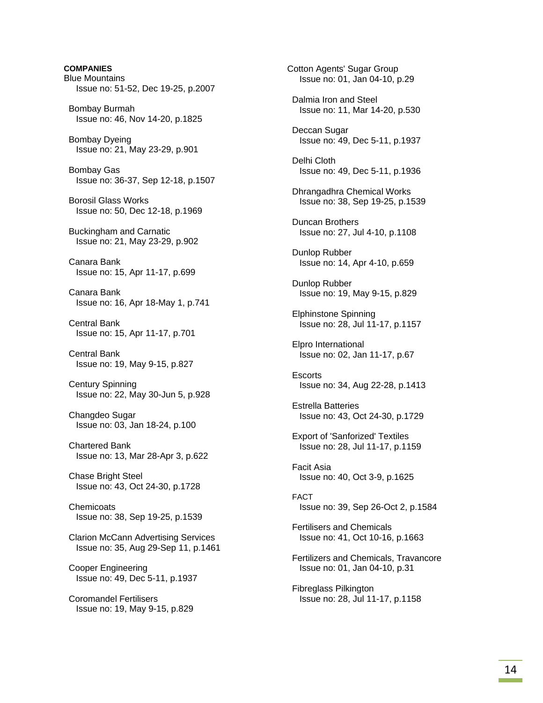**COMPANIES** Blue Mountains Issue no: 51-52, Dec 19-25, p.2007 Bombay Burmah Issue no: 46, Nov 14-20, p.1825 Bombay Dyeing Issue no: 21, May 23-29, p.901 Bombay Gas Issue no: 36-37, Sep 12-18, p.1507 Borosil Glass Works Issue no: 50, Dec 12-18, p.1969 Buckingham and Carnatic Issue no: 21, May 23-29, p.902 Canara Bank Issue no: 15, Apr 11-17, p.699 Canara Bank Issue no: 16, Apr 18-May 1, p.741 Central Bank Issue no: 15, Apr 11-17, p.701 Central Bank Issue no: 19, May 9-15, p.827 Century Spinning Issue no: 22, May 30-Jun 5, p.928 Changdeo Sugar Issue no: 03, Jan 18-24, p.100 Chartered Bank Issue no: 13, Mar 28-Apr 3, p.622 Chase Bright Steel Issue no: 43, Oct 24-30, p.1728 **Chemicoats**  Issue no: 38, Sep 19-25, p.1539 Clarion McCann Advertising Services Issue no: 35, Aug 29-Sep 11, p.1461 Cooper Engineering Issue no: 49, Dec 5-11, p.1937 Coromandel Fertilisers Issue no: 19, May 9-15, p.829

Cotton Agents' Sugar Group Issue no: 01, Jan 04-10, p.29 Dalmia Iron and Steel Issue no: 11, Mar 14-20, p.530 Deccan Sugar Issue no: 49, Dec 5-11, p.1937 Delhi Cloth Issue no: 49, Dec 5-11, p.1936 Dhrangadhra Chemical Works Issue no: 38, Sep 19-25, p.1539 Duncan Brothers Issue no: 27, Jul 4-10, p.1108 Dunlop Rubber Issue no: 14, Apr 4-10, p.659 Dunlop Rubber Issue no: 19, May 9-15, p.829 Elphinstone Spinning Issue no: 28, Jul 11-17, p.1157 Elpro International Issue no: 02, Jan 11-17, p.67 **Escorts**  Issue no: 34, Aug 22-28, p.1413 Estrella Batteries Issue no: 43, Oct 24-30, p.1729 Export of 'Sanforized' Textiles Issue no: 28, Jul 11-17, p.1159 Facit Asia Issue no: 40, Oct 3-9, p.1625 FACT Issue no: 39, Sep 26-Oct 2, p.1584 Fertilisers and Chemicals Issue no: 41, Oct 10-16, p.1663 Fertilizers and Chemicals, Travancore Issue no: 01, Jan 04-10, p.31 Fibreglass Pilkington Issue no: 28, Jul 11-17, p.1158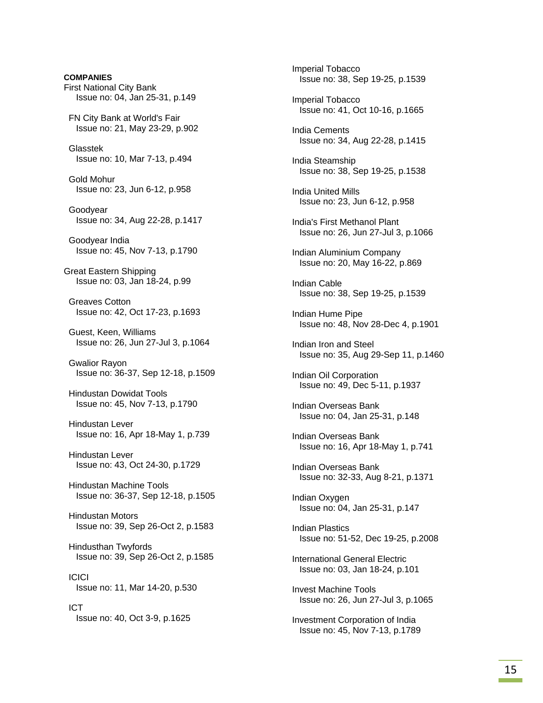**COMPANIES**  First National City Bank Issue no: 04, Jan 25-31, p.149 FN City Bank at World's Fair Issue no: 21, May 23-29, p.902 Glasstek Issue no: 10, Mar 7-13, p.494 Gold Mohur Issue no: 23, Jun 6-12, p.958 Goodyear Issue no: 34, Aug 22-28, p.1417 Goodyear India Issue no: 45, Nov 7-13, p.1790 Great Eastern Shipping Issue no: 03, Jan 18-24, p.99 Greaves Cotton Issue no: 42, Oct 17-23, p.1693 Guest, Keen, Williams Issue no: 26, Jun 27-Jul 3, p.1064 Gwalior Rayon Issue no: 36-37, Sep 12-18, p.1509 Hindustan Dowidat Tools Issue no: 45, Nov 7-13, p.1790 Hindustan Lever Issue no: 16, Apr 18-May 1, p.739 Hindustan Lever Issue no: 43, Oct 24-30, p.1729 Hindustan Machine Tools Issue no: 36-37, Sep 12-18, p.1505 Hindustan Motors Issue no: 39, Sep 26-Oct 2, p.1583 Hindusthan Twyfords Issue no: 39, Sep 26-Oct 2, p.1585 ICICI Issue no: 11, Mar 14-20, p.530 ICT Issue no: 40, Oct 3-9, p.1625

 Imperial Tobacco Issue no: 38, Sep 19-25, p.1539 Imperial Tobacco Issue no: 41, Oct 10-16, p.1665 India Cements Issue no: 34, Aug 22-28, p.1415 India Steamship Issue no: 38, Sep 19-25, p.1538 India United Mills Issue no: 23, Jun 6-12, p.958 India's First Methanol Plant Issue no: 26, Jun 27-Jul 3, p.1066 Indian Aluminium Company Issue no: 20, May 16-22, p.869 Indian Cable Issue no: 38, Sep 19-25, p.1539 Indian Hume Pipe Issue no: 48, Nov 28-Dec 4, p.1901 Indian Iron and Steel Issue no: 35, Aug 29-Sep 11, p.1460 Indian Oil Corporation Issue no: 49, Dec 5-11, p.1937 Indian Overseas Bank Issue no: 04, Jan 25-31, p.148 Indian Overseas Bank Issue no: 16, Apr 18-May 1, p.741 Indian Overseas Bank Issue no: 32-33, Aug 8-21, p.1371 Indian Oxygen Issue no: 04, Jan 25-31, p.147 Indian Plastics Issue no: 51-52, Dec 19-25, p.2008 International General Electric Issue no: 03, Jan 18-24, p.101 Invest Machine Tools Issue no: 26, Jun 27-Jul 3, p.1065 Investment Corporation of India Issue no: 45, Nov 7-13, p.1789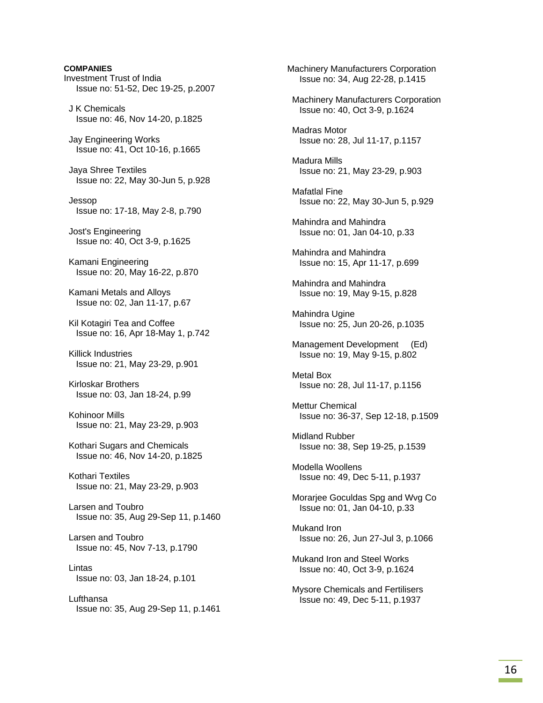**COMPANIES**  Investment Trust of India Issue no: 51-52, Dec 19-25, p.2007 J K Chemicals Issue no: 46, Nov 14-20, p.1825 Jay Engineering Works Issue no: 41, Oct 10-16, p.1665 Jaya Shree Textiles Issue no: 22, May 30-Jun 5, p.928 Jessop Issue no: 17-18, May 2-8, p.790 Jost's Engineering Issue no: 40, Oct 3-9, p.1625 Kamani Engineering Issue no: 20, May 16-22, p.870 Kamani Metals and Alloys Issue no: 02, Jan 11-17, p.67 Kil Kotagiri Tea and Coffee Issue no: 16, Apr 18-May 1, p.742 Killick Industries Issue no: 21, May 23-29, p.901 Kirloskar Brothers Issue no: 03, Jan 18-24, p.99 Kohinoor Mills Issue no: 21, May 23-29, p.903 Kothari Sugars and Chemicals Issue no: 46, Nov 14-20, p.1825 Kothari Textiles Issue no: 21, May 23-29, p.903 Larsen and Toubro Issue no: 35, Aug 29-Sep 11, p.1460 Larsen and Toubro Issue no: 45, Nov 7-13, p.1790 Lintas Issue no: 03, Jan 18-24, p.101 Lufthansa Issue no: 35, Aug 29-Sep 11, p.1461 Machinery Manufacturers Corporation Issue no: 34, Aug 22-28, p.1415 Machinery Manufacturers Corporation Issue no: 40, Oct 3-9, p.1624 Madras Motor Issue no: 28, Jul 11-17, p.1157 Madura Mills Issue no: 21, May 23-29, p.903 Mafatlal Fine Issue no: 22, May 30-Jun 5, p.929 Mahindra and Mahindra Issue no: 01, Jan 04-10, p.33 Mahindra and Mahindra Issue no: 15, Apr 11-17, p.699 Mahindra and Mahindra Issue no: 19, May 9-15, p.828 Mahindra Ugine Issue no: 25, Jun 20-26, p.1035 Management Development (Ed) Issue no: 19, May 9-15, p.802 Metal Box Issue no: 28, Jul 11-17, p.1156 Mettur Chemical Issue no: 36-37, Sep 12-18, p.1509 Midland Rubber Issue no: 38, Sep 19-25, p.1539 Modella Woollens Issue no: 49, Dec 5-11, p.1937 Morarjee Goculdas Spg and Wvg Co Issue no: 01, Jan 04-10, p.33 Mukand Iron Issue no: 26, Jun 27-Jul 3, p.1066 Mukand Iron and Steel Works Issue no: 40, Oct 3-9, p.1624 Mysore Chemicals and Fertilisers Issue no: 49, Dec 5-11, p.1937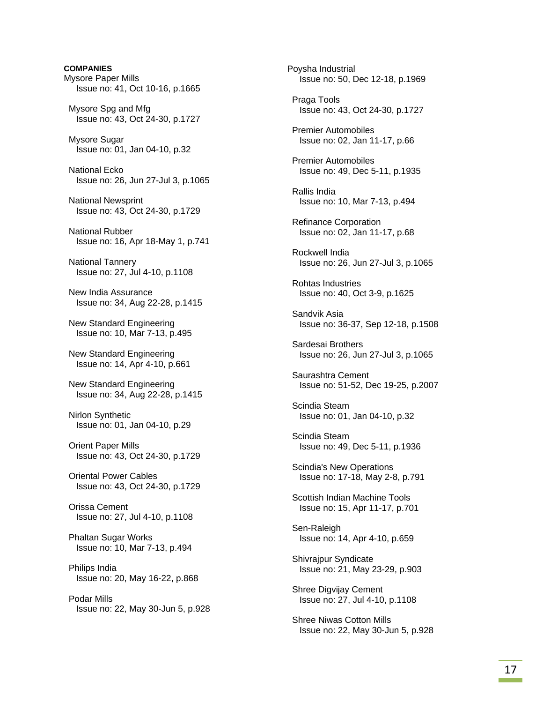**COMPANIES**  Mysore Paper Mills Issue no: 41, Oct 10-16, p.1665 Mysore Spg and Mfg Issue no: 43, Oct 24-30, p.1727 Mysore Sugar Issue no: 01, Jan 04-10, p.32 National Ecko Issue no: 26, Jun 27-Jul 3, p.1065 National Newsprint Issue no: 43, Oct 24-30, p.1729 National Rubber Issue no: 16, Apr 18-May 1, p.741 National Tannery Issue no: 27, Jul 4-10, p.1108 New India Assurance Issue no: 34, Aug 22-28, p.1415 New Standard Engineering Issue no: 10, Mar 7-13, p.495 New Standard Engineering Issue no: 14, Apr 4-10, p.661 New Standard Engineering Issue no: 34, Aug 22-28, p.1415 Nirlon Synthetic Issue no: 01, Jan 04-10, p.29 Orient Paper Mills Issue no: 43, Oct 24-30, p.1729 Oriental Power Cables Issue no: 43, Oct 24-30, p.1729 Orissa Cement Issue no: 27, Jul 4-10, p.1108 Phaltan Sugar Works Issue no: 10, Mar 7-13, p.494 Philips India Issue no: 20, May 16-22, p.868 Podar Mills Issue no: 22, May 30-Jun 5, p.928 Poysha Industrial Issue no: 50, Dec 12-18, p.1969 Praga Tools Issue no: 43, Oct 24-30, p.1727 Premier Automobiles Issue no: 02, Jan 11-17, p.66 Premier Automobiles Issue no: 49, Dec 5-11, p.1935 Rallis India Issue no: 10, Mar 7-13, p.494 Refinance Corporation Issue no: 02, Jan 11-17, p.68 Rockwell India Issue no: 26, Jun 27-Jul 3, p.1065 Rohtas Industries Issue no: 40, Oct 3-9, p.1625 Sandvik Asia Issue no: 36-37, Sep 12-18, p.1508 Sardesai Brothers Issue no: 26, Jun 27-Jul 3, p.1065 Saurashtra Cement Issue no: 51-52, Dec 19-25, p.2007 Scindia Steam Issue no: 01, Jan 04-10, p.32 Scindia Steam Issue no: 49, Dec 5-11, p.1936 Scindia's New Operations Issue no: 17-18, May 2-8, p.791 Scottish Indian Machine Tools Issue no: 15, Apr 11-17, p.701 Sen-Raleigh Issue no: 14, Apr 4-10, p.659 Shivrajpur Syndicate Issue no: 21, May 23-29, p.903 Shree Digvijay Cement Issue no: 27, Jul 4-10, p.1108 Shree Niwas Cotton Mills

Issue no: 22, May 30-Jun 5, p.928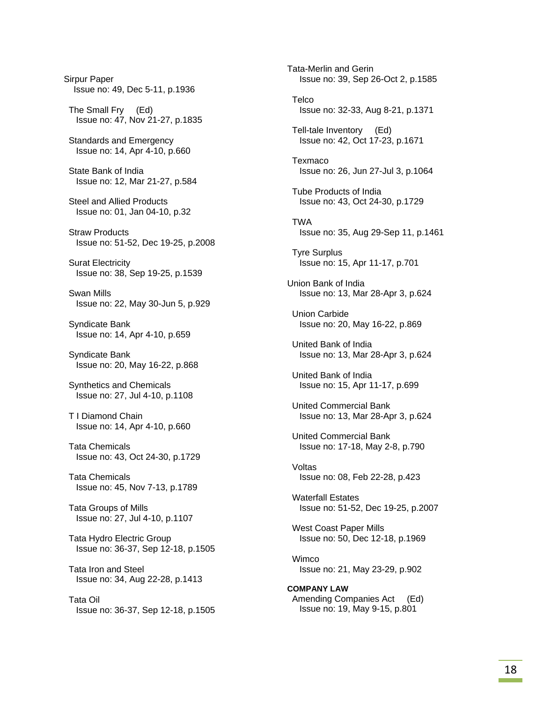Sirpur Paper Issue no: 49, Dec 5-11, p.1936 The Small Fry (Ed) Issue no: 47, Nov 21-27, p.1835 Standards and Emergency Issue no: 14, Apr 4-10, p.660 State Bank of India Issue no: 12, Mar 21-27, p.584 Steel and Allied Products Issue no: 01, Jan 04-10, p.32 Straw Products Issue no: 51-52, Dec 19-25, p.2008 Surat Electricity Issue no: 38, Sep 19-25, p.1539 Swan Mills Issue no: 22, May 30-Jun 5, p.929 Syndicate Bank Issue no: 14, Apr 4-10, p.659 Syndicate Bank Issue no: 20, May 16-22, p.868 Synthetics and Chemicals Issue no: 27, Jul 4-10, p.1108 T I Diamond Chain Issue no: 14, Apr 4-10, p.660 Tata Chemicals Issue no: 43, Oct 24-30, p.1729 Tata Chemicals Issue no: 45, Nov 7-13, p.1789 Tata Groups of Mills Issue no: 27, Jul 4-10, p.1107 Tata Hydro Electric Group Issue no: 36-37, Sep 12-18, p.1505 Tata Iron and Steel Issue no: 34, Aug 22-28, p.1413 Tata Oil Issue no: 36-37, Sep 12-18, p.1505 Tata-Merlin and Gerin Issue no: 39, Sep 26-Oct 2, p.1585 **Telco**  Issue no: 32-33, Aug 8-21, p.1371 Tell-tale Inventory (Ed) Issue no: 42, Oct 17-23, p.1671 Texmaco Issue no: 26, Jun 27-Jul 3, p.1064 Tube Products of India Issue no: 43, Oct 24-30, p.1729 TWA Issue no: 35, Aug 29-Sep 11, p.1461 Tyre Surplus Issue no: 15, Apr 11-17, p.701 Union Bank of India Issue no: 13, Mar 28-Apr 3, p.624 Union Carbide Issue no: 20, May 16-22, p.869 United Bank of India Issue no: 13, Mar 28-Apr 3, p.624 United Bank of India Issue no: 15, Apr 11-17, p.699 United Commercial Bank Issue no: 13, Mar 28-Apr 3, p.624 United Commercial Bank Issue no: 17-18, May 2-8, p.790 Voltas Issue no: 08, Feb 22-28, p.423 Waterfall Estates Issue no: 51-52, Dec 19-25, p.2007 West Coast Paper Mills Issue no: 50, Dec 12-18, p.1969 Wimco Issue no: 21, May 23-29, p.902 **COMPANY LAW**  Amending Companies Act (Ed) Issue no: 19, May 9-15, p.801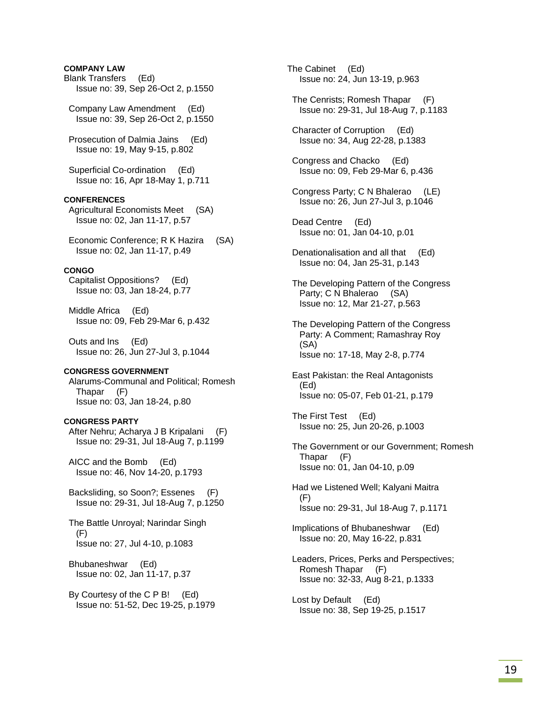### **COMPANY LAW**

- Blank Transfers (Ed) Issue no: 39, Sep 26-Oct 2, p.1550
- Company Law Amendment (Ed) Issue no: 39, Sep 26-Oct 2, p.1550
- Prosecution of Dalmia Jains (Ed) Issue no: 19, May 9-15, p.802
- Superficial Co-ordination (Ed) Issue no: 16, Apr 18-May 1, p.711

### **CONFERENCES**

 Agricultural Economists Meet (SA) Issue no: 02, Jan 11-17, p.57

 Economic Conference; R K Hazira (SA) Issue no: 02, Jan 11-17, p.49

### **CONGO**

 Capitalist Oppositions? (Ed) Issue no: 03, Jan 18-24, p.77

 Middle Africa (Ed) Issue no: 09, Feb 29-Mar 6, p.432

 Outs and Ins (Ed) Issue no: 26, Jun 27-Jul 3, p.1044

### **CONGRESS GOVERNMENT**

 Alarums-Communal and Political; Romesh Thapar (F) Issue no: 03, Jan 18-24, p.80

#### **CONGRESS PARTY**

 After Nehru; Acharya J B Kripalani (F) Issue no: 29-31, Jul 18-Aug 7, p.1199

 AICC and the Bomb (Ed) Issue no: 46, Nov 14-20, p.1793

 Backsliding, so Soon?; Essenes (F) Issue no: 29-31, Jul 18-Aug 7, p.1250

 The Battle Unroyal; Narindar Singh (F) Issue no: 27, Jul 4-10, p.1083

- Bhubaneshwar (Ed) Issue no: 02, Jan 11-17, p.37
- By Courtesy of the C P B! (Ed) Issue no: 51-52, Dec 19-25, p.1979

The Cabinet (Ed) Issue no: 24, Jun 13-19, p.963

- The Cenrists; Romesh Thapar (F) Issue no: 29-31, Jul 18-Aug 7, p.1183
- Character of Corruption (Ed) Issue no: 34, Aug 22-28, p.1383
- Congress and Chacko (Ed) Issue no: 09, Feb 29-Mar 6, p.436
- Congress Party; C N Bhalerao (LE) Issue no: 26, Jun 27-Jul 3, p.1046
- Dead Centre (Ed) Issue no: 01, Jan 04-10, p.01
- Denationalisation and all that (Ed) Issue no: 04, Jan 25-31, p.143
- The Developing Pattern of the Congress Party; C N Bhalerao (SA) Issue no: 12, Mar 21-27, p.563
- The Developing Pattern of the Congress Party: A Comment; Ramashray Roy (SA) Issue no: 17-18, May 2-8, p.774
- East Pakistan: the Real Antagonists (Ed) Issue no: 05-07, Feb 01-21, p.179

 The First Test (Ed) Issue no: 25, Jun 20-26, p.1003

- The Government or our Government; Romesh Thapar (F) Issue no: 01, Jan 04-10, p.09
- Had we Listened Well; Kalyani Maitra (F) Issue no: 29-31, Jul 18-Aug 7, p.1171
- Implications of Bhubaneshwar (Ed) Issue no: 20, May 16-22, p.831
- Leaders, Prices, Perks and Perspectives; Romesh Thapar (F) Issue no: 32-33, Aug 8-21, p.1333
- Lost by Default (Ed) Issue no: 38, Sep 19-25, p.1517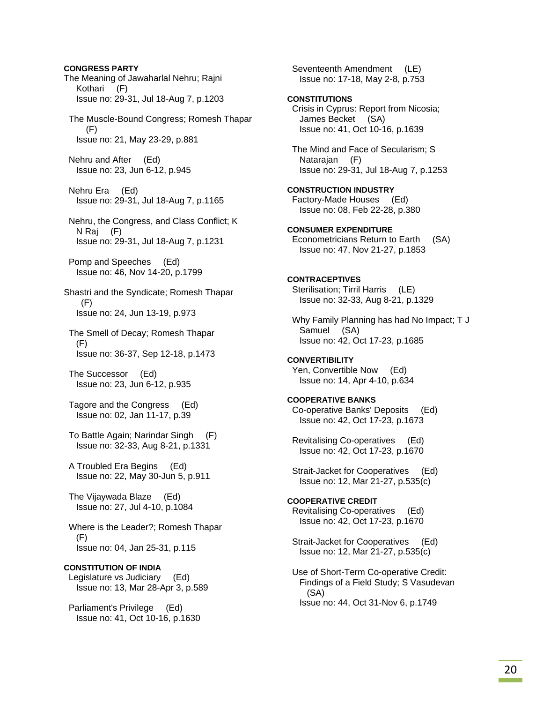**CONGRESS PARTY** The Meaning of Jawaharlal Nehru; Rajni Kothari (F) Issue no: 29-31, Jul 18-Aug 7, p.1203 The Muscle-Bound Congress; Romesh Thapar (F) Issue no: 21, May 23-29, p.881 Nehru and After (Ed) Issue no: 23, Jun 6-12, p.945 Nehru Era (Ed) Issue no: 29-31, Jul 18-Aug 7, p.1165 Nehru, the Congress, and Class Conflict; K N Raj (F) Issue no: 29-31, Jul 18-Aug 7, p.1231 Pomp and Speeches (Ed) Issue no: 46, Nov 14-20, p.1799 Shastri and the Syndicate; Romesh Thapar (F) Issue no: 24, Jun 13-19, p.973 The Smell of Decay; Romesh Thapar (F) Issue no: 36-37, Sep 12-18, p.1473 The Successor (Ed) Issue no: 23, Jun 6-12, p.935 Tagore and the Congress (Ed) Issue no: 02, Jan 11-17, p.39 To Battle Again; Narindar Singh (F) Issue no: 32-33, Aug 8-21, p.1331 A Troubled Era Begins (Ed) Issue no: 22, May 30-Jun 5, p.911 The Vijaywada Blaze (Ed) Issue no: 27, Jul 4-10, p.1084 Where is the Leader?; Romesh Thapar (F) Issue no: 04, Jan 25-31, p.115 **CONSTITUTION OF INDIA**  Legislature vs Judiciary (Ed) Issue no: 13, Mar 28-Apr 3, p.589 Parliament's Privilege (Ed) Issue no: 41, Oct 10-16, p.1630

 Seventeenth Amendment (LE) Issue no: 17-18, May 2-8, p.753 **CONSTITUTIONS**  Crisis in Cyprus: Report from Nicosia; James Becket (SA) Issue no: 41, Oct 10-16, p.1639 The Mind and Face of Secularism; S Natarajan (F) Issue no: 29-31, Jul 18-Aug 7, p.1253 **CONSTRUCTION INDUSTRY**  Factory-Made Houses (Ed) Issue no: 08, Feb 22-28, p.380 **CONSUMER EXPENDITURE**  Econometricians Return to Earth (SA) Issue no: 47, Nov 21-27, p.1853 **CONTRACEPTIVES**  Sterilisation; Tirril Harris (LE) Issue no: 32-33, Aug 8-21, p.1329 Why Family Planning has had No Impact; T J Samuel (SA) Issue no: 42, Oct 17-23, p.1685 **CONVERTIBILITY**  Yen, Convertible Now (Ed) Issue no: 14, Apr 4-10, p.634 **COOPERATIVE BANKS**  Co-operative Banks' Deposits (Ed) Issue no: 42, Oct 17-23, p.1673 Revitalising Co-operatives (Ed) Issue no: 42, Oct 17-23, p.1670 Strait-Jacket for Cooperatives (Ed) Issue no: 12, Mar 21-27, p.535(c) **COOPERATIVE CREDIT**  Revitalising Co-operatives (Ed) Issue no: 42, Oct 17-23, p.1670 Strait-Jacket for Cooperatives (Ed) Issue no: 12, Mar 21-27, p.535(c) Use of Short-Term Co-operative Credit: Findings of a Field Study; S Vasudevan (SA) Issue no: 44, Oct 31-Nov 6, p.1749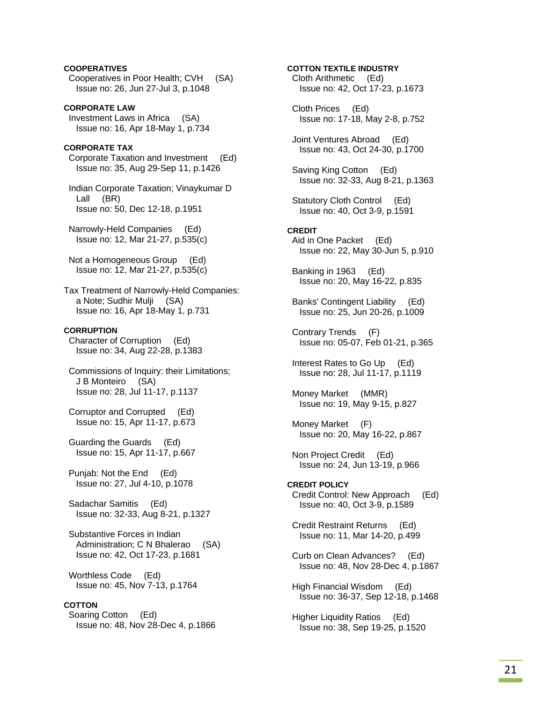### **COOPERATIVES**

 Cooperatives in Poor Health; CVH (SA) Issue no: 26, Jun 27-Jul 3, p.1048

**CORPORATE LAW**  Investment Laws in Africa (SA) Issue no: 16, Apr 18-May 1, p.734

# **CORPORATE TAX**

 Corporate Taxation and Investment (Ed) Issue no: 35, Aug 29-Sep 11, p.1426

 Indian Corporate Taxation; Vinaykumar D Lall (BR) Issue no: 50, Dec 12-18, p.1951

 Narrowly-Held Companies (Ed) Issue no: 12, Mar 21-27, p.535(c)

 Not a Homogeneous Group (Ed) Issue no: 12, Mar 21-27, p.535(c)

Tax Treatment of Narrowly-Held Companies: a Note; Sudhir Mulji (SA) Issue no: 16, Apr 18-May 1, p.731

# **CORRUPTION**

 Character of Corruption (Ed) Issue no: 34, Aug 22-28, p.1383

 Commissions of Inquiry: their Limitations; J B Monteiro (SA) Issue no: 28, Jul 11-17, p.1137

 Corruptor and Corrupted (Ed) Issue no: 15, Apr 11-17, p.673

 Guarding the Guards (Ed) Issue no: 15, Apr 11-17, p.667

 Punjab: Not the End (Ed) Issue no: 27, Jul 4-10, p.1078

 Sadachar Samitis (Ed) Issue no: 32-33, Aug 8-21, p.1327

 Substantive Forces in Indian Administration; C N Bhalerao (SA) Issue no: 42, Oct 17-23, p.1681

 Worthless Code (Ed) Issue no: 45, Nov 7-13, p.1764

# **COTTON**

 Soaring Cotton (Ed) Issue no: 48, Nov 28-Dec 4, p.1866

# **COTTON TEXTILE INDUSTRY**  Cloth Arithmetic (Ed) Issue no: 42, Oct 17-23, p.1673 Cloth Prices (Ed) Issue no: 17-18, May 2-8, p.752 Joint Ventures Abroad (Ed) Issue no: 43, Oct 24-30, p.1700 Saving King Cotton (Ed) Issue no: 32-33, Aug 8-21, p.1363 Statutory Cloth Control (Ed) Issue no: 40, Oct 3-9, p.1591 **CREDIT**  Aid in One Packet (Ed) Issue no: 22, May 30-Jun 5, p.910 Banking in 1963 (Ed) Issue no: 20, May 16-22, p.835 Banks' Contingent Liability (Ed) Issue no: 25, Jun 20-26, p.1009 Contrary Trends (F) Issue no: 05-07, Feb 01-21, p.365 Interest Rates to Go Up (Ed) Issue no: 28, Jul 11-17, p.1119 Money Market (MMR) Issue no: 19, May 9-15, p.827 Money Market (F) Issue no: 20, May 16-22, p.867

 Non Project Credit (Ed) Issue no: 24, Jun 13-19, p.966

**CREDIT POLICY**  Credit Control: New Approach (Ed) Issue no: 40, Oct 3-9, p.1589

 Credit Restraint Returns (Ed) Issue no: 11, Mar 14-20, p.499

 Curb on Clean Advances? (Ed) Issue no: 48, Nov 28-Dec 4, p.1867

 High Financial Wisdom (Ed) Issue no: 36-37, Sep 12-18, p.1468

 Higher Liquidity Ratios (Ed) Issue no: 38, Sep 19-25, p.1520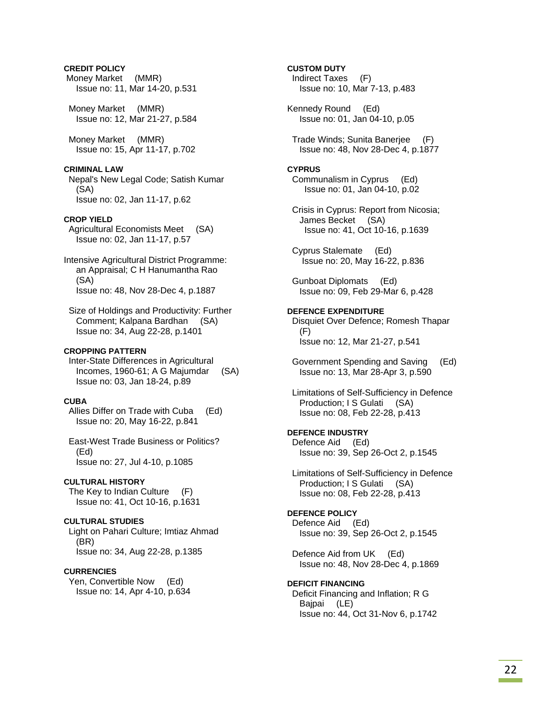### **CREDIT POLICY**

 Money Market (MMR) Issue no: 11, Mar 14-20, p.531

 Money Market (MMR) Issue no: 12, Mar 21-27, p.584

 Money Market (MMR) Issue no: 15, Apr 11-17, p.702

#### **CRIMINAL LAW**

 Nepal's New Legal Code; Satish Kumar (SA) Issue no: 02, Jan 11-17, p.62

### **CROP YIELD**

 Agricultural Economists Meet (SA) Issue no: 02, Jan 11-17, p.57

Intensive Agricultural District Programme: an Appraisal; C H Hanumantha Rao (SA) Issue no: 48, Nov 28-Dec 4, p.1887

 Size of Holdings and Productivity: Further Comment; Kalpana Bardhan (SA) Issue no: 34, Aug 22-28, p.1401

#### **CROPPING PATTERN**

 Inter-State Differences in Agricultural Incomes, 1960-61; A G Majumdar (SA) Issue no: 03, Jan 18-24, p.89

### **CUBA**

 Allies Differ on Trade with Cuba (Ed) Issue no: 20, May 16-22, p.841

 East-West Trade Business or Politics? (Ed) Issue no: 27, Jul 4-10, p.1085

#### **CULTURAL HISTORY**

 The Key to Indian Culture (F) Issue no: 41, Oct 10-16, p.1631

#### **CULTURAL STUDIES**

 Light on Pahari Culture; Imtiaz Ahmad (BR) Issue no: 34, Aug 22-28, p.1385

### **CURRENCIES**

 Yen, Convertible Now (Ed) Issue no: 14, Apr 4-10, p.634

### **CUSTOM DUTY**

 Indirect Taxes (F) Issue no: 10, Mar 7-13, p.483

Kennedy Round (Ed) Issue no: 01, Jan 04-10, p.05

 Trade Winds; Sunita Banerjee (F) Issue no: 48, Nov 28-Dec 4, p.1877

#### **CYPRUS**

 Communalism in Cyprus (Ed) Issue no: 01, Jan 04-10, p.02

 Crisis in Cyprus: Report from Nicosia; James Becket (SA) Issue no: 41, Oct 10-16, p.1639

 Cyprus Stalemate (Ed) Issue no: 20, May 16-22, p.836

 Gunboat Diplomats (Ed) Issue no: 09, Feb 29-Mar 6, p.428

### **DEFENCE EXPENDITURE**  Disquiet Over Defence; Romesh Thapar (F)

Issue no: 12, Mar 21-27, p.541

 Government Spending and Saving (Ed) Issue no: 13, Mar 28-Apr 3, p.590

 Limitations of Self-Sufficiency in Defence Production; I S Gulati (SA) Issue no: 08, Feb 22-28, p.413

### **DEFENCE INDUSTRY**

 Defence Aid (Ed) Issue no: 39, Sep 26-Oct 2, p.1545

 Limitations of Self-Sufficiency in Defence Production; I S Gulati (SA) Issue no: 08, Feb 22-28, p.413

### **DEFENCE POLICY**

 Defence Aid (Ed) Issue no: 39, Sep 26-Oct 2, p.1545

 Defence Aid from UK (Ed) Issue no: 48, Nov 28-Dec 4, p.1869

### **DEFICIT FINANCING**  Deficit Financing and Inflation; R G Bajpai (LE) Issue no: 44, Oct 31-Nov 6, p.1742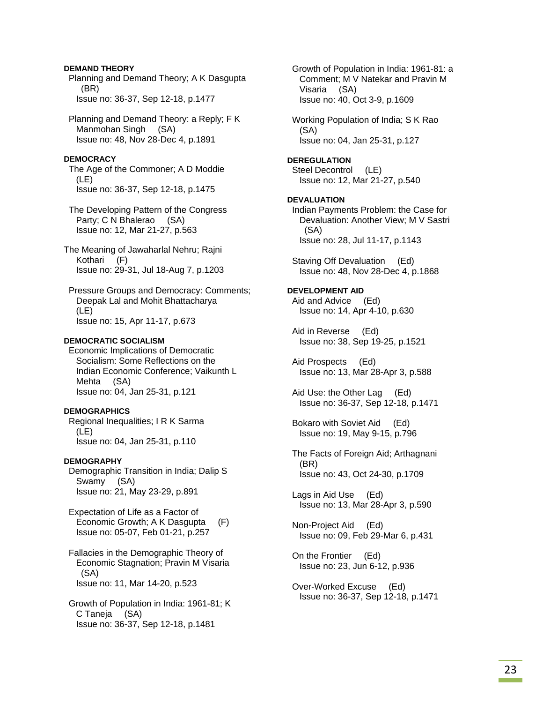### **DEMAND THEORY**

 Planning and Demand Theory; A K Dasgupta (BR) Issue no: 36-37, Sep 12-18, p.1477

 Planning and Demand Theory: a Reply; F K Manmohan Singh (SA) Issue no: 48, Nov 28-Dec 4, p.1891

# **DEMOCRACY**

 The Age of the Commoner; A D Moddie (LE) Issue no: 36-37, Sep 12-18, p.1475

 The Developing Pattern of the Congress Party; C N Bhalerao (SA) Issue no: 12, Mar 21-27, p.563

The Meaning of Jawaharlal Nehru; Rajni Kothari (F) Issue no: 29-31, Jul 18-Aug 7, p.1203

 Pressure Groups and Democracy: Comments; Deepak Lal and Mohit Bhattacharya (LE) Issue no: 15, Apr 11-17, p.673

# **DEMOCRATIC SOCIALISM**

 Economic Implications of Democratic Socialism: Some Reflections on the Indian Economic Conference; Vaikunth L Mehta (SA) Issue no: 04, Jan 25-31, p.121

# **DEMOGRAPHICS**

 Regional Inequalities; I R K Sarma (LE) Issue no: 04, Jan 25-31, p.110

# **DEMOGRAPHY**

 Demographic Transition in India; Dalip S Swamy (SA) Issue no: 21, May 23-29, p.891

 Expectation of Life as a Factor of Economic Growth; A K Dasgupta (F) Issue no: 05-07, Feb 01-21, p.257

 Fallacies in the Demographic Theory of Economic Stagnation; Pravin M Visaria (SA) Issue no: 11, Mar 14-20, p.523

 Growth of Population in India: 1961-81; K C Taneja (SA) Issue no: 36-37, Sep 12-18, p.1481

 Growth of Population in India: 1961-81: a Comment; M V Natekar and Pravin M Visaria (SA) Issue no: 40, Oct 3-9, p.1609

 Working Population of India; S K Rao (SA) Issue no: 04, Jan 25-31, p.127

# **DEREGULATION**

 Steel Decontrol (LE) Issue no: 12, Mar 21-27, p.540

# **DEVALUATION**

 Indian Payments Problem: the Case for Devaluation: Another View; M V Sastri (SA) Issue no: 28, Jul 11-17, p.1143

 Staving Off Devaluation (Ed) Issue no: 48, Nov 28-Dec 4, p.1868

# **DEVELOPMENT AID**

 Aid and Advice (Ed) Issue no: 14, Apr 4-10, p.630

 Aid in Reverse (Ed) Issue no: 38, Sep 19-25, p.1521

 Aid Prospects (Ed) Issue no: 13, Mar 28-Apr 3, p.588

 Aid Use: the Other Lag (Ed) Issue no: 36-37, Sep 12-18, p.1471

 Bokaro with Soviet Aid (Ed) Issue no: 19, May 9-15, p.796

 The Facts of Foreign Aid; Arthagnani (BR) Issue no: 43, Oct 24-30, p.1709

 Lags in Aid Use (Ed) Issue no: 13, Mar 28-Apr 3, p.590

 Non-Project Aid (Ed) Issue no: 09, Feb 29-Mar 6, p.431

 On the Frontier (Ed) Issue no: 23, Jun 6-12, p.936

 Over-Worked Excuse (Ed) Issue no: 36-37, Sep 12-18, p.1471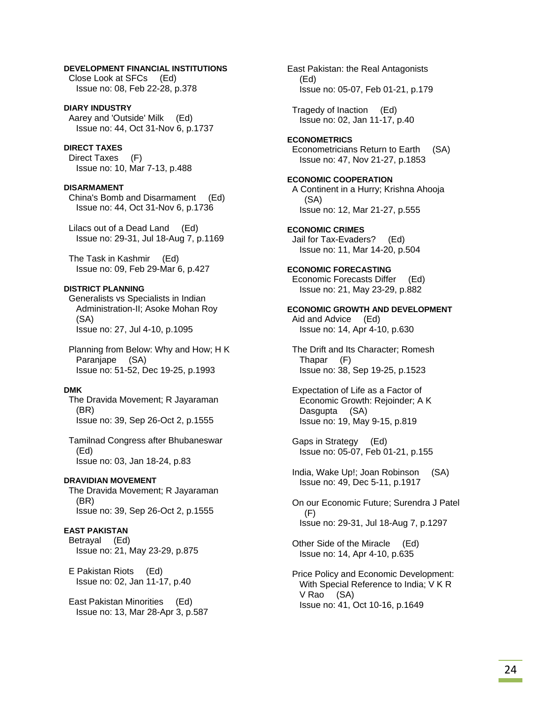### **DEVELOPMENT FINANCIAL INSTITUTIONS**

 Close Look at SFCs (Ed) Issue no: 08, Feb 22-28, p.378

**DIARY INDUSTRY**  Aarey and 'Outside' Milk (Ed) Issue no: 44, Oct 31-Nov 6, p.1737

#### **DIRECT TAXES**

 Direct Taxes (F) Issue no: 10, Mar 7-13, p.488

#### **DISARMAMENT**

 China's Bomb and Disarmament (Ed) Issue no: 44, Oct 31-Nov 6, p.1736

 Lilacs out of a Dead Land (Ed) Issue no: 29-31, Jul 18-Aug 7, p.1169

 The Task in Kashmir (Ed) Issue no: 09, Feb 29-Mar 6, p.427

### **DISTRICT PLANNING**

 Generalists vs Specialists in Indian Administration-II; Asoke Mohan Roy (SA) Issue no: 27, Jul 4-10, p.1095

 Planning from Below: Why and How; H K Paranjape (SA) Issue no: 51-52, Dec 19-25, p.1993

#### **DMK**

 The Dravida Movement; R Jayaraman (BR) Issue no: 39, Sep 26-Oct 2, p.1555

 Tamilnad Congress after Bhubaneswar (Ed) Issue no: 03, Jan 18-24, p.83

#### **DRAVIDIAN MOVEMENT**

 The Dravida Movement; R Jayaraman (BR) Issue no: 39, Sep 26-Oct 2, p.1555

### **EAST PAKISTAN**

 Betrayal (Ed) Issue no: 21, May 23-29, p.875

 E Pakistan Riots (Ed) Issue no: 02, Jan 11-17, p.40

 East Pakistan Minorities (Ed) Issue no: 13, Mar 28-Apr 3, p.587 East Pakistan: the Real Antagonists (Ed) Issue no: 05-07, Feb 01-21, p.179

 Tragedy of Inaction (Ed) Issue no: 02, Jan 11-17, p.40

**ECONOMETRICS**  Econometricians Return to Earth (SA) Issue no: 47, Nov 21-27, p.1853

### **ECONOMIC COOPERATION**  A Continent in a Hurry; Krishna Ahooja (SA) Issue no: 12, Mar 21-27, p.555

**ECONOMIC CRIMES**  Jail for Tax-Evaders? (Ed) Issue no: 11, Mar 14-20, p.504

**ECONOMIC FORECASTING**  Economic Forecasts Differ (Ed) Issue no: 21, May 23-29, p.882

#### **ECONOMIC GROWTH AND DEVELOPMENT**  Aid and Advice (Ed)

Issue no: 14, Apr 4-10, p.630

 The Drift and Its Character; Romesh Thapar (F) Issue no: 38, Sep 19-25, p.1523

 Expectation of Life as a Factor of Economic Growth: Rejoinder; A K Dasgupta (SA) Issue no: 19, May 9-15, p.819

 Gaps in Strategy (Ed) Issue no: 05-07, Feb 01-21, p.155

 India, Wake Up!; Joan Robinson (SA) Issue no: 49, Dec 5-11, p.1917

 On our Economic Future; Surendra J Patel (F) Issue no: 29-31, Jul 18-Aug 7, p.1297

 Other Side of the Miracle (Ed) Issue no: 14, Apr 4-10, p.635

 Price Policy and Economic Development: With Special Reference to India; V K R V Rao (SA) Issue no: 41, Oct 10-16, p.1649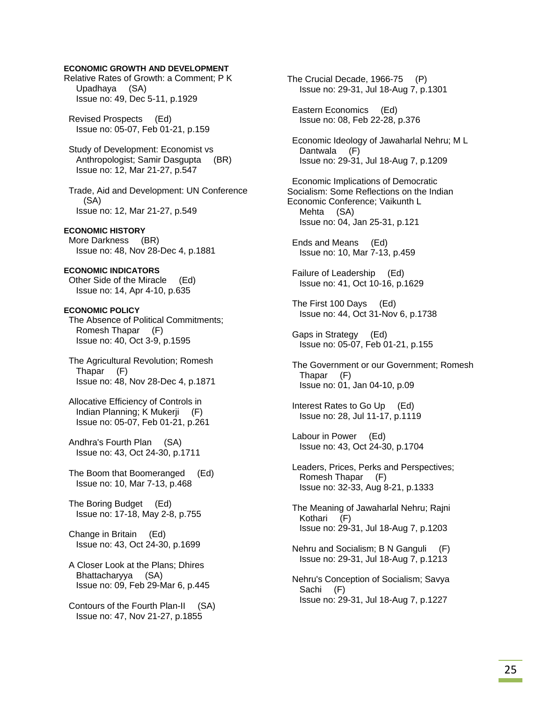### **ECONOMIC GROWTH AND DEVELOPMENT**

Relative Rates of Growth: a Comment; P K Upadhaya (SA) Issue no: 49, Dec 5-11, p.1929

 Revised Prospects (Ed) Issue no: 05-07, Feb 01-21, p.159

 Study of Development: Economist vs Anthropologist; Samir Dasgupta (BR) Issue no: 12, Mar 21-27, p.547

 Trade, Aid and Development: UN Conference (SA) Issue no: 12, Mar 21-27, p.549

### **ECONOMIC HISTORY**

 More Darkness (BR) Issue no: 48, Nov 28-Dec 4, p.1881

# **ECONOMIC INDICATORS**

 Other Side of the Miracle (Ed) Issue no: 14, Apr 4-10, p.635

### **ECONOMIC POLICY**

 The Absence of Political Commitments; Romesh Thapar (F) Issue no: 40, Oct 3-9, p.1595

 The Agricultural Revolution; Romesh Thapar (F) Issue no: 48, Nov 28-Dec 4, p.1871

 Allocative Efficiency of Controls in Indian Planning; K Mukerji (F) Issue no: 05-07, Feb 01-21, p.261

 Andhra's Fourth Plan (SA) Issue no: 43, Oct 24-30, p.1711

 The Boom that Boomeranged (Ed) Issue no: 10, Mar 7-13, p.468

 The Boring Budget (Ed) Issue no: 17-18, May 2-8, p.755

 Change in Britain (Ed) Issue no: 43, Oct 24-30, p.1699

 A Closer Look at the Plans; Dhires Bhattacharyya (SA) Issue no: 09, Feb 29-Mar 6, p.445

 Contours of the Fourth Plan-II (SA) Issue no: 47, Nov 21-27, p.1855

The Crucial Decade, 1966-75 (P) Issue no: 29-31, Jul 18-Aug 7, p.1301

 Eastern Economics (Ed) Issue no: 08, Feb 22-28, p.376

 Economic Ideology of Jawaharlal Nehru; M L Dantwala (F) Issue no: 29-31, Jul 18-Aug 7, p.1209

 Economic Implications of Democratic Socialism: Some Reflections on the Indian Economic Conference; Vaikunth L Mehta (SA) Issue no: 04, Jan 25-31, p.121

 Ends and Means (Ed) Issue no: 10, Mar 7-13, p.459

 Failure of Leadership (Ed) Issue no: 41, Oct 10-16, p.1629

 The First 100 Days (Ed) Issue no: 44, Oct 31-Nov 6, p.1738

 Gaps in Strategy (Ed) Issue no: 05-07, Feb 01-21, p.155

 The Government or our Government; Romesh Thapar (F) Issue no: 01, Jan 04-10, p.09

 Interest Rates to Go Up (Ed) Issue no: 28, Jul 11-17, p.1119

 Labour in Power (Ed) Issue no: 43, Oct 24-30, p.1704

 Leaders, Prices, Perks and Perspectives; Romesh Thapar (F) Issue no: 32-33, Aug 8-21, p.1333

 The Meaning of Jawaharlal Nehru; Rajni Kothari (F) Issue no: 29-31, Jul 18-Aug 7, p.1203

 Nehru and Socialism; B N Ganguli (F) Issue no: 29-31, Jul 18-Aug 7, p.1213

 Nehru's Conception of Socialism; Savya Sachi (F) Issue no: 29-31, Jul 18-Aug 7, p.1227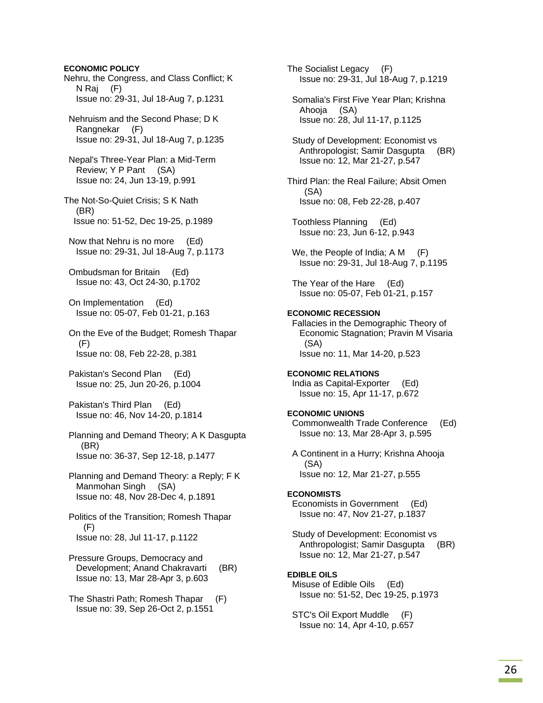#### **ECONOMIC POLICY**

Nehru, the Congress, and Class Conflict; K N Raj (F) Issue no: 29-31, Jul 18-Aug 7, p.1231

 Nehruism and the Second Phase; D K Rangnekar (F) Issue no: 29-31, Jul 18-Aug 7, p.1235

 Nepal's Three-Year Plan: a Mid-Term Review; Y P Pant (SA) Issue no: 24, Jun 13-19, p.991

The Not-So-Quiet Crisis; S K Nath (BR) Issue no: 51-52, Dec 19-25, p.1989

 Now that Nehru is no more (Ed) Issue no: 29-31, Jul 18-Aug 7, p.1173

 Ombudsman for Britain (Ed) Issue no: 43, Oct 24-30, p.1702

 On Implementation (Ed) Issue no: 05-07, Feb 01-21, p.163

 On the Eve of the Budget; Romesh Thapar (F) Issue no: 08, Feb 22-28, p.381

 Pakistan's Second Plan (Ed) Issue no: 25, Jun 20-26, p.1004

 Pakistan's Third Plan (Ed) Issue no: 46, Nov 14-20, p.1814

 Planning and Demand Theory; A K Dasgupta (BR) Issue no: 36-37, Sep 12-18, p.1477

 Planning and Demand Theory: a Reply; F K Manmohan Singh (SA) Issue no: 48, Nov 28-Dec 4, p.1891

 Politics of the Transition; Romesh Thapar (F) Issue no: 28, Jul 11-17, p.1122

 Pressure Groups, Democracy and Development; Anand Chakravarti (BR) Issue no: 13, Mar 28-Apr 3, p.603

 The Shastri Path; Romesh Thapar (F) Issue no: 39, Sep 26-Oct 2, p.1551

The Socialist Legacy (F) Issue no: 29-31, Jul 18-Aug 7, p.1219

 Somalia's First Five Year Plan; Krishna Ahooja (SA) Issue no: 28, Jul 11-17, p.1125

 Study of Development: Economist vs Anthropologist; Samir Dasgupta (BR) Issue no: 12, Mar 21-27, p.547

Third Plan: the Real Failure; Absit Omen (SA) Issue no: 08, Feb 22-28, p.407

 Toothless Planning (Ed) Issue no: 23, Jun 6-12, p.943

We, the People of India; A M (F) Issue no: 29-31, Jul 18-Aug 7, p.1195

 The Year of the Hare (Ed) Issue no: 05-07, Feb 01-21, p.157

#### **ECONOMIC RECESSION**

 Fallacies in the Demographic Theory of Economic Stagnation; Pravin M Visaria (SA) Issue no: 11, Mar 14-20, p.523

# **ECONOMIC RELATIONS**  India as Capital-Exporter (Ed)

Issue no: 15, Apr 11-17, p.672

# **ECONOMIC UNIONS**

 Commonwealth Trade Conference (Ed) Issue no: 13, Mar 28-Apr 3, p.595

 A Continent in a Hurry; Krishna Ahooja (SA) Issue no: 12, Mar 21-27, p.555

### **ECONOMISTS**

 Economists in Government (Ed) Issue no: 47, Nov 21-27, p.1837

 Study of Development: Economist vs Anthropologist; Samir Dasgupta (BR) Issue no: 12, Mar 21-27, p.547

#### **EDIBLE OILS**

 Misuse of Edible Oils (Ed) Issue no: 51-52, Dec 19-25, p.1973

 STC's Oil Export Muddle (F) Issue no: 14, Apr 4-10, p.657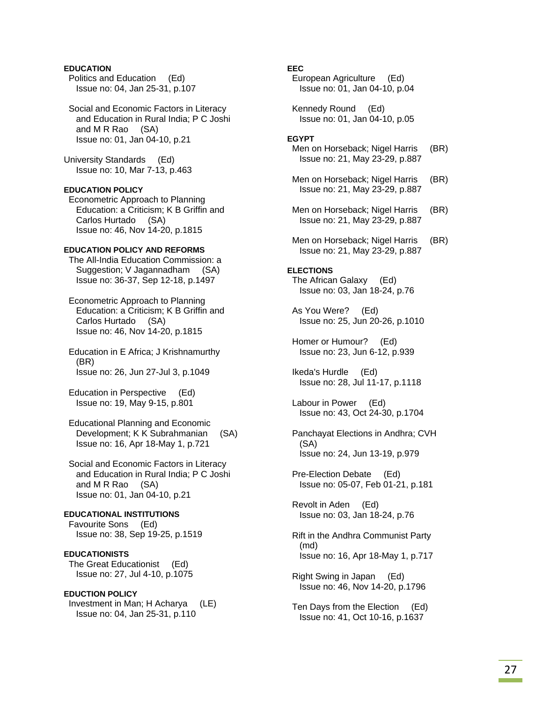### **EDUCATION**

 Politics and Education (Ed) Issue no: 04, Jan 25-31, p.107

 Social and Economic Factors in Literacy and Education in Rural India; P C Joshi and M R Rao (SA) Issue no: 01, Jan 04-10, p.21

University Standards (Ed) Issue no: 10, Mar 7-13, p.463

### **EDUCATION POLICY**

 Econometric Approach to Planning Education: a Criticism; K B Griffin and Carlos Hurtado (SA) Issue no: 46, Nov 14-20, p.1815

### **EDUCATION POLICY AND REFORMS**

 The All-India Education Commission: a Suggestion; V Jagannadham (SA) Issue no: 36-37, Sep 12-18, p.1497

 Econometric Approach to Planning Education: a Criticism; K B Griffin and Carlos Hurtado (SA) Issue no: 46, Nov 14-20, p.1815

 Education in E Africa; J Krishnamurthy (BR) Issue no: 26, Jun 27-Jul 3, p.1049

 Education in Perspective (Ed) Issue no: 19, May 9-15, p.801

 Educational Planning and Economic Development; K K Subrahmanian (SA) Issue no: 16, Apr 18-May 1, p.721

 Social and Economic Factors in Literacy and Education in Rural India; P C Joshi and M R Rao (SA) Issue no: 01, Jan 04-10, p.21

## **EDUCATIONAL INSTITUTIONS**

 Favourite Sons (Ed) Issue no: 38, Sep 19-25, p.1519

**EDUCATIONISTS**  The Great Educationist (Ed) Issue no: 27, Jul 4-10, p.1075

**EDUCTION POLICY**  Investment in Man; H Acharya (LE) Issue no: 04, Jan 25-31, p.110

### **EEC**

 European Agriculture (Ed) Issue no: 01, Jan 04-10, p.04

 Kennedy Round (Ed) Issue no: 01, Jan 04-10, p.05

#### **EGYPT**

- Men on Horseback; Nigel Harris (BR) Issue no: 21, May 23-29, p.887
- Men on Horseback; Nigel Harris (BR) Issue no: 21, May 23-29, p.887
- Men on Horseback; Nigel Harris (BR) Issue no: 21, May 23-29, p.887
- Men on Horseback; Nigel Harris (BR) Issue no: 21, May 23-29, p.887

### **ELECTIONS**

 The African Galaxy (Ed) Issue no: 03, Jan 18-24, p.76

 As You Were? (Ed) Issue no: 25, Jun 20-26, p.1010

 Homer or Humour? (Ed) Issue no: 23, Jun 6-12, p.939

 Ikeda's Hurdle (Ed) Issue no: 28, Jul 11-17, p.1118

 Labour in Power (Ed) Issue no: 43, Oct 24-30, p.1704

 Panchayat Elections in Andhra; CVH (SA) Issue no: 24, Jun 13-19, p.979

 Pre-Election Debate (Ed) Issue no: 05-07, Feb 01-21, p.181

 Revolt in Aden (Ed) Issue no: 03, Jan 18-24, p.76

- Rift in the Andhra Communist Party (md) Issue no: 16, Apr 18-May 1, p.717
- Right Swing in Japan (Ed) Issue no: 46, Nov 14-20, p.1796

 Ten Days from the Election (Ed) Issue no: 41, Oct 10-16, p.1637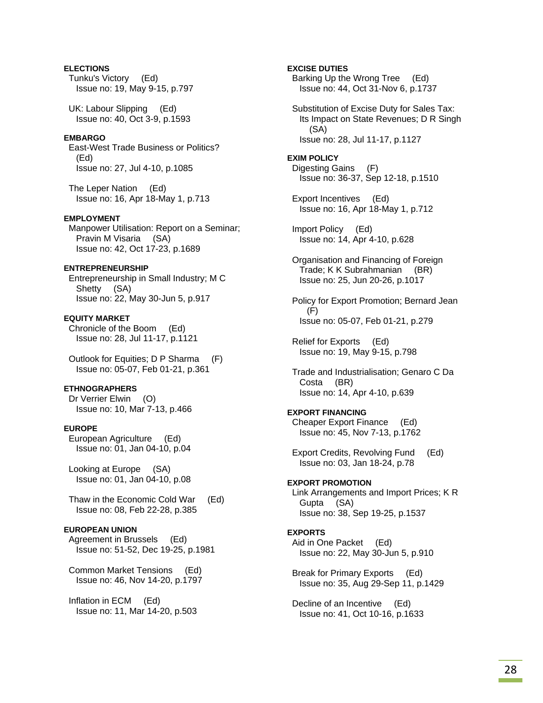**ELECTIONS**  Tunku's Victory (Ed) Issue no: 19, May 9-15, p.797 UK: Labour Slipping (Ed) Issue no: 40, Oct 3-9, p.1593 **EMBARGO**  East-West Trade Business or Politics? (Ed) Issue no: 27, Jul 4-10, p.1085 The Leper Nation (Ed) Issue no: 16, Apr 18-May 1, p.713 **EMPLOYMENT**  Manpower Utilisation: Report on a Seminar; Pravin M Visaria (SA) Issue no: 42, Oct 17-23, p.1689 **ENTREPRENEURSHIP**  Entrepreneurship in Small Industry; M C Shetty (SA) Issue no: 22, May 30-Jun 5, p.917 **EQUITY MARKET**  Chronicle of the Boom (Ed) Issue no: 28, Jul 11-17, p.1121 Outlook for Equities; D P Sharma (F) Issue no: 05-07, Feb 01-21, p.361 **ETHNOGRAPHERS**  Dr Verrier Elwin (O) Issue no: 10, Mar 7-13, p.466 **EUROPE**  European Agriculture (Ed) Issue no: 01, Jan 04-10, p.04 Looking at Europe (SA) Issue no: 01, Jan 04-10, p.08 Thaw in the Economic Cold War (Ed) Issue no: 08, Feb 22-28, p.385 **EUROPEAN UNION**  Agreement in Brussels (Ed) Issue no: 51-52, Dec 19-25, p.1981 Common Market Tensions (Ed) Issue no: 46, Nov 14-20, p.1797 Inflation in ECM (Ed) Issue no: 11, Mar 14-20, p.503

**EXCISE DUTIES**  Barking Up the Wrong Tree (Ed) Issue no: 44, Oct 31-Nov 6, p.1737 Substitution of Excise Duty for Sales Tax: Its Impact on State Revenues; D R Singh (SA) Issue no: 28, Jul 11-17, p.1127 **EXIM POLICY**  Digesting Gains (F) Issue no: 36-37, Sep 12-18, p.1510 Export Incentives (Ed) Issue no: 16, Apr 18-May 1, p.712 Import Policy (Ed) Issue no: 14, Apr 4-10, p.628 Organisation and Financing of Foreign Trade; K K Subrahmanian (BR) Issue no: 25, Jun 20-26, p.1017 Policy for Export Promotion; Bernard Jean (F) Issue no: 05-07, Feb 01-21, p.279 Relief for Exports (Ed) Issue no: 19, May 9-15, p.798 Trade and Industrialisation; Genaro C Da Costa (BR) Issue no: 14, Apr 4-10, p.639 **EXPORT FINANCING**  Cheaper Export Finance (Ed) Issue no: 45, Nov 7-13, p.1762 Export Credits, Revolving Fund (Ed) Issue no: 03, Jan 18-24, p.78 **EXPORT PROMOTION**  Link Arrangements and Import Prices; K R Gupta (SA) Issue no: 38, Sep 19-25, p.1537 **EXPORTS**  Aid in One Packet (Ed) Issue no: 22, May 30-Jun 5, p.910 Break for Primary Exports (Ed) Issue no: 35, Aug 29-Sep 11, p.1429 Decline of an Incentive (Ed) Issue no: 41, Oct 10-16, p.1633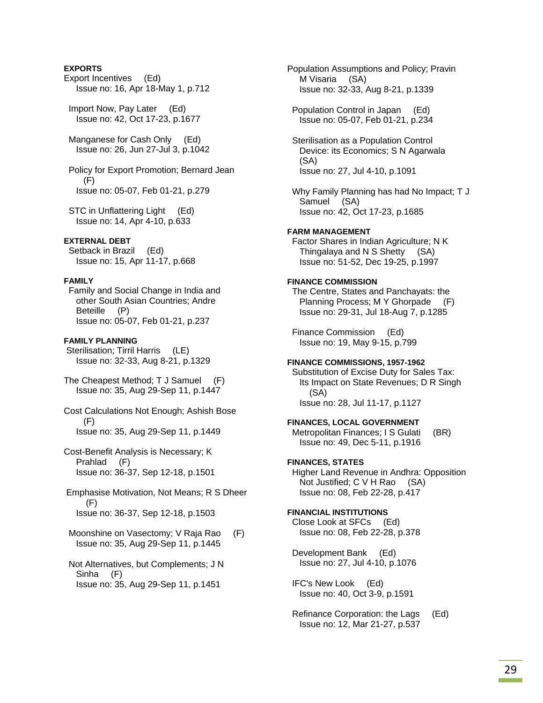### **EXPORTS**

- Export Incentives (Ed) Issue no: 16, Apr 18-May 1, p.712
- Import Now, Pay Later (Ed) Issue no: 42, Oct 17-23, p.1677
- Manganese for Cash Only (Ed) Issue no: 26, Jun 27-Jul 3, p.1042

 Policy for Export Promotion; Bernard Jean (F) Issue no: 05-07, Feb 01-21, p.279

 STC in Unflattering Light (Ed) Issue no: 14, Apr 4-10, p.633

### **EXTERNAL DEBT**

 Setback in Brazil (Ed) Issue no: 15, Apr 11-17, p.668

#### **FAMILY**

 Family and Social Change in India and other South Asian Countries; Andre Beteille (P) Issue no: 05-07, Feb 01-21, p.237

#### **FAMILY PLANNING**

 Sterilisation; Tirril Harris (LE) Issue no: 32-33, Aug 8-21, p.1329

The Cheapest Method; T J Samuel (F) Issue no: 35, Aug 29-Sep 11, p.1447

- Cost Calculations Not Enough; Ashish Bose (F) Issue no: 35, Aug 29-Sep 11, p.1449
- Cost-Benefit Analysis is Necessary; K Prahlad (F) Issue no: 36-37, Sep 12-18, p.1501

 Emphasise Motivation, Not Means; R S Dheer (F) Issue no: 36-37, Sep 12-18, p.1503

 Moonshine on Vasectomy; V Raja Rao (F) Issue no: 35, Aug 29-Sep 11, p.1445

 Not Alternatives, but Complements; J N Sinha (F) Issue no: 35, Aug 29-Sep 11, p.1451

Population Assumptions and Policy; Pravin M Visaria (SA) Issue no: 32-33, Aug 8-21, p.1339

 Population Control in Japan (Ed) Issue no: 05-07, Feb 01-21, p.234

 Sterilisation as a Population Control Device: its Economics; S N Agarwala (SA) Issue no: 27, Jul 4-10, p.1091

 Why Family Planning has had No Impact; T J Samuel (SA) Issue no: 42, Oct 17-23, p.1685

#### **FARM MANAGEMENT**

 Factor Shares in Indian Agriculture; N K Thingalaya and N S Shetty (SA) Issue no: 51-52, Dec 19-25, p.1997

#### **FINANCE COMMISSION**

 The Centre, States and Panchayats: the Planning Process; M Y Ghorpade (F) Issue no: 29-31, Jul 18-Aug 7, p.1285

 Finance Commission (Ed) Issue no: 19, May 9-15, p.799

#### **FINANCE COMMISSIONS, 1957-1962**

 Substitution of Excise Duty for Sales Tax: Its Impact on State Revenues; D R Singh (SA) Issue no: 28, Jul 11-17, p.1127

#### **FINANCES, LOCAL GOVERNMENT**

Metropolitan Finances; I S Gulati (BR) Issue no: 49, Dec 5-11, p.1916

### **FINANCES, STATES**

 Higher Land Revenue in Andhra: Opposition Not Justified; C V H Rao (SA) Issue no: 08, Feb 22-28, p.417

### **FINANCIAL INSTITUTIONS**

 Close Look at SFCs (Ed) Issue no: 08, Feb 22-28, p.378

 Development Bank (Ed) Issue no: 27, Jul 4-10, p.1076

 IFC's New Look (Ed) Issue no: 40, Oct 3-9, p.1591

 Refinance Corporation: the Lags (Ed) Issue no: 12, Mar 21-27, p.537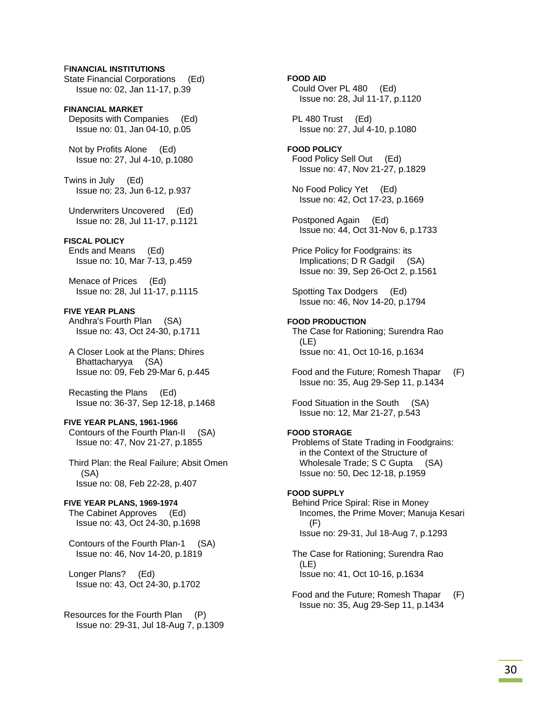### F**INANCIAL INSTITUTIONS**

State Financial Corporations (Ed) Issue no: 02, Jan 11-17, p.39

**FINANCIAL MARKET**  Deposits with Companies (Ed) Issue no: 01, Jan 04-10, p.05

 Not by Profits Alone (Ed) Issue no: 27, Jul 4-10, p.1080

Twins in July (Ed) Issue no: 23, Jun 6-12, p.937

 Underwriters Uncovered (Ed) Issue no: 28, Jul 11-17, p.1121

#### **FISCAL POLICY**

 Ends and Means (Ed) Issue no: 10, Mar 7-13, p.459

 Menace of Prices (Ed) Issue no: 28, Jul 11-17, p.1115

**FIVE YEAR PLANS**  Andhra's Fourth Plan (SA) Issue no: 43, Oct 24-30, p.1711

 A Closer Look at the Plans; Dhires Bhattacharyya (SA) Issue no: 09, Feb 29-Mar 6, p.445

 Recasting the Plans (Ed) Issue no: 36-37, Sep 12-18, p.1468

#### **FIVE YEAR PLANS, 1961-1966**

 Contours of the Fourth Plan-II (SA) Issue no: 47, Nov 21-27, p.1855

 Third Plan: the Real Failure; Absit Omen (SA) Issue no: 08, Feb 22-28, p.407

#### **FIVE YEAR PLANS, 1969-1974**

 The Cabinet Approves (Ed) Issue no: 43, Oct 24-30, p.1698

 Contours of the Fourth Plan-1 (SA) Issue no: 46, Nov 14-20, p.1819

 Longer Plans? (Ed) Issue no: 43, Oct 24-30, p.1702

Resources for the Fourth Plan (P) Issue no: 29-31, Jul 18-Aug 7, p.1309 **FOOD AID**  Could Over PL 480 (Ed) Issue no: 28, Jul 11-17, p.1120

PL 480 Trust (Ed) Issue no: 27, Jul 4-10, p.1080

**FOOD POLICY**  Food Policy Sell Out (Ed) Issue no: 47, Nov 21-27, p.1829

 No Food Policy Yet (Ed) Issue no: 42, Oct 17-23, p.1669

 Postponed Again (Ed) Issue no: 44, Oct 31-Nov 6, p.1733

 Price Policy for Foodgrains: its Implications; D R Gadgil (SA) Issue no: 39, Sep 26-Oct 2, p.1561

 Spotting Tax Dodgers (Ed) Issue no: 46, Nov 14-20, p.1794

### **FOOD PRODUCTION**

 The Case for Rationing; Surendra Rao (LE) Issue no: 41, Oct 10-16, p.1634

 Food and the Future; Romesh Thapar (F) Issue no: 35, Aug 29-Sep 11, p.1434

 Food Situation in the South (SA) Issue no: 12, Mar 21-27, p.543

#### **FOOD STORAGE**

 Problems of State Trading in Foodgrains: in the Context of the Structure of Wholesale Trade; S C Gupta (SA) Issue no: 50, Dec 12-18, p.1959

#### **FOOD SUPPLY**

 Behind Price Spiral: Rise in Money Incomes, the Prime Mover; Manuja Kesari (F) Issue no: 29-31, Jul 18-Aug 7, p.1293

 The Case for Rationing; Surendra Rao (LE) Issue no: 41, Oct 10-16, p.1634

 Food and the Future; Romesh Thapar (F) Issue no: 35, Aug 29-Sep 11, p.1434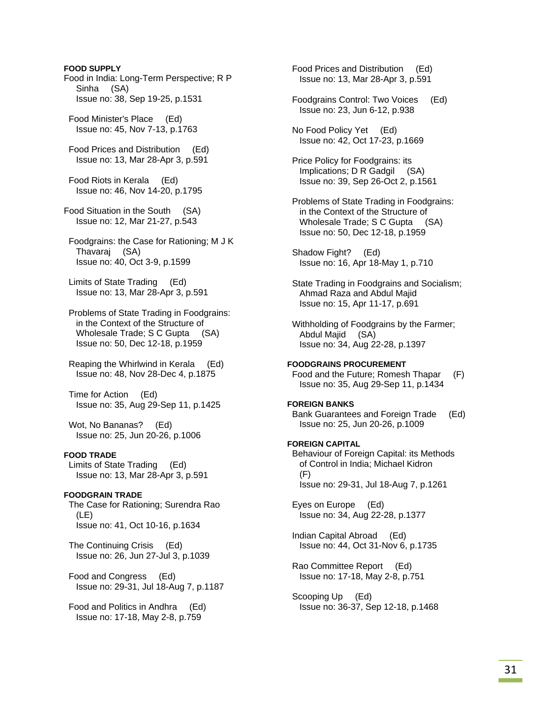**FOOD SUPPLY**  Food in India: Long-Term Perspective; R P Sinha (SA) Issue no: 38, Sep 19-25, p.1531 Food Minister's Place (Ed) Issue no: 45, Nov 7-13, p.1763 Food Prices and Distribution (Ed) Issue no: 13, Mar 28-Apr 3, p.591 Food Riots in Kerala (Ed) Issue no: 46, Nov 14-20, p.1795 Food Situation in the South (SA) Issue no: 12, Mar 21-27, p.543 Foodgrains: the Case for Rationing; M J K Thavaraj (SA) Issue no: 40, Oct 3-9, p.1599 Limits of State Trading (Ed) Issue no: 13, Mar 28-Apr 3, p.591 Problems of State Trading in Foodgrains: in the Context of the Structure of Wholesale Trade; S C Gupta (SA) Issue no: 50, Dec 12-18, p.1959 Reaping the Whirlwind in Kerala (Ed) Issue no: 48, Nov 28-Dec 4, p.1875 Time for Action (Ed) Issue no: 35, Aug 29-Sep 11, p.1425 Wot, No Bananas? (Ed) Issue no: 25, Jun 20-26, p.1006 **FOOD TRADE**  Limits of State Trading (Ed) Issue no: 13, Mar 28-Apr 3, p.591 **FOODGRAIN TRADE**  The Case for Rationing; Surendra Rao  $(1F)$  Issue no: 41, Oct 10-16, p.1634 The Continuing Crisis (Ed) Issue no: 26, Jun 27-Jul 3, p.1039 Food and Congress (Ed) Issue no: 29-31, Jul 18-Aug 7, p.1187 Food and Politics in Andhra (Ed) Issue no: 17-18, May 2-8, p.759 Food Prices and Distribution (Ed) Issue no: 13, Mar 28-Apr 3, p.591

 Foodgrains Control: Two Voices (Ed) Issue no: 23, Jun 6-12, p.938 No Food Policy Yet (Ed) Issue no: 42, Oct 17-23, p.1669 Price Policy for Foodgrains: its Implications; D R Gadgil (SA) Issue no: 39, Sep 26-Oct 2, p.1561 Problems of State Trading in Foodgrains: in the Context of the Structure of Wholesale Trade; S C Gupta (SA) Issue no: 50, Dec 12-18, p.1959 Shadow Fight? (Ed) Issue no: 16, Apr 18-May 1, p.710 State Trading in Foodgrains and Socialism; Ahmad Raza and Abdul Majid Issue no: 15, Apr 11-17, p.691 Withholding of Foodgrains by the Farmer; Abdul Majid (SA) Issue no: 34, Aug 22-28, p.1397 **FOODGRAINS PROCUREMENT**  Food and the Future; Romesh Thapar (F) Issue no: 35, Aug 29-Sep 11, p.1434 **FOREIGN BANKS**  Bank Guarantees and Foreign Trade (Ed) Issue no: 25, Jun 20-26, p.1009 **FOREIGN CAPITAL**  Behaviour of Foreign Capital: its Methods of Control in India; Michael Kidron (F) Issue no: 29-31, Jul 18-Aug 7, p.1261 Eyes on Europe (Ed) Issue no: 34, Aug 22-28, p.1377 Indian Capital Abroad (Ed) Issue no: 44, Oct 31-Nov 6, p.1735 Rao Committee Report (Ed) Issue no: 17-18, May 2-8, p.751

 Scooping Up (Ed) Issue no: 36-37, Sep 12-18, p.1468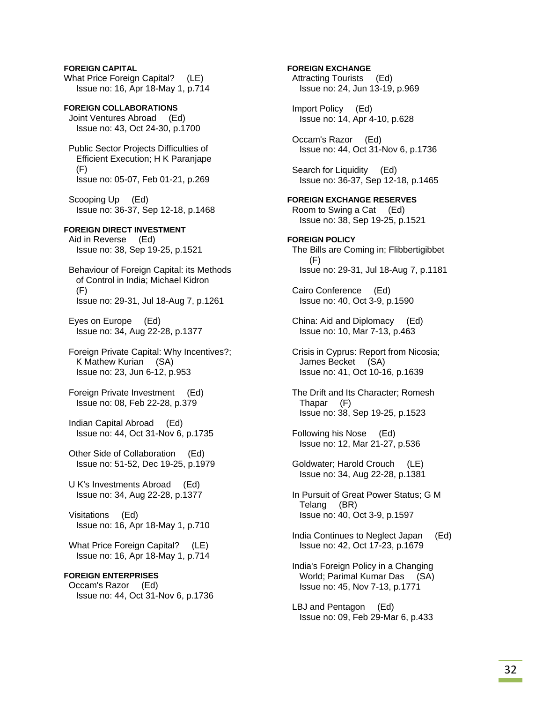**FOREIGN CAPITAL**  What Price Foreign Capital? (LE) Issue no: 16, Apr 18-May 1, p.714

**FOREIGN COLLABORATIONS**  Joint Ventures Abroad (Ed) Issue no: 43, Oct 24-30, p.1700

 Public Sector Projects Difficulties of Efficient Execution; H K Paranjape (F) Issue no: 05-07, Feb 01-21, p.269

 Scooping Up (Ed) Issue no: 36-37, Sep 12-18, p.1468

### **FOREIGN DIRECT INVESTMENT**

 Aid in Reverse (Ed) Issue no: 38, Sep 19-25, p.1521

 Behaviour of Foreign Capital: its Methods of Control in India; Michael Kidron (F) Issue no: 29-31, Jul 18-Aug 7, p.1261

 Eyes on Europe (Ed) Issue no: 34, Aug 22-28, p.1377

 Foreign Private Capital: Why Incentives?; K Mathew Kurian (SA) Issue no: 23, Jun 6-12, p.953

 Foreign Private Investment (Ed) Issue no: 08, Feb 22-28, p.379

 Indian Capital Abroad (Ed) Issue no: 44, Oct 31-Nov 6, p.1735

 Other Side of Collaboration (Ed) Issue no: 51-52, Dec 19-25, p.1979

 U K's Investments Abroad (Ed) Issue no: 34, Aug 22-28, p.1377

 Visitations (Ed) Issue no: 16, Apr 18-May 1, p.710

What Price Foreign Capital? (LE) Issue no: 16, Apr 18-May 1, p.714

### **FOREIGN ENTERPRISES**

 Occam's Razor (Ed) Issue no: 44, Oct 31-Nov 6, p.1736 **FOREIGN EXCHANGE** 

 Attracting Tourists (Ed) Issue no: 24, Jun 13-19, p.969

 Import Policy (Ed) Issue no: 14, Apr 4-10, p.628

 Occam's Razor (Ed) Issue no: 44, Oct 31-Nov 6, p.1736

 Search for Liquidity (Ed) Issue no: 36-37, Sep 12-18, p.1465

**FOREIGN EXCHANGE RESERVES**  Room to Swing a Cat (Ed) Issue no: 38, Sep 19-25, p.1521

**FOREIGN POLICY**  The Bills are Coming in; Flibbertigibbet (F) Issue no: 29-31, Jul 18-Aug 7, p.1181

 Cairo Conference (Ed) Issue no: 40, Oct 3-9, p.1590

 China: Aid and Diplomacy (Ed) Issue no: 10, Mar 7-13, p.463

 Crisis in Cyprus: Report from Nicosia; James Becket (SA) Issue no: 41, Oct 10-16, p.1639

 The Drift and Its Character; Romesh Thapar (F) Issue no: 38, Sep 19-25, p.1523

 Following his Nose (Ed) Issue no: 12, Mar 21-27, p.536

 Goldwater; Harold Crouch (LE) Issue no: 34, Aug 22-28, p.1381

 In Pursuit of Great Power Status; G M Telang (BR) Issue no: 40, Oct 3-9, p.1597

 India Continues to Neglect Japan (Ed) Issue no: 42, Oct 17-23, p.1679

 India's Foreign Policy in a Changing World; Parimal Kumar Das (SA) Issue no: 45, Nov 7-13, p.1771

 LBJ and Pentagon (Ed) Issue no: 09, Feb 29-Mar 6, p.433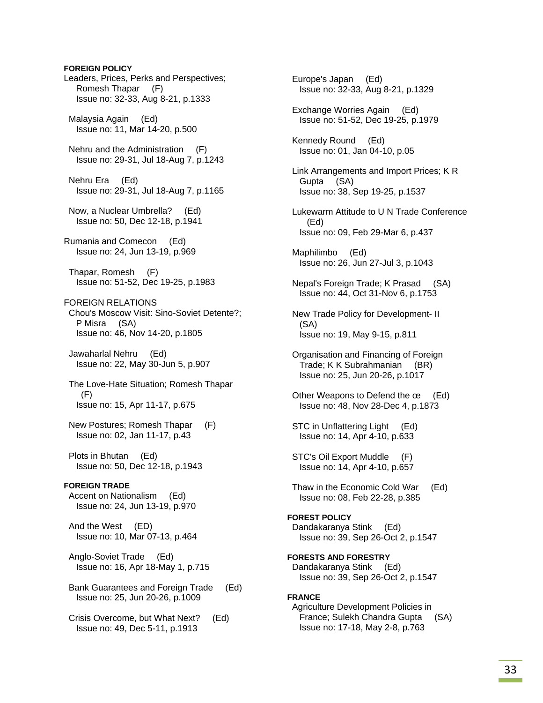# **FOREIGN POLICY**  Leaders, Prices, Perks and Perspectives; Romesh Thapar (F) Issue no: 32-33, Aug 8-21, p.1333 Malaysia Again (Ed) Issue no: 11, Mar 14-20, p.500 Nehru and the Administration (F) Issue no: 29-31, Jul 18-Aug 7, p.1243 Nehru Era (Ed) Issue no: 29-31, Jul 18-Aug 7, p.1165 Now, a Nuclear Umbrella? (Ed) Issue no: 50, Dec 12-18, p.1941 Rumania and Comecon (Ed) Issue no: 24, Jun 13-19, p.969 Thapar, Romesh (F) Issue no: 51-52, Dec 19-25, p.1983 FOREIGN RELATIONS Chou's Moscow Visit: Sino-Soviet Detente?; P Misra (SA) Issue no: 46, Nov 14-20, p.1805 Jawaharlal Nehru (Ed) Issue no: 22, May 30-Jun 5, p.907 The Love-Hate Situation; Romesh Thapar (F) Issue no: 15, Apr 11-17, p.675 New Postures; Romesh Thapar (F) Issue no: 02, Jan 11-17, p.43 Plots in Bhutan (Ed) Issue no: 50, Dec 12-18, p.1943 **FOREIGN TRADE**  Accent on Nationalism (Ed) Issue no: 24, Jun 13-19, p.970 And the West (ED) Issue no: 10, Mar 07-13, p.464 Anglo-Soviet Trade (Ed) Issue no: 16, Apr 18-May 1, p.715 Bank Guarantees and Foreign Trade (Ed) Issue no: 25, Jun 20-26, p.1009 Crisis Overcome, but What Next? (Ed) Issue no: 49, Dec 5-11, p.1913

 Europe's Japan (Ed) Issue no: 32-33, Aug 8-21, p.1329 Exchange Worries Again (Ed) Issue no: 51-52, Dec 19-25, p.1979 Kennedy Round (Ed) Issue no: 01, Jan 04-10, p.05 Link Arrangements and Import Prices; K R Gupta (SA) Issue no: 38, Sep 19-25, p.1537 Lukewarm Attitude to U N Trade Conference (Ed) Issue no: 09, Feb 29-Mar 6, p.437 Maphilimbo (Ed) Issue no: 26, Jun 27-Jul 3, p.1043 Nepal's Foreign Trade; K Prasad (SA) Issue no: 44, Oct 31-Nov 6, p.1753 New Trade Policy for Development- II (SA) Issue no: 19, May 9-15, p.811 Organisation and Financing of Foreign Trade; K K Subrahmanian (BR) Issue no: 25, Jun 20-26, p.1017 Other Weapons to Defend the œ (Ed) Issue no: 48, Nov 28-Dec 4, p.1873 STC in Unflattering Light (Ed) Issue no: 14, Apr 4-10, p.633 STC's Oil Export Muddle (F) Issue no: 14, Apr 4-10, p.657 Thaw in the Economic Cold War (Ed) Issue no: 08, Feb 22-28, p.385 **FOREST POLICY**  Dandakaranya Stink (Ed) Issue no: 39, Sep 26-Oct 2, p.1547 **FORESTS AND FORESTRY**  Dandakaranya Stink (Ed) Issue no: 39, Sep 26-Oct 2, p.1547 **FRANCE**  Agriculture Development Policies in France; Sulekh Chandra Gupta (SA) Issue no: 17-18, May 2-8, p.763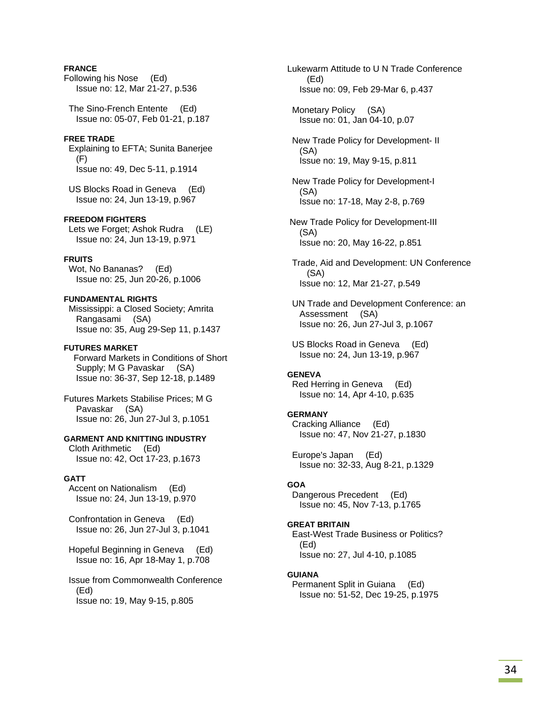## **FRANCE**

Following his Nose (Ed) Issue no: 12, Mar 21-27, p.536

 The Sino-French Entente (Ed) Issue no: 05-07, Feb 01-21, p.187

### **FREE TRADE**

 Explaining to EFTA; Sunita Banerjee (F) Issue no: 49, Dec 5-11, p.1914

 US Blocks Road in Geneva (Ed) Issue no: 24, Jun 13-19, p.967

### **FREEDOM FIGHTERS**

 Lets we Forget; Ashok Rudra (LE) Issue no: 24, Jun 13-19, p.971

## **FRUITS**

 Wot, No Bananas? (Ed) Issue no: 25, Jun 20-26, p.1006

**FUNDAMENTAL RIGHTS**  Mississippi: a Closed Society; Amrita Rangasami (SA) Issue no: 35, Aug 29-Sep 11, p.1437

### **FUTURES MARKET**

 Forward Markets in Conditions of Short Supply; M G Pavaskar (SA) Issue no: 36-37, Sep 12-18, p.1489

Futures Markets Stabilise Prices; M G Pavaskar (SA) Issue no: 26, Jun 27-Jul 3, p.1051

#### **GARMENT AND KNITTING INDUSTRY**

 Cloth Arithmetic (Ed) Issue no: 42, Oct 17-23, p.1673

#### **GATT**

 Accent on Nationalism (Ed) Issue no: 24, Jun 13-19, p.970

 Confrontation in Geneva (Ed) Issue no: 26, Jun 27-Jul 3, p.1041

 Hopeful Beginning in Geneva (Ed) Issue no: 16, Apr 18-May 1, p.708

 Issue from Commonwealth Conference (Ed) Issue no: 19, May 9-15, p.805

Lukewarm Attitude to U N Trade Conference (Ed) Issue no: 09, Feb 29-Mar 6, p.437

 Monetary Policy (SA) Issue no: 01, Jan 04-10, p.07

 New Trade Policy for Development- II (SA) Issue no: 19, May 9-15, p.811

 New Trade Policy for Development-I (SA) Issue no: 17-18, May 2-8, p.769

 New Trade Policy for Development-III (SA) Issue no: 20, May 16-22, p.851

 Trade, Aid and Development: UN Conference (SA) Issue no: 12, Mar 21-27, p.549

 UN Trade and Development Conference: an Assessment (SA) Issue no: 26, Jun 27-Jul 3, p.1067

 US Blocks Road in Geneva (Ed) Issue no: 24, Jun 13-19, p.967

### **GENEVA**

 Red Herring in Geneva (Ed) Issue no: 14, Apr 4-10, p.635

### **GERMANY**

 Cracking Alliance (Ed) Issue no: 47, Nov 21-27, p.1830

 Europe's Japan (Ed) Issue no: 32-33, Aug 8-21, p.1329

#### **GOA**

 Dangerous Precedent (Ed) Issue no: 45, Nov 7-13, p.1765

### **GREAT BRITAIN**

 East-West Trade Business or Politics? (Ed) Issue no: 27, Jul 4-10, p.1085

#### **GUIANA**

 Permanent Split in Guiana (Ed) Issue no: 51-52, Dec 19-25, p.1975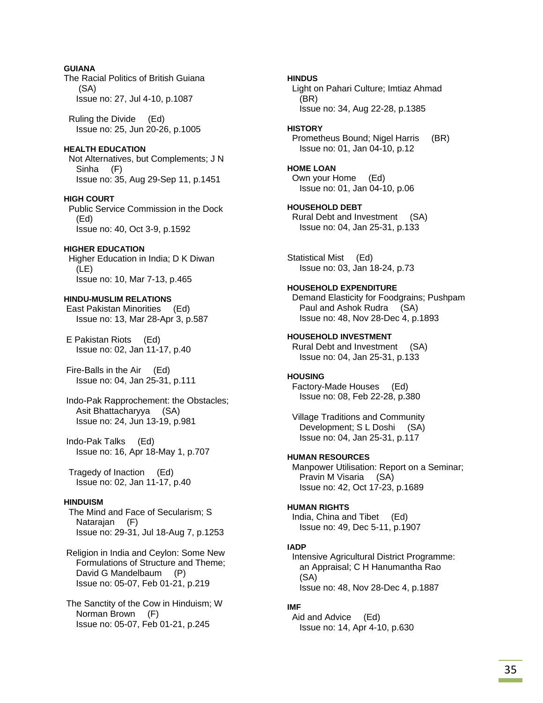### **GUIANA**

The Racial Politics of British Guiana (SA) Issue no: 27, Jul 4-10, p.1087

 Ruling the Divide (Ed) Issue no: 25, Jun 20-26, p.1005

## **HEALTH EDUCATION**

 Not Alternatives, but Complements; J N Sinha (F) Issue no: 35, Aug 29-Sep 11, p.1451

### **HIGH COURT**

 Public Service Commission in the Dock (Ed) Issue no: 40, Oct 3-9, p.1592

### **HIGHER EDUCATION**

 Higher Education in India; D K Diwan (LE) Issue no: 10, Mar 7-13, p.465

### **HINDU-MUSLIM RELATIONS**

 East Pakistan Minorities (Ed) Issue no: 13, Mar 28-Apr 3, p.587

 E Pakistan Riots (Ed) Issue no: 02, Jan 11-17, p.40

 Fire-Balls in the Air (Ed) Issue no: 04, Jan 25-31, p.111

 Indo-Pak Rapprochement: the Obstacles; Asit Bhattacharyya (SA) Issue no: 24, Jun 13-19, p.981

 Indo-Pak Talks (Ed) Issue no: 16, Apr 18-May 1, p.707

 Tragedy of Inaction (Ed) Issue no: 02, Jan 11-17, p.40

# **HINDUISM**

 The Mind and Face of Secularism; S Natarajan (F) Issue no: 29-31, Jul 18-Aug 7, p.1253

 Religion in India and Ceylon: Some New Formulations of Structure and Theme; David G Mandelbaum (P) Issue no: 05-07, Feb 01-21, p.219

 The Sanctity of the Cow in Hinduism; W Norman Brown (F) Issue no: 05-07, Feb 01-21, p.245

**HINDUS**  Light on Pahari Culture; Imtiaz Ahmad (BR) Issue no: 34, Aug 22-28, p.1385

### **HISTORY**

 Prometheus Bound; Nigel Harris (BR) Issue no: 01, Jan 04-10, p.12

### **HOME LOAN**

 Own your Home (Ed) Issue no: 01, Jan 04-10, p.06

#### **HOUSEHOLD DEBT**  Rural Debt and Investment (SA) Issue no: 04, Jan 25-31, p.133

Statistical Mist (Ed) Issue no: 03, Jan 18-24, p.73

### **HOUSEHOLD EXPENDITURE**

 Demand Elasticity for Foodgrains; Pushpam Paul and Ashok Rudra (SA) Issue no: 48, Nov 28-Dec 4, p.1893

### **HOUSEHOLD INVESTMENT**

 Rural Debt and Investment (SA) Issue no: 04, Jan 25-31, p.133

### **HOUSING**

 Factory-Made Houses (Ed) Issue no: 08, Feb 22-28, p.380

 Village Traditions and Community Development; S L Doshi (SA) Issue no: 04, Jan 25-31, p.117

### **HUMAN RESOURCES**

 Manpower Utilisation: Report on a Seminar; Pravin M Visaria (SA) Issue no: 42, Oct 17-23, p.1689

# **HUMAN RIGHTS**

 India, China and Tibet (Ed) Issue no: 49, Dec 5-11, p.1907

# **IADP**

 Intensive Agricultural District Programme: an Appraisal; C H Hanumantha Rao (SA) Issue no: 48, Nov 28-Dec 4, p.1887

# **IMF**

 Aid and Advice (Ed) Issue no: 14, Apr 4-10, p.630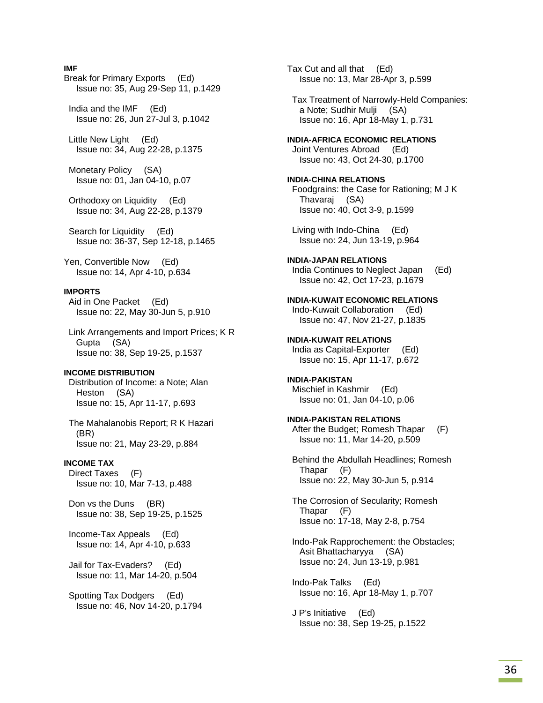### **IMF**

Break for Primary Exports (Ed) Issue no: 35, Aug 29-Sep 11, p.1429

 India and the IMF (Ed) Issue no: 26, Jun 27-Jul 3, p.1042

 Little New Light (Ed) Issue no: 34, Aug 22-28, p.1375

 Monetary Policy (SA) Issue no: 01, Jan 04-10, p.07

 Orthodoxy on Liquidity (Ed) Issue no: 34, Aug 22-28, p.1379

 Search for Liquidity (Ed) Issue no: 36-37, Sep 12-18, p.1465

Yen, Convertible Now (Ed) Issue no: 14, Apr 4-10, p.634

### **IMPORTS**

 Aid in One Packet (Ed) Issue no: 22, May 30-Jun 5, p.910

 Link Arrangements and Import Prices; K R Gupta (SA) Issue no: 38, Sep 19-25, p.1537

#### **INCOME DISTRIBUTION**

 Distribution of Income: a Note; Alan Heston (SA) Issue no: 15, Apr 11-17, p.693

 The Mahalanobis Report; R K Hazari (BR) Issue no: 21, May 23-29, p.884

#### **INCOME TAX**

 Direct Taxes (F) Issue no: 10, Mar 7-13, p.488

 Don vs the Duns (BR) Issue no: 38, Sep 19-25, p.1525

 Income-Tax Appeals (Ed) Issue no: 14, Apr 4-10, p.633

 Jail for Tax-Evaders? (Ed) Issue no: 11, Mar 14-20, p.504

 Spotting Tax Dodgers (Ed) Issue no: 46, Nov 14-20, p.1794 Tax Cut and all that (Ed) Issue no: 13, Mar 28-Apr 3, p.599

 Tax Treatment of Narrowly-Held Companies: a Note; Sudhir Mulji (SA) Issue no: 16, Apr 18-May 1, p.731

#### **INDIA-AFRICA ECONOMIC RELATIONS**

 Joint Ventures Abroad (Ed) Issue no: 43, Oct 24-30, p.1700

### **INDIA-CHINA RELATIONS**  Foodgrains: the Case for Rationing; M J K Thavaraj (SA)

 Living with Indo-China (Ed) Issue no: 24, Jun 13-19, p.964

Issue no: 40, Oct 3-9, p.1599

**INDIA-JAPAN RELATIONS**  India Continues to Neglect Japan (Ed) Issue no: 42, Oct 17-23, p.1679

**INDIA-KUWAIT ECONOMIC RELATIONS**  Indo-Kuwait Collaboration (Ed) Issue no: 47, Nov 21-27, p.1835

**INDIA-KUWAIT RELATIONS**  India as Capital-Exporter (Ed) Issue no: 15, Apr 11-17, p.672

**INDIA-PAKISTAN**  Mischief in Kashmir (Ed) Issue no: 01, Jan 04-10, p.06

**INDIA-PAKISTAN RELATIONS**  After the Budget; Romesh Thapar (F) Issue no: 11, Mar 14-20, p.509

 Behind the Abdullah Headlines; Romesh Thapar (F) Issue no: 22, May 30-Jun 5, p.914

 The Corrosion of Secularity; Romesh Thapar (F) Issue no: 17-18, May 2-8, p.754

 Indo-Pak Rapprochement: the Obstacles; Asit Bhattacharyya (SA) Issue no: 24, Jun 13-19, p.981

 Indo-Pak Talks (Ed) Issue no: 16, Apr 18-May 1, p.707

 J P's Initiative (Ed) Issue no: 38, Sep 19-25, p.1522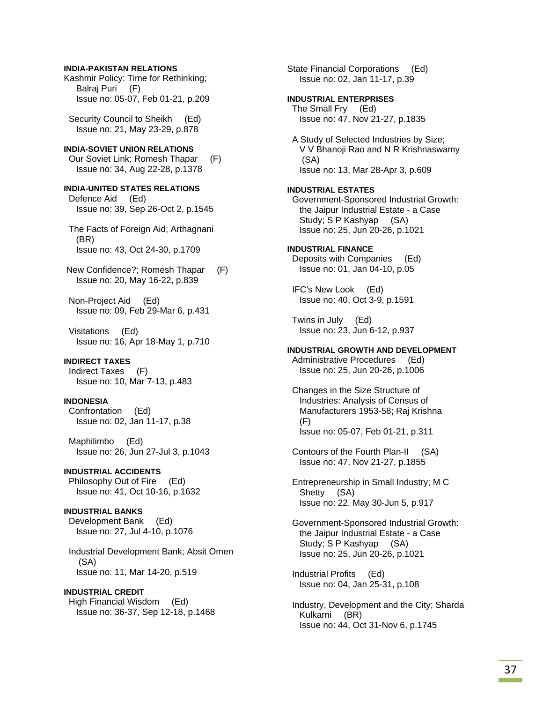### **INDIA-PAKISTAN RELATIONS**

Kashmir Policy: Time for Rethinking; Balraj Puri (F) Issue no: 05-07, Feb 01-21, p.209

Security Council to Sheikh (Ed) Issue no: 21, May 23-29, p.878

# **INDIA-SOVIET UNION RELATIONS**

 Our Soviet Link; Romesh Thapar (F) Issue no: 34, Aug 22-28, p.1378

**INDIA-UNITED STATES RELATIONS**  Defence Aid (Ed) Issue no: 39, Sep 26-Oct 2, p.1545

 The Facts of Foreign Aid; Arthagnani (BR) Issue no: 43, Oct 24-30, p.1709

 New Confidence?; Romesh Thapar (F) Issue no: 20, May 16-22, p.839

 Non-Project Aid (Ed) Issue no: 09, Feb 29-Mar 6, p.431

 Visitations (Ed) Issue no: 16, Apr 18-May 1, p.710

### **INDIRECT TAXES**

 Indirect Taxes (F) Issue no: 10, Mar 7-13, p.483

### **INDONESIA**

 Confrontation (Ed) Issue no: 02, Jan 11-17, p.38

 Maphilimbo (Ed) Issue no: 26, Jun 27-Jul 3, p.1043

# **INDUSTRIAL ACCIDENTS**

 Philosophy Out of Fire (Ed) Issue no: 41, Oct 10-16, p.1632

#### **INDUSTRIAL BANKS**

 Development Bank (Ed) Issue no: 27, Jul 4-10, p.1076

 Industrial Development Bank; Absit Omen (SA) Issue no: 11, Mar 14-20, p.519

### **INDUSTRIAL CREDIT**

 High Financial Wisdom (Ed) Issue no: 36-37, Sep 12-18, p.1468 State Financial Corporations (Ed) Issue no: 02, Jan 11-17, p.39

#### **INDUSTRIAL ENTERPRISES**

 The Small Fry (Ed) Issue no: 47, Nov 21-27, p.1835

 A Study of Selected Industries by Size; V V Bhanoji Rao and N R Krishnaswamy (SA) Issue no: 13, Mar 28-Apr 3, p.609

#### **INDUSTRIAL ESTATES**

 Government-Sponsored Industrial Growth: the Jaipur Industrial Estate - a Case Study; S P Kashyap (SA) Issue no: 25, Jun 20-26, p.1021

#### **INDUSTRIAL FINANCE**

 Deposits with Companies (Ed) Issue no: 01, Jan 04-10, p.05

 IFC's New Look (Ed) Issue no: 40, Oct 3-9, p.1591

 Twins in July (Ed) Issue no: 23, Jun 6-12, p.937

## **INDUSTRIAL GROWTH AND DEVELOPMENT**

 Administrative Procedures (Ed) Issue no: 25, Jun 20-26, p.1006

 Changes in the Size Structure of Industries: Analysis of Census of Manufacturers 1953-58; Raj Krishna (F) Issue no: 05-07, Feb 01-21, p.311

 Contours of the Fourth Plan-II (SA) Issue no: 47, Nov 21-27, p.1855

 Entrepreneurship in Small Industry; M C Shetty (SA) Issue no: 22, May 30-Jun 5, p.917

 Government-Sponsored Industrial Growth: the Jaipur Industrial Estate - a Case Study; S P Kashyap (SA) Issue no: 25, Jun 20-26, p.1021

 Industrial Profits (Ed) Issue no: 04, Jan 25-31, p.108

 Industry, Development and the City; Sharda Kulkarni (BR) Issue no: 44, Oct 31-Nov 6, p.1745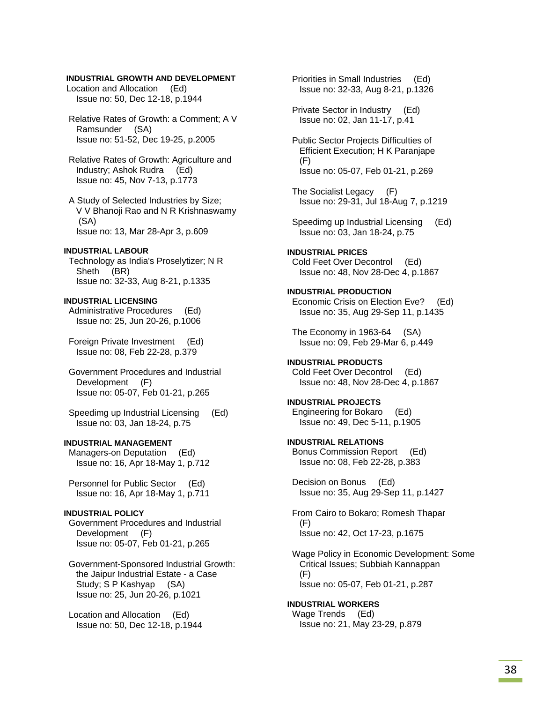### **INDUSTRIAL GROWTH AND DEVELOPMENT**

 Location and Allocation (Ed) Issue no: 50, Dec 12-18, p.1944

 Relative Rates of Growth: a Comment; A V Ramsunder (SA) Issue no: 51-52, Dec 19-25, p.2005

 Relative Rates of Growth: Agriculture and Industry; Ashok Rudra (Ed) Issue no: 45, Nov 7-13, p.1773

 A Study of Selected Industries by Size; V V Bhanoji Rao and N R Krishnaswamy (SA) Issue no: 13, Mar 28-Apr 3, p.609

#### **INDUSTRIAL LABOUR**

 Technology as India's Proselytizer; N R Sheth (BR) Issue no: 32-33, Aug 8-21, p.1335

**INDUSTRIAL LICENSING**  Administrative Procedures (Ed) Issue no: 25, Jun 20-26, p.1006

 Foreign Private Investment (Ed) Issue no: 08, Feb 22-28, p.379

 Government Procedures and Industrial Development (F) Issue no: 05-07, Feb 01-21, p.265

 Speedimg up Industrial Licensing (Ed) Issue no: 03, Jan 18-24, p.75

#### **INDUSTRIAL MANAGEMENT**

 Managers-on Deputation (Ed) Issue no: 16, Apr 18-May 1, p.712

 Personnel for Public Sector (Ed) Issue no: 16, Apr 18-May 1, p.711

### **INDUSTRIAL POLICY**

 Government Procedures and Industrial Development (F) Issue no: 05-07, Feb 01-21, p.265

 Government-Sponsored Industrial Growth: the Jaipur Industrial Estate - a Case Study; S P Kashyap (SA) Issue no: 25, Jun 20-26, p.1021

 Location and Allocation (Ed) Issue no: 50, Dec 12-18, p.1944  Priorities in Small Industries (Ed) Issue no: 32-33, Aug 8-21, p.1326

 Private Sector in Industry (Ed) Issue no: 02, Jan 11-17, p.41

 Public Sector Projects Difficulties of Efficient Execution; H K Paranjape (F) Issue no: 05-07, Feb 01-21, p.269

- The Socialist Legacy (F) Issue no: 29-31, Jul 18-Aug 7, p.1219
- Speedimg up Industrial Licensing (Ed) Issue no: 03, Jan 18-24, p.75

**INDUSTRIAL PRICES**  Cold Feet Over Decontrol (Ed) Issue no: 48, Nov 28-Dec 4, p.1867

**INDUSTRIAL PRODUCTION**  Economic Crisis on Election Eve? (Ed) Issue no: 35, Aug 29-Sep 11, p.1435

 The Economy in 1963-64 (SA) Issue no: 09, Feb 29-Mar 6, p.449

**INDUSTRIAL PRODUCTS**  Cold Feet Over Decontrol (Ed) Issue no: 48, Nov 28-Dec 4, p.1867

**INDUSTRIAL PROJECTS**  Engineering for Bokaro (Ed) Issue no: 49, Dec 5-11, p.1905

**INDUSTRIAL RELATIONS**  Bonus Commission Report (Ed) Issue no: 08, Feb 22-28, p.383

 Decision on Bonus (Ed) Issue no: 35, Aug 29-Sep 11, p.1427

 From Cairo to Bokaro; Romesh Thapar (F) Issue no: 42, Oct 17-23, p.1675

 Wage Policy in Economic Development: Some Critical Issues; Subbiah Kannappan (F) Issue no: 05-07, Feb 01-21, p.287

**INDUSTRIAL WORKERS**  Wage Trends (Ed) Issue no: 21, May 23-29, p.879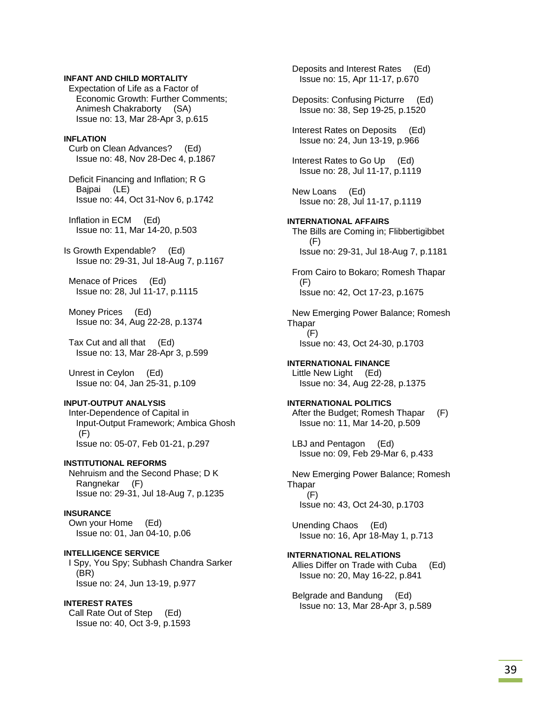### **INFANT AND CHILD MORTALITY**

 Expectation of Life as a Factor of Economic Growth: Further Comments; Animesh Chakraborty (SA) Issue no: 13, Mar 28-Apr 3, p.615

#### **INFLATION**

 Curb on Clean Advances? (Ed) Issue no: 48, Nov 28-Dec 4, p.1867

 Deficit Financing and Inflation; R G Bajpai (LE) Issue no: 44, Oct 31-Nov 6, p.1742

 Inflation in ECM (Ed) Issue no: 11, Mar 14-20, p.503

Is Growth Expendable? (Ed) Issue no: 29-31, Jul 18-Aug 7, p.1167

 Menace of Prices (Ed) Issue no: 28, Jul 11-17, p.1115

 Money Prices (Ed) Issue no: 34, Aug 22-28, p.1374

 Tax Cut and all that (Ed) Issue no: 13, Mar 28-Apr 3, p.599

 Unrest in Ceylon (Ed) Issue no: 04, Jan 25-31, p.109

### **INPUT-OUTPUT ANALYSIS**

 Inter-Dependence of Capital in Input-Output Framework; Ambica Ghosh (F) Issue no: 05-07, Feb 01-21, p.297

#### **INSTITUTIONAL REFORMS**

 Nehruism and the Second Phase; D K Rangnekar (F) Issue no: 29-31, Jul 18-Aug 7, p.1235

### **INSURANCE**

 Own your Home (Ed) Issue no: 01, Jan 04-10, p.06

**INTELLIGENCE SERVICE**  I Spy, You Spy; Subhash Chandra Sarker (BR) Issue no: 24, Jun 13-19, p.977

## **INTEREST RATES**

 Call Rate Out of Step (Ed) Issue no: 40, Oct 3-9, p.1593  Deposits and Interest Rates (Ed) Issue no: 15, Apr 11-17, p.670

 Deposits: Confusing Picturre (Ed) Issue no: 38, Sep 19-25, p.1520

 Interest Rates on Deposits (Ed) Issue no: 24, Jun 13-19, p.966

 Interest Rates to Go Up (Ed) Issue no: 28, Jul 11-17, p.1119

 New Loans (Ed) Issue no: 28, Jul 11-17, p.1119

#### **INTERNATIONAL AFFAIRS**

 The Bills are Coming in; Flibbertigibbet (F) Issue no: 29-31, Jul 18-Aug 7, p.1181

 From Cairo to Bokaro; Romesh Thapar (F) Issue no: 42, Oct 17-23, p.1675

 New Emerging Power Balance; Romesh Thapar  $(F)$ Issue no: 43, Oct 24-30, p.1703

**INTERNATIONAL FINANCE**  Little New Light (Ed) Issue no: 34, Aug 22-28, p.1375

**INTERNATIONAL POLITICS**  After the Budget; Romesh Thapar (F) Issue no: 11, Mar 14-20, p.509

 LBJ and Pentagon (Ed) Issue no: 09, Feb 29-Mar 6, p.433

 New Emerging Power Balance; Romesh **Thapar**  (F) Issue no: 43, Oct 24-30, p.1703

 Unending Chaos (Ed) Issue no: 16, Apr 18-May 1, p.713

**INTERNATIONAL RELATIONS**  Allies Differ on Trade with Cuba (Ed) Issue no: 20, May 16-22, p.841

 Belgrade and Bandung (Ed) Issue no: 13, Mar 28-Apr 3, p.589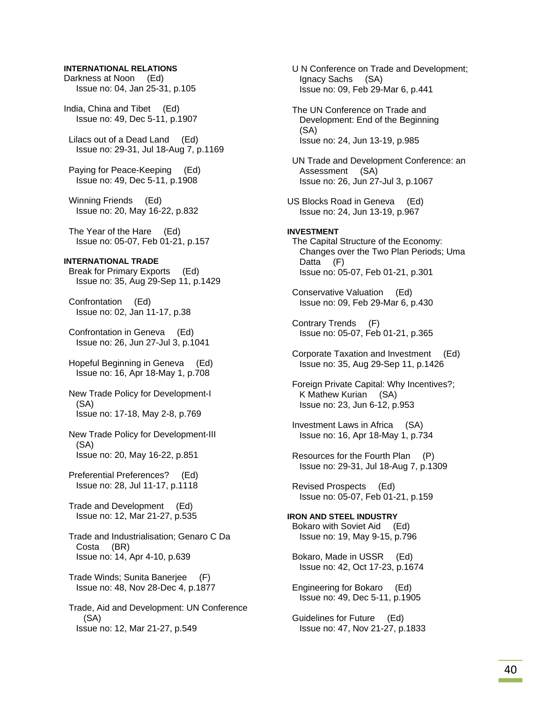### **INTERNATIONAL RELATIONS**

Darkness at Noon (Ed) Issue no: 04, Jan 25-31, p.105

India, China and Tibet (Ed) Issue no: 49, Dec 5-11, p.1907

 Lilacs out of a Dead Land (Ed) Issue no: 29-31, Jul 18-Aug 7, p.1169

 Paying for Peace-Keeping (Ed) Issue no: 49, Dec 5-11, p.1908

 Winning Friends (Ed) Issue no: 20, May 16-22, p.832

 The Year of the Hare (Ed) Issue no: 05-07, Feb 01-21, p.157

#### **INTERNATIONAL TRADE**

 Break for Primary Exports (Ed) Issue no: 35, Aug 29-Sep 11, p.1429

 Confrontation (Ed) Issue no: 02, Jan 11-17, p.38

 Confrontation in Geneva (Ed) Issue no: 26, Jun 27-Jul 3, p.1041

 Hopeful Beginning in Geneva (Ed) Issue no: 16, Apr 18-May 1, p.708

 New Trade Policy for Development-I (SA) Issue no: 17-18, May 2-8, p.769

 New Trade Policy for Development-III (SA) Issue no: 20, May 16-22, p.851

 Preferential Preferences? (Ed) Issue no: 28, Jul 11-17, p.1118

 Trade and Development (Ed) Issue no: 12, Mar 21-27, p.535

 Trade and Industrialisation; Genaro C Da Costa (BR) Issue no: 14, Apr 4-10, p.639

 Trade Winds; Sunita Banerjee (F) Issue no: 48, Nov 28-Dec 4, p.1877

 Trade, Aid and Development: UN Conference (SA) Issue no: 12, Mar 21-27, p.549

 U N Conference on Trade and Development; Ignacy Sachs (SA) Issue no: 09, Feb 29-Mar 6, p.441 The UN Conference on Trade and Development: End of the Beginning (SA) Issue no: 24, Jun 13-19, p.985 UN Trade and Development Conference: an Assessment (SA) Issue no: 26, Jun 27-Jul 3, p.1067 US Blocks Road in Geneva (Ed) Issue no: 24, Jun 13-19, p.967 **INVESTMENT**  The Capital Structure of the Economy: Changes over the Two Plan Periods; Uma Datta (F) Issue no: 05-07, Feb 01-21, p.301 Conservative Valuation (Ed) Issue no: 09, Feb 29-Mar 6, p.430 Contrary Trends (F) Issue no: 05-07, Feb 01-21, p.365 Corporate Taxation and Investment (Ed) Issue no: 35, Aug 29-Sep 11, p.1426 Foreign Private Capital: Why Incentives?; K Mathew Kurian (SA) Issue no: 23, Jun 6-12, p.953 Investment Laws in Africa (SA) Issue no: 16, Apr 18-May 1, p.734 Resources for the Fourth Plan (P) Issue no: 29-31, Jul 18-Aug 7, p.1309 Revised Prospects (Ed) Issue no: 05-07, Feb 01-21, p.159 **IRON AND STEEL INDUSTRY**  Bokaro with Soviet Aid (Ed) Issue no: 19, May 9-15, p.796 Bokaro, Made in USSR (Ed) Issue no: 42, Oct 17-23, p.1674 Engineering for Bokaro (Ed) Issue no: 49, Dec 5-11, p.1905

 Guidelines for Future (Ed) Issue no: 47, Nov 21-27, p.1833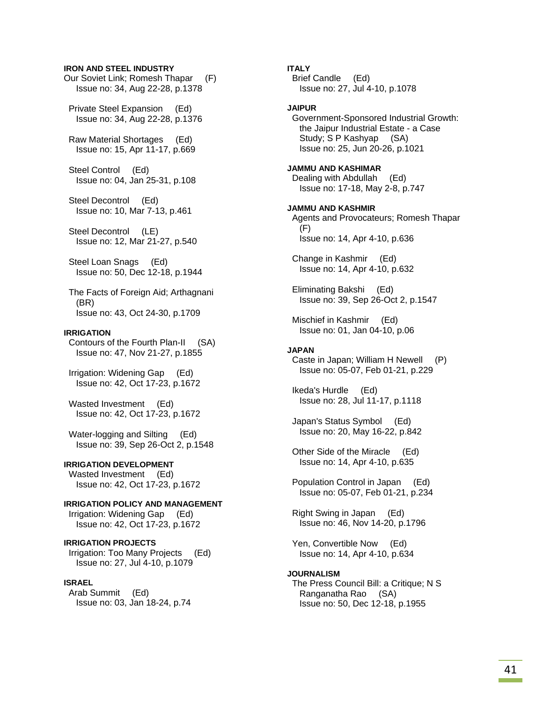#### **IRON AND STEEL INDUSTRY**

Our Soviet Link; Romesh Thapar (F) Issue no: 34, Aug 22-28, p.1378

 Private Steel Expansion (Ed) Issue no: 34, Aug 22-28, p.1376

 Raw Material Shortages (Ed) Issue no: 15, Apr 11-17, p.669

 Steel Control (Ed) Issue no: 04, Jan 25-31, p.108

 Steel Decontrol (Ed) Issue no: 10, Mar 7-13, p.461

 Steel Decontrol (LE) Issue no: 12, Mar 21-27, p.540

 Steel Loan Snags (Ed) Issue no: 50, Dec 12-18, p.1944

 The Facts of Foreign Aid; Arthagnani (BR) Issue no: 43, Oct 24-30, p.1709

#### **IRRIGATION**

 Contours of the Fourth Plan-II (SA) Issue no: 47, Nov 21-27, p.1855

 Irrigation: Widening Gap (Ed) Issue no: 42, Oct 17-23, p.1672

 Wasted Investment (Ed) Issue no: 42, Oct 17-23, p.1672

 Water-logging and Silting (Ed) Issue no: 39, Sep 26-Oct 2, p.1548

#### **IRRIGATION DEVELOPMENT**

 Wasted Investment (Ed) Issue no: 42, Oct 17-23, p.1672

**IRRIGATION POLICY AND MANAGEMENT**  Irrigation: Widening Gap (Ed) Issue no: 42, Oct 17-23, p.1672

**IRRIGATION PROJECTS**  Irrigation: Too Many Projects (Ed) Issue no: 27, Jul 4-10, p.1079

### **ISRAEL**

 Arab Summit (Ed) Issue no: 03, Jan 18-24, p.74 **ITALY** 

 Brief Candle (Ed) Issue no: 27, Jul 4-10, p.1078

#### **JAIPUR**

 Government-Sponsored Industrial Growth: the Jaipur Industrial Estate - a Case Study; S P Kashyap (SA) Issue no: 25, Jun 20-26, p.1021

**JAMMU AND KASHIMAR**  Dealing with Abdullah (Ed) Issue no: 17-18, May 2-8, p.747

**JAMMU AND KASHMIR**  Agents and Provocateurs; Romesh Thapar (F) Issue no: 14, Apr 4-10, p.636

 Change in Kashmir (Ed) Issue no: 14, Apr 4-10, p.632

 Eliminating Bakshi (Ed) Issue no: 39, Sep 26-Oct 2, p.1547

 Mischief in Kashmir (Ed) Issue no: 01, Jan 04-10, p.06

#### **JAPAN**

 Caste in Japan; William H Newell (P) Issue no: 05-07, Feb 01-21, p.229

 Ikeda's Hurdle (Ed) Issue no: 28, Jul 11-17, p.1118

 Japan's Status Symbol (Ed) Issue no: 20, May 16-22, p.842

 Other Side of the Miracle (Ed) Issue no: 14, Apr 4-10, p.635

 Population Control in Japan (Ed) Issue no: 05-07, Feb 01-21, p.234

 Right Swing in Japan (Ed) Issue no: 46, Nov 14-20, p.1796

 Yen, Convertible Now (Ed) Issue no: 14, Apr 4-10, p.634

#### **JOURNALISM**

 The Press Council Bill: a Critique; N S Ranganatha Rao (SA) Issue no: 50, Dec 12-18, p.1955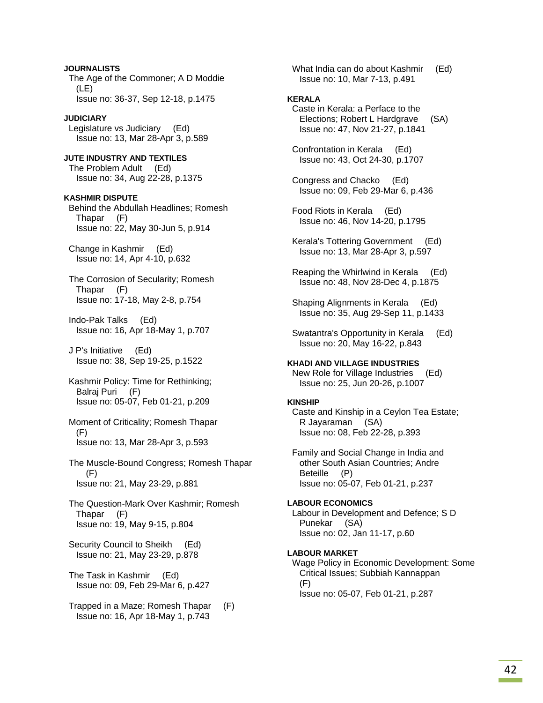**JOURNALISTS**  The Age of the Commoner; A D Moddie (LE) Issue no: 36-37, Sep 12-18, p.1475 **JUDICIARY**  Legislature vs Judiciary (Ed) Issue no: 13, Mar 28-Apr 3, p.589 **JUTE INDUSTRY AND TEXTILES**  The Problem Adult (Ed) Issue no: 34, Aug 22-28, p.1375 **KASHMIR DISPUTE**  Behind the Abdullah Headlines; Romesh Thapar (F) Issue no: 22, May 30-Jun 5, p.914 Change in Kashmir (Ed) Issue no: 14, Apr 4-10, p.632 The Corrosion of Secularity; Romesh Thapar (F) Issue no: 17-18, May 2-8, p.754 Indo-Pak Talks (Ed) Issue no: 16, Apr 18-May 1, p.707 J P's Initiative (Ed) Issue no: 38, Sep 19-25, p.1522 Kashmir Policy: Time for Rethinking; Balraj Puri (F) Issue no: 05-07, Feb 01-21, p.209 Moment of Criticality; Romesh Thapar (F) Issue no: 13, Mar 28-Apr 3, p.593 The Muscle-Bound Congress; Romesh Thapar (F) Issue no: 21, May 23-29, p.881 The Question-Mark Over Kashmir; Romesh Thapar (F) Issue no: 19, May 9-15, p.804 Security Council to Sheikh (Ed) Issue no: 21, May 23-29, p.878 The Task in Kashmir (Ed) Issue no: 09, Feb 29-Mar 6, p.427

 Trapped in a Maze; Romesh Thapar (F) Issue no: 16, Apr 18-May 1, p.743

What India can do about Kashmir (Ed) Issue no: 10, Mar 7-13, p.491

### **KERALA**

 Caste in Kerala: a Perface to the Elections; Robert L Hardgrave (SA) Issue no: 47, Nov 21-27, p.1841

 Confrontation in Kerala (Ed) Issue no: 43, Oct 24-30, p.1707

 Congress and Chacko (Ed) Issue no: 09, Feb 29-Mar 6, p.436

 Food Riots in Kerala (Ed) Issue no: 46, Nov 14-20, p.1795

 Kerala's Tottering Government (Ed) Issue no: 13, Mar 28-Apr 3, p.597

 Reaping the Whirlwind in Kerala (Ed) Issue no: 48, Nov 28-Dec 4, p.1875

 Shaping Alignments in Kerala (Ed) Issue no: 35, Aug 29-Sep 11, p.1433

 Swatantra's Opportunity in Kerala (Ed) Issue no: 20, May 16-22, p.843

### **KHADI AND VILLAGE INDUSTRIES**

 New Role for Village Industries (Ed) Issue no: 25, Jun 20-26, p.1007

#### **KINSHIP**

 Caste and Kinship in a Ceylon Tea Estate; R Jayaraman (SA) Issue no: 08, Feb 22-28, p.393

 Family and Social Change in India and other South Asian Countries; Andre Beteille (P) Issue no: 05-07, Feb 01-21, p.237

### **LABOUR ECONOMICS**  Labour in Development and Defence; S D

 Punekar (SA) Issue no: 02, Jan 11-17, p.60

#### **LABOUR MARKET**

 Wage Policy in Economic Development: Some Critical Issues; Subbiah Kannappan (F) Issue no: 05-07, Feb 01-21, p.287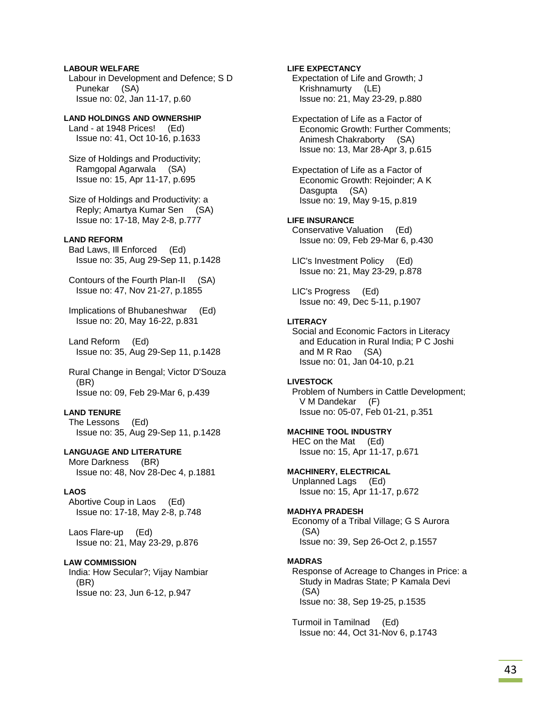### **LABOUR WELFARE**

 Labour in Development and Defence; S D Punekar (SA) Issue no: 02, Jan 11-17, p.60

### **LAND HOLDINGS AND OWNERSHIP**

 Land - at 1948 Prices! (Ed) Issue no: 41, Oct 10-16, p.1633

 Size of Holdings and Productivity; Ramgopal Agarwala (SA) Issue no: 15, Apr 11-17, p.695

 Size of Holdings and Productivity: a Reply; Amartya Kumar Sen (SA) Issue no: 17-18, May 2-8, p.777

### **LAND REFORM**

 Bad Laws, Ill Enforced (Ed) Issue no: 35, Aug 29-Sep 11, p.1428

 Contours of the Fourth Plan-II (SA) Issue no: 47, Nov 21-27, p.1855

 Implications of Bhubaneshwar (Ed) Issue no: 20, May 16-22, p.831

 Land Reform (Ed) Issue no: 35, Aug 29-Sep 11, p.1428

 Rural Change in Bengal; Victor D'Souza (BR) Issue no: 09, Feb 29-Mar 6, p.439

### **LAND TENURE**

 The Lessons (Ed) Issue no: 35, Aug 29-Sep 11, p.1428

### **LANGUAGE AND LITERATURE**

 More Darkness (BR) Issue no: 48, Nov 28-Dec 4, p.1881

### **LAOS**

 Abortive Coup in Laos (Ed) Issue no: 17-18, May 2-8, p.748

 Laos Flare-up (Ed) Issue no: 21, May 23-29, p.876

#### **LAW COMMISSION**

 India: How Secular?; Vijay Nambiar (BR) Issue no: 23, Jun 6-12, p.947

### **LIFE EXPECTANCY**

 Expectation of Life and Growth; J Krishnamurty (LE) Issue no: 21, May 23-29, p.880

 Expectation of Life as a Factor of Economic Growth: Further Comments; Animesh Chakraborty (SA) Issue no: 13, Mar 28-Apr 3, p.615

 Expectation of Life as a Factor of Economic Growth: Rejoinder; A K Dasgupta (SA) Issue no: 19, May 9-15, p.819

### **LIFE INSURANCE**

 Conservative Valuation (Ed) Issue no: 09, Feb 29-Mar 6, p.430

 LIC's Investment Policy (Ed) Issue no: 21, May 23-29, p.878

 LIC's Progress (Ed) Issue no: 49, Dec 5-11, p.1907

### **LITERACY**

 Social and Economic Factors in Literacy and Education in Rural India; P C Joshi and M R Rao (SA) Issue no: 01, Jan 04-10, p.21

#### **LIVESTOCK**

 Problem of Numbers in Cattle Development; V M Dandekar (F) Issue no: 05-07, Feb 01-21, p.351

#### **MACHINE TOOL INDUSTRY**

 HEC on the Mat (Ed) Issue no: 15, Apr 11-17, p.671

### **MACHINERY, ELECTRICAL**

 Unplanned Lags (Ed) Issue no: 15, Apr 11-17, p.672

#### **MADHYA PRADESH**

 Economy of a Tribal Village; G S Aurora (SA) Issue no: 39, Sep 26-Oct 2, p.1557

#### **MADRAS**

 Response of Acreage to Changes in Price: a Study in Madras State; P Kamala Devi (SA) Issue no: 38, Sep 19-25, p.1535

 Turmoil in Tamilnad (Ed) Issue no: 44, Oct 31-Nov 6, p.1743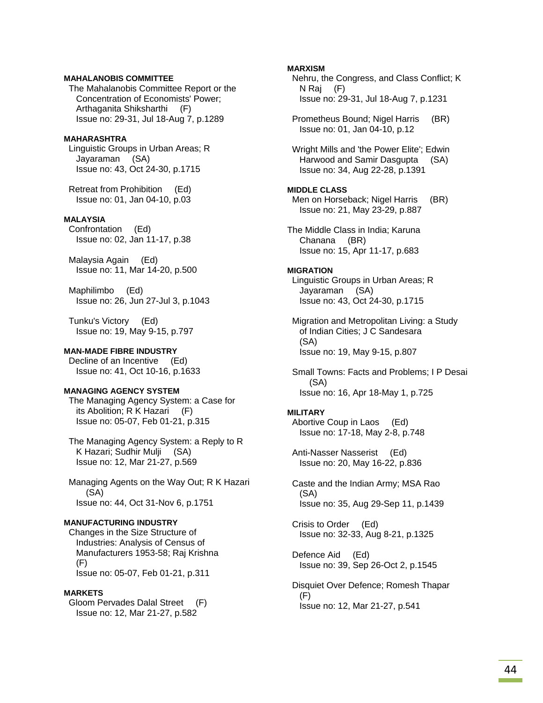### **MAHALANOBIS COMMITTEE**

 The Mahalanobis Committee Report or the Concentration of Economists' Power; Arthaganita Shiksharthi (F) Issue no: 29-31, Jul 18-Aug 7, p.1289

### **MAHARASHTRA**

 Linguistic Groups in Urban Areas; R Jayaraman (SA) Issue no: 43, Oct 24-30, p.1715

 Retreat from Prohibition (Ed) Issue no: 01, Jan 04-10, p.03

### **MALAYSIA**

 Confrontation (Ed) Issue no: 02, Jan 11-17, p.38

 Malaysia Again (Ed) Issue no: 11, Mar 14-20, p.500

 Maphilimbo (Ed) Issue no: 26, Jun 27-Jul 3, p.1043

 Tunku's Victory (Ed) Issue no: 19, May 9-15, p.797

### **MAN-MADE FIBRE INDUSTRY**

 Decline of an Incentive (Ed) Issue no: 41, Oct 10-16, p.1633

#### **MANAGING AGENCY SYSTEM**

 The Managing Agency System: a Case for its Abolition; R K Hazari (F) Issue no: 05-07, Feb 01-21, p.315

 The Managing Agency System: a Reply to R K Hazari; Sudhir Mulji (SA) Issue no: 12, Mar 21-27, p.569

 Managing Agents on the Way Out; R K Hazari (SA) Issue no: 44, Oct 31-Nov 6, p.1751

#### **MANUFACTURING INDUSTRY**

 Changes in the Size Structure of Industries: Analysis of Census of Manufacturers 1953-58; Raj Krishna (F) Issue no: 05-07, Feb 01-21, p.311

#### **MARKETS**

 Gloom Pervades Dalal Street (F) Issue no: 12, Mar 21-27, p.582

### **MARXISM**

 Nehru, the Congress, and Class Conflict; K N Raj (F) Issue no: 29-31, Jul 18-Aug 7, p.1231

 Prometheus Bound; Nigel Harris (BR) Issue no: 01, Jan 04-10, p.12

 Wright Mills and 'the Power Elite'; Edwin Harwood and Samir Dasgupta (SA) Issue no: 34, Aug 22-28, p.1391

#### **MIDDLE CLASS**

Men on Horseback; Nigel Harris (BR) Issue no: 21, May 23-29, p.887

The Middle Class in India; Karuna Chanana (BR) Issue no: 15, Apr 11-17, p.683

### **MIGRATION**

 Linguistic Groups in Urban Areas; R Jayaraman (SA) Issue no: 43, Oct 24-30, p.1715

 Migration and Metropolitan Living: a Study of Indian Cities; J C Sandesara (SA) Issue no: 19, May 9-15, p.807

 Small Towns: Facts and Problems; I P Desai (SA) Issue no: 16, Apr 18-May 1, p.725

### **MILITARY**

 Abortive Coup in Laos (Ed) Issue no: 17-18, May 2-8, p.748

 Anti-Nasser Nasserist (Ed) Issue no: 20, May 16-22, p.836

 Caste and the Indian Army; MSA Rao (SA) Issue no: 35, Aug 29-Sep 11, p.1439

 Crisis to Order (Ed) Issue no: 32-33, Aug 8-21, p.1325

 Defence Aid (Ed) Issue no: 39, Sep 26-Oct 2, p.1545

 Disquiet Over Defence; Romesh Thapar (F) Issue no: 12, Mar 21-27, p.541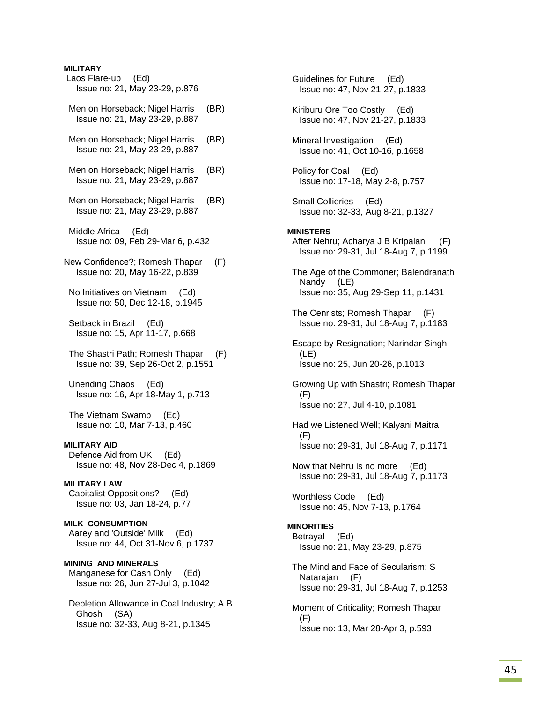### **MILITARY**

 Laos Flare-up (Ed) Issue no: 21, May 23-29, p.876 Men on Horseback; Nigel Harris (BR) Issue no: 21, May 23-29, p.887 Men on Horseback; Nigel Harris (BR) Issue no: 21, May 23-29, p.887 Men on Horseback; Nigel Harris (BR) Issue no: 21, May 23-29, p.887 Men on Horseback; Nigel Harris (BR) Issue no: 21, May 23-29, p.887 Middle Africa (Ed) Issue no: 09, Feb 29-Mar 6, p.432 New Confidence?; Romesh Thapar (F) Issue no: 20, May 16-22, p.839 No Initiatives on Vietnam (Ed) Issue no: 50, Dec 12-18, p.1945 Setback in Brazil (Ed) Issue no: 15, Apr 11-17, p.668 The Shastri Path; Romesh Thapar (F) Issue no: 39, Sep 26-Oct 2, p.1551 Unending Chaos (Ed) Issue no: 16, Apr 18-May 1, p.713 The Vietnam Swamp (Ed) Issue no: 10, Mar 7-13, p.460 **MILITARY AID**  Defence Aid from UK (Ed) Issue no: 48, Nov 28-Dec 4, p.1869 **MILITARY LAW**  Capitalist Oppositions? (Ed) Issue no: 03, Jan 18-24, p.77 **MILK CONSUMPTION**  Aarey and 'Outside' Milk (Ed) Issue no: 44, Oct 31-Nov 6, p.1737 **MINING AND MINERALS**  Manganese for Cash Only (Ed) Issue no: 26, Jun 27-Jul 3, p.1042 Depletion Allowance in Coal Industry; A B Ghosh (SA)

Issue no: 32-33, Aug 8-21, p.1345

 Guidelines for Future (Ed) Issue no: 47, Nov 21-27, p.1833 Kiriburu Ore Too Costly (Ed) Issue no: 47, Nov 21-27, p.1833 Mineral Investigation (Ed) Issue no: 41, Oct 10-16, p.1658 Policy for Coal (Ed) Issue no: 17-18, May 2-8, p.757 Small Collieries (Ed) Issue no: 32-33, Aug 8-21, p.1327 **MINISTERS**  After Nehru; Acharya J B Kripalani (F) Issue no: 29-31, Jul 18-Aug 7, p.1199 The Age of the Commoner; Balendranath Nandy (LE) Issue no: 35, Aug 29-Sep 11, p.1431 The Cenrists; Romesh Thapar (F) Issue no: 29-31, Jul 18-Aug 7, p.1183 Escape by Resignation; Narindar Singh (LE) Issue no: 25, Jun 20-26, p.1013 Growing Up with Shastri; Romesh Thapar (F) Issue no: 27, Jul 4-10, p.1081 Had we Listened Well; Kalyani Maitra (F) Issue no: 29-31, Jul 18-Aug 7, p.1171 Now that Nehru is no more (Ed) Issue no: 29-31, Jul 18-Aug 7, p.1173 Worthless Code (Ed) Issue no: 45, Nov 7-13, p.1764 **MINORITIES**  Betrayal (Ed) Issue no: 21, May 23-29, p.875 The Mind and Face of Secularism; S Natarajan (F) Issue no: 29-31, Jul 18-Aug 7, p.1253 Moment of Criticality; Romesh Thapar (F) Issue no: 13, Mar 28-Apr 3, p.593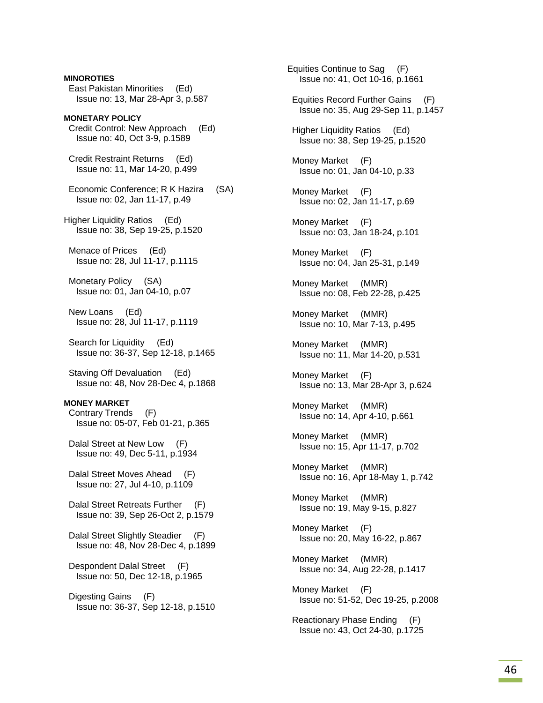**MINOROTIES**  East Pakistan Minorities (Ed) Issue no: 13, Mar 28-Apr 3, p.587 **MONETARY POLICY**  Credit Control: New Approach (Ed) Issue no: 40, Oct 3-9, p.1589 Credit Restraint Returns (Ed) Issue no: 11, Mar 14-20, p.499 Economic Conference; R K Hazira (SA) Issue no: 02, Jan 11-17, p.49 Higher Liquidity Ratios (Ed) Issue no: 38, Sep 19-25, p.1520 Menace of Prices (Ed) Issue no: 28, Jul 11-17, p.1115 Monetary Policy (SA) Issue no: 01, Jan 04-10, p.07 New Loans (Ed) Issue no: 28, Jul 11-17, p.1119 Search for Liquidity (Ed) Issue no: 36-37, Sep 12-18, p.1465 Staving Off Devaluation (Ed) Issue no: 48, Nov 28-Dec 4, p.1868 **MONEY MARKET**  Contrary Trends (F) Issue no: 05-07, Feb 01-21, p.365 Dalal Street at New Low (F) Issue no: 49, Dec 5-11, p.1934 Dalal Street Moves Ahead (F) Issue no: 27, Jul 4-10, p.1109 Dalal Street Retreats Further (F) Issue no: 39, Sep 26-Oct 2, p.1579 Dalal Street Slightly Steadier (F) Issue no: 48, Nov 28-Dec 4, p.1899 Despondent Dalal Street (F) Issue no: 50, Dec 12-18, p.1965 Digesting Gains (F) Issue no: 36-37, Sep 12-18, p.1510

Equities Continue to Sag (F) Issue no: 41, Oct 10-16, p.1661 Equities Record Further Gains (F) Issue no: 35, Aug 29-Sep 11, p.1457 Higher Liquidity Ratios (Ed) Issue no: 38, Sep 19-25, p.1520 Money Market (F) Issue no: 01, Jan 04-10, p.33 Money Market (F) Issue no: 02, Jan 11-17, p.69 Money Market (F) Issue no: 03, Jan 18-24, p.101 Money Market (F) Issue no: 04, Jan 25-31, p.149 Money Market (MMR) Issue no: 08, Feb 22-28, p.425 Money Market (MMR) Issue no: 10, Mar 7-13, p.495 Money Market (MMR) Issue no: 11, Mar 14-20, p.531 Money Market (F) Issue no: 13, Mar 28-Apr 3, p.624 Money Market (MMR) Issue no: 14, Apr 4-10, p.661 Money Market (MMR) Issue no: 15, Apr 11-17, p.702 Money Market (MMR) Issue no: 16, Apr 18-May 1, p.742 Money Market (MMR) Issue no: 19, May 9-15, p.827 Money Market (F) Issue no: 20, May 16-22, p.867 Money Market (MMR) Issue no: 34, Aug 22-28, p.1417 Money Market (F) Issue no: 51-52, Dec 19-25, p.2008 Reactionary Phase Ending (F) Issue no: 43, Oct 24-30, p.1725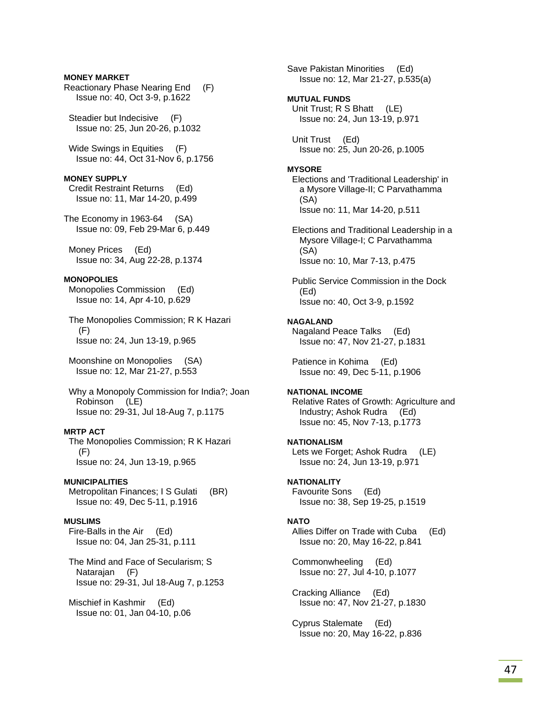### **MONEY MARKET**

Reactionary Phase Nearing End (F) Issue no: 40, Oct 3-9, p.1622

 Steadier but Indecisive (F) Issue no: 25, Jun 20-26, p.1032

 Wide Swings in Equities (F) Issue no: 44, Oct 31-Nov 6, p.1756

#### **MONEY SUPPLY**

 Credit Restraint Returns (Ed) Issue no: 11, Mar 14-20, p.499

The Economy in 1963-64 (SA) Issue no: 09, Feb 29-Mar 6, p.449

 Money Prices (Ed) Issue no: 34, Aug 22-28, p.1374

### **MONOPOLIES**

 Monopolies Commission (Ed) Issue no: 14, Apr 4-10, p.629

 The Monopolies Commission; R K Hazari (F) Issue no: 24, Jun 13-19, p.965

 Moonshine on Monopolies (SA) Issue no: 12, Mar 21-27, p.553

 Why a Monopoly Commission for India?; Joan Robinson (LE) Issue no: 29-31, Jul 18-Aug 7, p.1175

### **MRTP ACT**

 The Monopolies Commission; R K Hazari (F) Issue no: 24, Jun 13-19, p.965

#### **MUNICIPALITIES**

Metropolitan Finances; I S Gulati (BR) Issue no: 49, Dec 5-11, p.1916

### **MUSLIMS**

 Fire-Balls in the Air (Ed) Issue no: 04, Jan 25-31, p.111

 The Mind and Face of Secularism; S Natarajan (F) Issue no: 29-31, Jul 18-Aug 7, p.1253

 Mischief in Kashmir (Ed) Issue no: 01, Jan 04-10, p.06

Save Pakistan Minorities (Ed) Issue no: 12, Mar 21-27, p.535(a) **MUTUAL FUNDS**  Unit Trust; R S Bhatt (LE) Issue no: 24, Jun 13-19, p.971 Unit Trust (Ed) Issue no: 25, Jun 20-26, p.1005 **MYSORE**  Elections and 'Traditional Leadership' in a Mysore Village-II; C Parvathamma (SA) Issue no: 11, Mar 14-20, p.511 Elections and Traditional Leadership in a Mysore Village-I; C Parvathamma (SA) Issue no: 10, Mar 7-13, p.475 Public Service Commission in the Dock (Ed) Issue no: 40, Oct 3-9, p.1592 **NAGALAND**  Nagaland Peace Talks (Ed) Issue no: 47, Nov 21-27, p.1831 Patience in Kohima (Ed) Issue no: 49, Dec 5-11, p.1906 **NATIONAL INCOME**  Relative Rates of Growth: Agriculture and Industry; Ashok Rudra (Ed) Issue no: 45, Nov 7-13, p.1773 **NATIONALISM**  Lets we Forget; Ashok Rudra (LE) Issue no: 24, Jun 13-19, p.971 **NATIONALITY**  Favourite Sons (Ed) Issue no: 38, Sep 19-25, p.1519 **NATO**  Allies Differ on Trade with Cuba (Ed) Issue no: 20, May 16-22, p.841 Commonwheeling (Ed) Issue no: 27, Jul 4-10, p.1077 Cracking Alliance (Ed) Issue no: 47, Nov 21-27, p.1830

 Cyprus Stalemate (Ed) Issue no: 20, May 16-22, p.836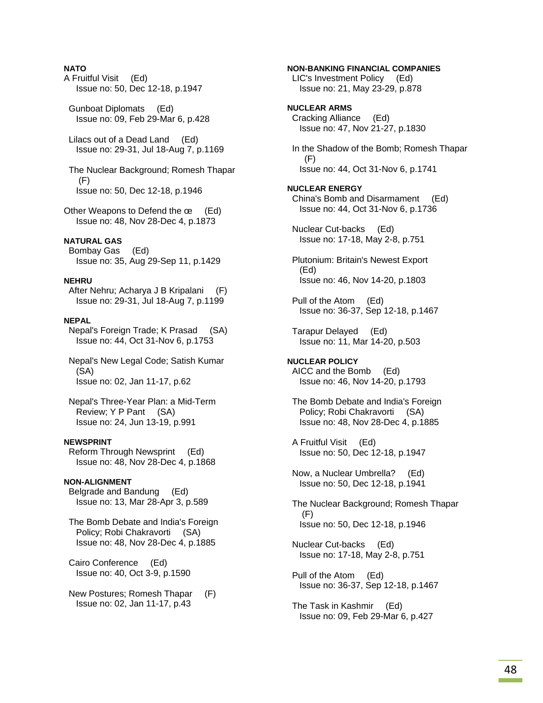### **NATO**

- A Fruitful Visit (Ed) Issue no: 50, Dec 12-18, p.1947
- Gunboat Diplomats (Ed) Issue no: 09, Feb 29-Mar 6, p.428
- Lilacs out of a Dead Land (Ed) Issue no: 29-31, Jul 18-Aug 7, p.1169

 The Nuclear Background; Romesh Thapar (F) Issue no: 50, Dec 12-18, p.1946

Other Weapons to Defend the œ (Ed) Issue no: 48, Nov 28-Dec 4, p.1873

#### **NATURAL GAS**

 Bombay Gas (Ed) Issue no: 35, Aug 29-Sep 11, p.1429

#### **NEHRU**

 After Nehru; Acharya J B Kripalani (F) Issue no: 29-31, Jul 18-Aug 7, p.1199

#### **NEPAL**

 Nepal's Foreign Trade; K Prasad (SA) Issue no: 44, Oct 31-Nov 6, p.1753

 Nepal's New Legal Code; Satish Kumar (SA) Issue no: 02, Jan 11-17, p.62

 Nepal's Three-Year Plan: a Mid-Term Review; Y P Pant (SA) Issue no: 24, Jun 13-19, p.991

### **NEWSPRINT**

 Reform Through Newsprint (Ed) Issue no: 48, Nov 28-Dec 4, p.1868

#### **NON-ALIGNMENT**

 Belgrade and Bandung (Ed) Issue no: 13, Mar 28-Apr 3, p.589

 The Bomb Debate and India's Foreign Policy; Robi Chakravorti (SA) Issue no: 48, Nov 28-Dec 4, p.1885

 Cairo Conference (Ed) Issue no: 40, Oct 3-9, p.1590

 New Postures; Romesh Thapar (F) Issue no: 02, Jan 11-17, p.43

**NON-BANKING FINANCIAL COMPANIES**  LIC's Investment Policy (Ed) Issue no: 21, May 23-29, p.878 **NUCLEAR ARMS**  Cracking Alliance (Ed) Issue no: 47, Nov 21-27, p.1830 In the Shadow of the Bomb; Romesh Thapar (F) Issue no: 44, Oct 31-Nov 6, p.1741 **NUCLEAR ENERGY**  China's Bomb and Disarmament (Ed) Issue no: 44, Oct 31-Nov 6, p.1736 Nuclear Cut-backs (Ed) Issue no: 17-18, May 2-8, p.751 Plutonium: Britain's Newest Export (Ed) Issue no: 46, Nov 14-20, p.1803 Pull of the Atom (Ed) Issue no: 36-37, Sep 12-18, p.1467 Tarapur Delayed (Ed) Issue no: 11, Mar 14-20, p.503 **NUCLEAR POLICY**  AICC and the Bomb (Ed) Issue no: 46, Nov 14-20, p.1793 The Bomb Debate and India's Foreign Policy; Robi Chakravorti (SA) Issue no: 48, Nov 28-Dec 4, p.1885 A Fruitful Visit (Ed) Issue no: 50, Dec 12-18, p.1947 Now, a Nuclear Umbrella? (Ed) Issue no: 50, Dec 12-18, p.1941

 The Nuclear Background; Romesh Thapar (F) Issue no: 50, Dec 12-18, p.1946

 Nuclear Cut-backs (Ed) Issue no: 17-18, May 2-8, p.751

- Pull of the Atom (Ed) Issue no: 36-37, Sep 12-18, p.1467
- The Task in Kashmir (Ed) Issue no: 09, Feb 29-Mar 6, p.427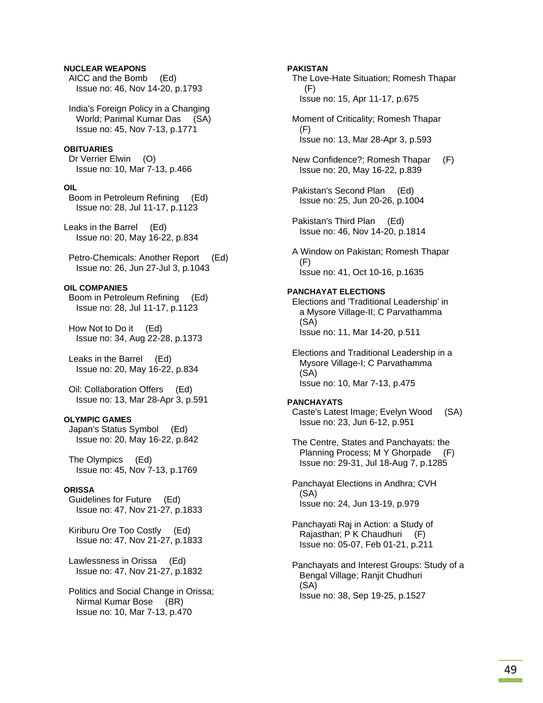### **NUCLEAR WEAPONS**

 AICC and the Bomb (Ed) Issue no: 46, Nov 14-20, p.1793

 India's Foreign Policy in a Changing World; Parimal Kumar Das (SA) Issue no: 45, Nov 7-13, p.1771

#### **OBITUARIES**

 Dr Verrier Elwin (O) Issue no: 10, Mar 7-13, p.466

#### **OIL**

 Boom in Petroleum Refining (Ed) Issue no: 28, Jul 11-17, p.1123

Leaks in the Barrel (Ed) Issue no: 20, May 16-22, p.834

 Petro-Chemicals: Another Report (Ed) Issue no: 26, Jun 27-Jul 3, p.1043

### **OIL COMPANIES**

 Boom in Petroleum Refining (Ed) Issue no: 28, Jul 11-17, p.1123

 How Not to Do it (Ed) Issue no: 34, Aug 22-28, p.1373

 Leaks in the Barrel (Ed) Issue no: 20, May 16-22, p.834

 Oil: Collaboration Offers (Ed) Issue no: 13, Mar 28-Apr 3, p.591

### **OLYMPIC GAMES**

 Japan's Status Symbol (Ed) Issue no: 20, May 16-22, p.842

 The Olympics (Ed) Issue no: 45, Nov 7-13, p.1769

### **ORISSA**

 Guidelines for Future (Ed) Issue no: 47, Nov 21-27, p.1833

 Kiriburu Ore Too Costly (Ed) Issue no: 47, Nov 21-27, p.1833

 Lawlessness in Orissa (Ed) Issue no: 47, Nov 21-27, p.1832

 Politics and Social Change in Orissa; Nirmal Kumar Bose (BR) Issue no: 10, Mar 7-13, p.470

#### **PAKISTAN**

 The Love-Hate Situation; Romesh Thapar (F) Issue no: 15, Apr 11-17, p.675

 Moment of Criticality; Romesh Thapar (F) Issue no: 13, Mar 28-Apr 3, p.593

 New Confidence?; Romesh Thapar (F) Issue no: 20, May 16-22, p.839

 Pakistan's Second Plan (Ed) Issue no: 25, Jun 20-26, p.1004

 Pakistan's Third Plan (Ed) Issue no: 46, Nov 14-20, p.1814

 A Window on Pakistan; Romesh Thapar (F) Issue no: 41, Oct 10-16, p.1635

#### **PANCHAYAT ELECTIONS**

 Elections and 'Traditional Leadership' in a Mysore Village-II; C Parvathamma (SA) Issue no: 11, Mar 14-20, p.511

 Elections and Traditional Leadership in a Mysore Village-I; C Parvathamma (SA) Issue no: 10, Mar 7-13, p.475

### **PANCHAYATS**

 Caste's Latest Image; Evelyn Wood (SA) Issue no: 23, Jun 6-12, p.951

 The Centre, States and Panchayats: the Planning Process; M Y Ghorpade (F) Issue no: 29-31, Jul 18-Aug 7, p.1285

 Panchayat Elections in Andhra; CVH (SA) Issue no: 24, Jun 13-19, p.979

 Panchayati Raj in Action: a Study of Rajasthan; P K Chaudhuri (F) Issue no: 05-07, Feb 01-21, p.211

 Panchayats and Interest Groups: Study of a Bengal Village; Ranjit Chudhuri (SA) Issue no: 38, Sep 19-25, p.1527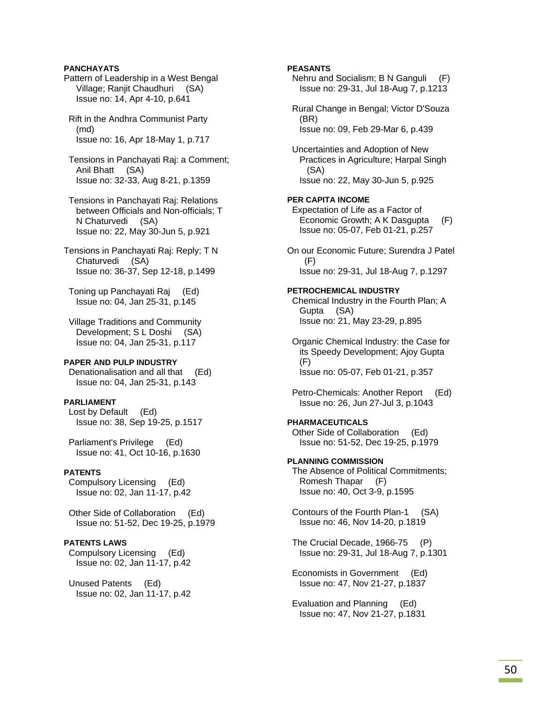### **PANCHAYATS**

- Pattern of Leadership in a West Bengal Village; Ranjit Chaudhuri (SA) Issue no: 14, Apr 4-10, p.641
- Rift in the Andhra Communist Party (md) Issue no: 16, Apr 18-May 1, p.717
- Tensions in Panchayati Raj: a Comment; Anil Bhatt (SA) Issue no: 32-33, Aug 8-21, p.1359
- Tensions in Panchayati Raj: Relations between Officials and Non-officials; T N Chaturvedi (SA) Issue no: 22, May 30-Jun 5, p.921
- Tensions in Panchayati Raj: Reply; T N Chaturvedi (SA) Issue no: 36-37, Sep 12-18, p.1499

 Toning up Panchayati Raj (Ed) Issue no: 04, Jan 25-31, p.145

 Village Traditions and Community Development; S L Doshi (SA) Issue no: 04, Jan 25-31, p.117

### **PAPER AND PULP INDUSTRY**

 Denationalisation and all that (Ed) Issue no: 04, Jan 25-31, p.143

### **PARLIAMENT**

 Lost by Default (Ed) Issue no: 38, Sep 19-25, p.1517

 Parliament's Privilege (Ed) Issue no: 41, Oct 10-16, p.1630

### **PATENTS**

 Compulsory Licensing (Ed) Issue no: 02, Jan 11-17, p.42

 Other Side of Collaboration (Ed) Issue no: 51-52, Dec 19-25, p.1979

#### **PATENTS LAWS**

 Compulsory Licensing (Ed) Issue no: 02, Jan 11-17, p.42

 Unused Patents (Ed) Issue no: 02, Jan 11-17, p.42

### **PEASANTS**

 Nehru and Socialism; B N Ganguli (F) Issue no: 29-31, Jul 18-Aug 7, p.1213

 Rural Change in Bengal; Victor D'Souza (BR) Issue no: 09, Feb 29-Mar 6, p.439

 Uncertainties and Adoption of New Practices in Agriculture; Harpal Singh (SA) Issue no: 22, May 30-Jun 5, p.925

#### **PER CAPITA INCOME**

- Expectation of Life as a Factor of Economic Growth; A K Dasgupta (F) Issue no: 05-07, Feb 01-21, p.257
- On our Economic Future; Surendra J Patel (F) Issue no: 29-31, Jul 18-Aug 7, p.1297

#### **PETROCHEMICAL INDUSTRY**

 Chemical Industry in the Fourth Plan; A Gupta (SA) Issue no: 21, May 23-29, p.895

 Organic Chemical Industry: the Case for its Speedy Development; Ajoy Gupta (F) Issue no: 05-07, Feb 01-21, p.357

 Petro-Chemicals: Another Report (Ed) Issue no: 26, Jun 27-Jul 3, p.1043

### **PHARMACEUTICALS**

 Other Side of Collaboration (Ed) Issue no: 51-52, Dec 19-25, p.1979

#### **PLANNING COMMISSION**

 The Absence of Political Commitments; Romesh Thapar (F) Issue no: 40, Oct 3-9, p.1595

 Contours of the Fourth Plan-1 (SA) Issue no: 46, Nov 14-20, p.1819

 The Crucial Decade, 1966-75 (P) Issue no: 29-31, Jul 18-Aug 7, p.1301

 Economists in Government (Ed) Issue no: 47, Nov 21-27, p.1837

 Evaluation and Planning (Ed) Issue no: 47, Nov 21-27, p.1831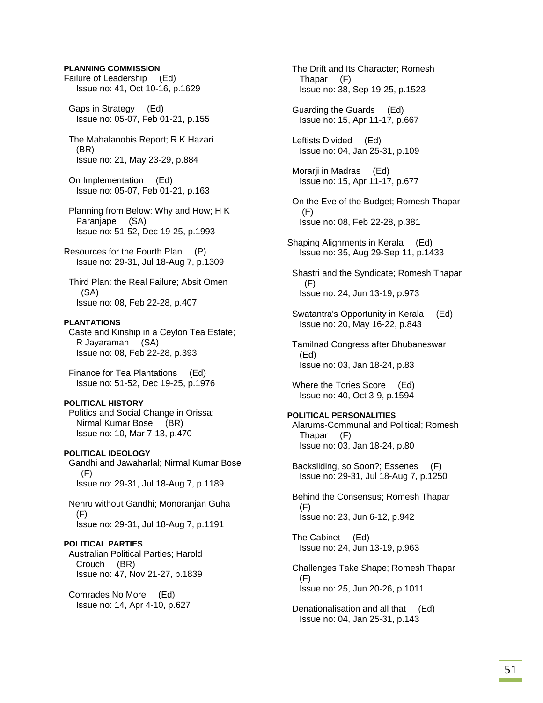### **PLANNING COMMISSION**

Failure of Leadership (Ed) Issue no: 41, Oct 10-16, p.1629

 Gaps in Strategy (Ed) Issue no: 05-07, Feb 01-21, p.155

 The Mahalanobis Report; R K Hazari (BR) Issue no: 21, May 23-29, p.884

 On Implementation (Ed) Issue no: 05-07, Feb 01-21, p.163

 Planning from Below: Why and How; H K Paranjape (SA) Issue no: 51-52, Dec 19-25, p.1993

Resources for the Fourth Plan (P) Issue no: 29-31, Jul 18-Aug 7, p.1309

 Third Plan: the Real Failure; Absit Omen (SA) Issue no: 08, Feb 22-28, p.407

### **PLANTATIONS**

 Caste and Kinship in a Ceylon Tea Estate; R Jayaraman (SA) Issue no: 08, Feb 22-28, p.393

 Finance for Tea Plantations (Ed) Issue no: 51-52, Dec 19-25, p.1976

#### **POLITICAL HISTORY**

 Politics and Social Change in Orissa; Nirmal Kumar Bose (BR) Issue no: 10, Mar 7-13, p.470

**POLITICAL IDEOLOGY**  Gandhi and Jawaharlal; Nirmal Kumar Bose (F) Issue no: 29-31, Jul 18-Aug 7, p.1189

 Nehru without Gandhi; Monoranjan Guha (F) Issue no: 29-31, Jul 18-Aug 7, p.1191

### **POLITICAL PARTIES**

 Australian Political Parties; Harold Crouch (BR) Issue no: 47, Nov 21-27, p.1839

 Comrades No More (Ed) Issue no: 14, Apr 4-10, p.627  The Drift and Its Character; Romesh Thapar (F) Issue no: 38, Sep 19-25, p.1523

 Guarding the Guards (Ed) Issue no: 15, Apr 11-17, p.667

 Leftists Divided (Ed) Issue no: 04, Jan 25-31, p.109

 Morarji in Madras (Ed) Issue no: 15, Apr 11-17, p.677

 On the Eve of the Budget; Romesh Thapar (F) Issue no: 08, Feb 22-28, p.381

Shaping Alignments in Kerala (Ed) Issue no: 35, Aug 29-Sep 11, p.1433

 Shastri and the Syndicate; Romesh Thapar (F) Issue no: 24, Jun 13-19, p.973

 Swatantra's Opportunity in Kerala (Ed) Issue no: 20, May 16-22, p.843

 Tamilnad Congress after Bhubaneswar (Ed) Issue no: 03, Jan 18-24, p.83

 Where the Tories Score (Ed) Issue no: 40, Oct 3-9, p.1594

### **POLITICAL PERSONALITIES**  Alarums-Communal and Political; Romesh Thapar (F) Issue no: 03, Jan 18-24, p.80

 Backsliding, so Soon?; Essenes (F) Issue no: 29-31, Jul 18-Aug 7, p.1250

 Behind the Consensus; Romesh Thapar (F) Issue no: 23, Jun 6-12, p.942

 The Cabinet (Ed) Issue no: 24, Jun 13-19, p.963

 Challenges Take Shape; Romesh Thapar (F) Issue no: 25, Jun 20-26, p.1011

 Denationalisation and all that (Ed) Issue no: 04, Jan 25-31, p.143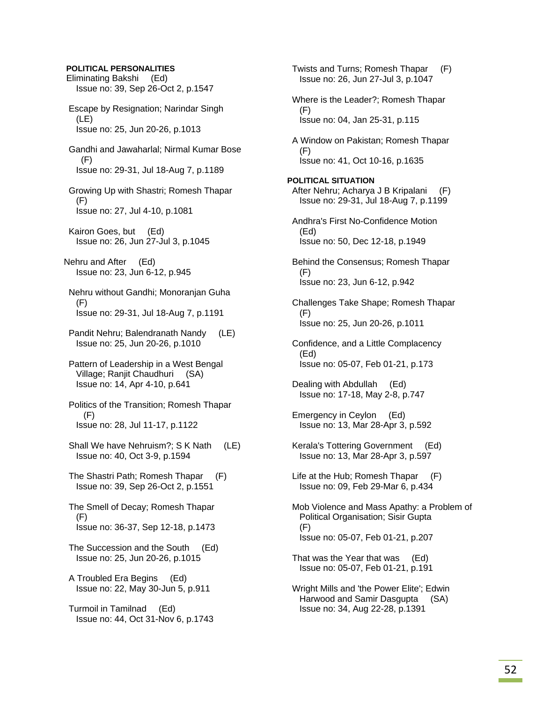**POLITICAL PERSONALITIES** Eliminating Bakshi (Ed) Issue no: 39, Sep 26-Oct 2, p.1547 Escape by Resignation; Narindar Singh (LE) Issue no: 25, Jun 20-26, p.1013 Gandhi and Jawaharlal; Nirmal Kumar Bose (F) Issue no: 29-31, Jul 18-Aug 7, p.1189 Growing Up with Shastri; Romesh Thapar (F) Issue no: 27, Jul 4-10, p.1081 Kairon Goes, but (Ed) Issue no: 26, Jun 27-Jul 3, p.1045 Nehru and After (Ed) Issue no: 23, Jun 6-12, p.945 Nehru without Gandhi; Monoranjan Guha  $(F)$  Issue no: 29-31, Jul 18-Aug 7, p.1191 Pandit Nehru; Balendranath Nandy (LE) Issue no: 25, Jun 20-26, p.1010 Pattern of Leadership in a West Bengal Village; Ranjit Chaudhuri (SA) Issue no: 14, Apr 4-10, p.641 Politics of the Transition; Romesh Thapar (F) Issue no: 28, Jul 11-17, p.1122 Shall We have Nehruism?; S K Nath (LE) Issue no: 40, Oct 3-9, p.1594 The Shastri Path; Romesh Thapar (F) Issue no: 39, Sep 26-Oct 2, p.1551 The Smell of Decay; Romesh Thapar (F) Issue no: 36-37, Sep 12-18, p.1473 The Succession and the South (Ed) Issue no: 25, Jun 20-26, p.1015 A Troubled Era Begins (Ed) Issue no: 22, May 30-Jun 5, p.911 Turmoil in Tamilnad (Ed) Issue no: 44, Oct 31-Nov 6, p.1743

 Twists and Turns; Romesh Thapar (F) Issue no: 26, Jun 27-Jul 3, p.1047 Where is the Leader?; Romesh Thapar (F) Issue no: 04, Jan 25-31, p.115 A Window on Pakistan; Romesh Thapar (F) Issue no: 41, Oct 10-16, p.1635 **POLITICAL SITUATION**  After Nehru; Acharya J B Kripalani (F) Issue no: 29-31, Jul 18-Aug 7, p.1199 Andhra's First No-Confidence Motion (Ed) Issue no: 50, Dec 12-18, p.1949 Behind the Consensus; Romesh Thapar (F) Issue no: 23, Jun 6-12, p.942 Challenges Take Shape; Romesh Thapar (F) Issue no: 25, Jun 20-26, p.1011 Confidence, and a Little Complacency (Ed) Issue no: 05-07, Feb 01-21, p.173 Dealing with Abdullah (Ed) Issue no: 17-18, May 2-8, p.747 Emergency in Ceylon (Ed) Issue no: 13, Mar 28-Apr 3, p.592 Kerala's Tottering Government (Ed) Issue no: 13, Mar 28-Apr 3, p.597 Life at the Hub; Romesh Thapar (F) Issue no: 09, Feb 29-Mar 6, p.434 Mob Violence and Mass Apathy: a Problem of Political Organisation; Sisir Gupta (F) Issue no: 05-07, Feb 01-21, p.207 That was the Year that was (Ed) Issue no: 05-07, Feb 01-21, p.191 Wright Mills and 'the Power Elite'; Edwin Harwood and Samir Dasgupta (SA) Issue no: 34, Aug 22-28, p.1391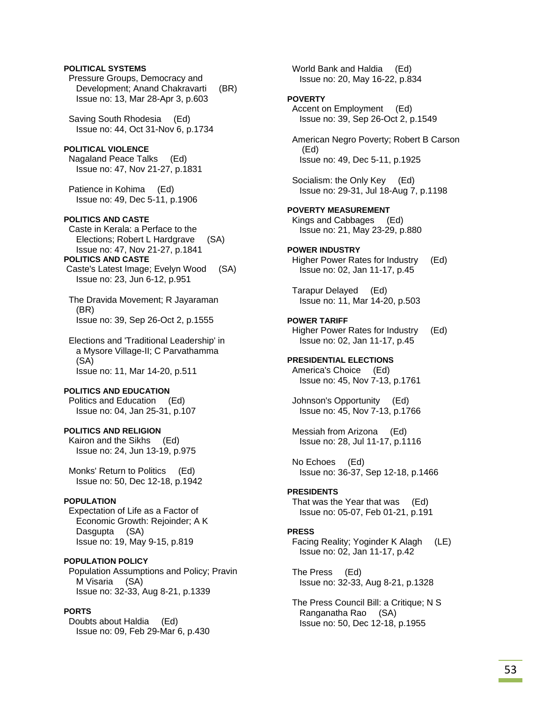### **POLITICAL SYSTEMS**

 Pressure Groups, Democracy and Development; Anand Chakravarti (BR) Issue no: 13, Mar 28-Apr 3, p.603

 Saving South Rhodesia (Ed) Issue no: 44, Oct 31-Nov 6, p.1734

### **POLITICAL VIOLENCE**

 Nagaland Peace Talks (Ed) Issue no: 47, Nov 21-27, p.1831

 Patience in Kohima (Ed) Issue no: 49, Dec 5-11, p.1906

### **POLITICS AND CASTE**

 Caste in Kerala: a Perface to the Elections; Robert L Hardgrave (SA) Issue no: 47, Nov 21-27, p.1841

# **POLITICS AND CASTE**

 Caste's Latest Image; Evelyn Wood (SA) Issue no: 23, Jun 6-12, p.951

 The Dravida Movement; R Jayaraman (BR) Issue no: 39, Sep 26-Oct 2, p.1555

 Elections and 'Traditional Leadership' in a Mysore Village-II; C Parvathamma (SA) Issue no: 11, Mar 14-20, p.511

#### **POLITICS AND EDUCATION**

 Politics and Education (Ed) Issue no: 04, Jan 25-31, p.107

#### **POLITICS AND RELIGION**

 Kairon and the Sikhs (Ed) Issue no: 24, Jun 13-19, p.975

 Monks' Return to Politics (Ed) Issue no: 50, Dec 12-18, p.1942

#### **POPULATION**

 Expectation of Life as a Factor of Economic Growth: Rejoinder; A K Dasgupta (SA) Issue no: 19, May 9-15, p.819

### **POPULATION POLICY**

 Population Assumptions and Policy; Pravin M Visaria (SA) Issue no: 32-33, Aug 8-21, p.1339

### **PORTS**

 Doubts about Haldia (Ed) Issue no: 09, Feb 29-Mar 6, p.430  World Bank and Haldia (Ed) Issue no: 20, May 16-22, p.834

#### **POVERTY**

 Accent on Employment (Ed) Issue no: 39, Sep 26-Oct 2, p.1549

 American Negro Poverty; Robert B Carson (Ed) Issue no: 49, Dec 5-11, p.1925

 Socialism: the Only Key (Ed) Issue no: 29-31, Jul 18-Aug 7, p.1198

### **POVERTY MEASUREMENT**  Kings and Cabbages (Ed) Issue no: 21, May 23-29, p.880

#### **POWER INDUSTRY**

 Higher Power Rates for Industry (Ed) Issue no: 02, Jan 11-17, p.45

 Tarapur Delayed (Ed) Issue no: 11, Mar 14-20, p.503

#### **POWER TARIFF**

 Higher Power Rates for Industry (Ed) Issue no: 02, Jan 11-17, p.45

### **PRESIDENTIAL ELECTIONS**

 America's Choice (Ed) Issue no: 45, Nov 7-13, p.1761

 Johnson's Opportunity (Ed) Issue no: 45, Nov 7-13, p.1766

 Messiah from Arizona (Ed) Issue no: 28, Jul 11-17, p.1116

 No Echoes (Ed) Issue no: 36-37, Sep 12-18, p.1466

#### **PRESIDENTS**

 That was the Year that was (Ed) Issue no: 05-07, Feb 01-21, p.191

#### **PRESS**

 Facing Reality; Yoginder K Alagh (LE) Issue no: 02, Jan 11-17, p.42

 The Press (Ed) Issue no: 32-33, Aug 8-21, p.1328

 The Press Council Bill: a Critique; N S Ranganatha Rao (SA) Issue no: 50, Dec 12-18, p.1955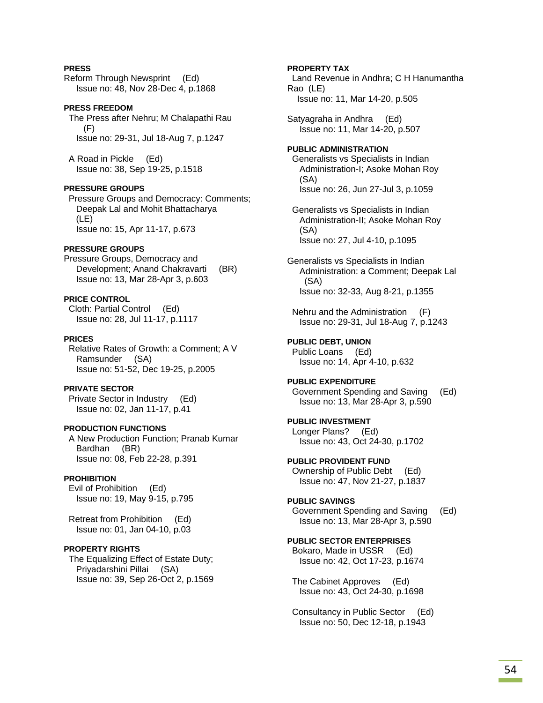### **PRESS**

Reform Through Newsprint (Ed) Issue no: 48, Nov 28-Dec 4, p.1868

#### **PRESS FREEDOM**

 The Press after Nehru; M Chalapathi Rau (F) Issue no: 29-31, Jul 18-Aug 7, p.1247

 A Road in Pickle (Ed) Issue no: 38, Sep 19-25, p.1518

#### **PRESSURE GROUPS**

 Pressure Groups and Democracy: Comments; Deepak Lal and Mohit Bhattacharya (LE) Issue no: 15, Apr 11-17, p.673

### **PRESSURE GROUPS**

Pressure Groups, Democracy and Development; Anand Chakravarti (BR) Issue no: 13, Mar 28-Apr 3, p.603

**PRICE CONTROL**  Cloth: Partial Control (Ed) Issue no: 28, Jul 11-17, p.1117

### **PRICES**

 Relative Rates of Growth: a Comment; A V Ramsunder (SA) Issue no: 51-52, Dec 19-25, p.2005

**PRIVATE SECTOR**  Private Sector in Industry (Ed) Issue no: 02, Jan 11-17, p.41

#### **PRODUCTION FUNCTIONS**

 A New Production Function; Pranab Kumar Bardhan (BR) Issue no: 08, Feb 22-28, p.391

### **PROHIBITION**

 Evil of Prohibition (Ed) Issue no: 19, May 9-15, p.795

 Retreat from Prohibition (Ed) Issue no: 01, Jan 04-10, p.03

### **PROPERTY RIGHTS**

 The Equalizing Effect of Estate Duty; Priyadarshini Pillai (SA) Issue no: 39, Sep 26-Oct 2, p.1569

### **PROPERTY TAX**

 Land Revenue in Andhra; C H Hanumantha Rao (LE) Issue no: 11, Mar 14-20, p.505

Satyagraha in Andhra (Ed) Issue no: 11, Mar 14-20, p.507

### **PUBLIC ADMINISTRATION**  Generalists vs Specialists in Indian Administration-I; Asoke Mohan Roy

 (SA) Issue no: 26, Jun 27-Jul 3, p.1059

 Generalists vs Specialists in Indian Administration-II; Asoke Mohan Roy (SA) Issue no: 27, Jul 4-10, p.1095

Generalists vs Specialists in Indian Administration: a Comment; Deepak Lal (SA) Issue no: 32-33, Aug 8-21, p.1355

 Nehru and the Administration (F) Issue no: 29-31, Jul 18-Aug 7, p.1243

## **PUBLIC DEBT, UNION**

 Public Loans (Ed) Issue no: 14, Apr 4-10, p.632

#### **PUBLIC EXPENDITURE**  Government Spending and Saving (Ed) Issue no: 13, Mar 28-Apr 3, p.590

**PUBLIC INVESTMENT**  Longer Plans? (Ed) Issue no: 43, Oct 24-30, p.1702

**PUBLIC PROVIDENT FUND**  Ownership of Public Debt (Ed) Issue no: 47, Nov 21-27, p.1837

#### **PUBLIC SAVINGS**  Government Spending and Saving (Ed)

Issue no: 13, Mar 28-Apr 3, p.590

# **PUBLIC SECTOR ENTERPRISES**

 Bokaro, Made in USSR (Ed) Issue no: 42, Oct 17-23, p.1674

 The Cabinet Approves (Ed) Issue no: 43, Oct 24-30, p.1698

 Consultancy in Public Sector (Ed) Issue no: 50, Dec 12-18, p.1943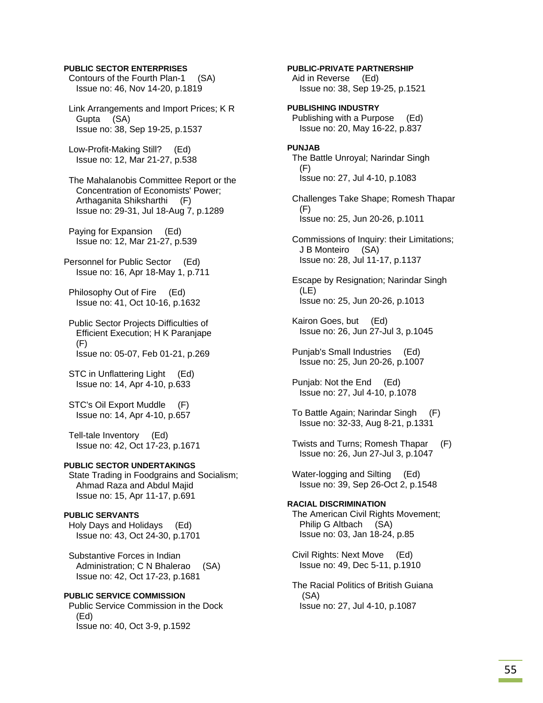#### **PUBLIC SECTOR ENTERPRISES**

- Contours of the Fourth Plan-1 (SA) Issue no: 46, Nov 14-20, p.1819
- Link Arrangements and Import Prices; K R Gupta (SA) Issue no: 38, Sep 19-25, p.1537
- Low-Profit-Making Still? (Ed) Issue no: 12, Mar 21-27, p.538
- The Mahalanobis Committee Report or the Concentration of Economists' Power; Arthaganita Shiksharthi (F) Issue no: 29-31, Jul 18-Aug 7, p.1289
- Paying for Expansion (Ed) Issue no: 12, Mar 21-27, p.539
- Personnel for Public Sector (Ed) Issue no: 16, Apr 18-May 1, p.711
- Philosophy Out of Fire (Ed) Issue no: 41, Oct 10-16, p.1632
- Public Sector Projects Difficulties of Efficient Execution; H K Paranjape (F) Issue no: 05-07, Feb 01-21, p.269
- STC in Unflattering Light (Ed) Issue no: 14, Apr 4-10, p.633
- STC's Oil Export Muddle (F) Issue no: 14, Apr 4-10, p.657
- Tell-tale Inventory (Ed) Issue no: 42, Oct 17-23, p.1671

#### **PUBLIC SECTOR UNDERTAKINGS**

 State Trading in Foodgrains and Socialism; Ahmad Raza and Abdul Majid Issue no: 15, Apr 11-17, p.691

#### **PUBLIC SERVANTS**

 Holy Days and Holidays (Ed) Issue no: 43, Oct 24-30, p.1701

 Substantive Forces in Indian Administration; C N Bhalerao (SA) Issue no: 42, Oct 17-23, p.1681

### **PUBLIC SERVICE COMMISSION**

 Public Service Commission in the Dock (Ed) Issue no: 40, Oct 3-9, p.1592

 Aid in Reverse (Ed) Issue no: 38, Sep 19-25, p.1521 **PUBLISHING INDUSTRY**  Publishing with a Purpose (Ed) Issue no: 20, May 16-22, p.837 **PUNJAB**  The Battle Unroyal; Narindar Singh (F) Issue no: 27, Jul 4-10, p.1083 Challenges Take Shape; Romesh Thapar (F) Issue no: 25, Jun 20-26, p.1011 Commissions of Inquiry: their Limitations; J B Monteiro (SA) Issue no: 28, Jul 11-17, p.1137 Escape by Resignation; Narindar Singh (LE) Issue no: 25, Jun 20-26, p.1013 Kairon Goes, but (Ed) Issue no: 26, Jun 27-Jul 3, p.1045 Punjab's Small Industries (Ed) Issue no: 25, Jun 20-26, p.1007 Punjab: Not the End (Ed) Issue no: 27, Jul 4-10, p.1078 To Battle Again; Narindar Singh (F) Issue no: 32-33, Aug 8-21, p.1331 Twists and Turns; Romesh Thapar (F) Issue no: 26, Jun 27-Jul 3, p.1047 Water-logging and Silting (Ed) Issue no: 39, Sep 26-Oct 2, p.1548 **RACIAL DISCRIMINATION**  The American Civil Rights Movement; Philip G Altbach (SA) Issue no: 03, Jan 18-24, p.85 Civil Rights: Next Move (Ed) Issue no: 49, Dec 5-11, p.1910 The Racial Politics of British Guiana (SA) Issue no: 27, Jul 4-10, p.1087

**PUBLIC-PRIVATE PARTNERSHIP**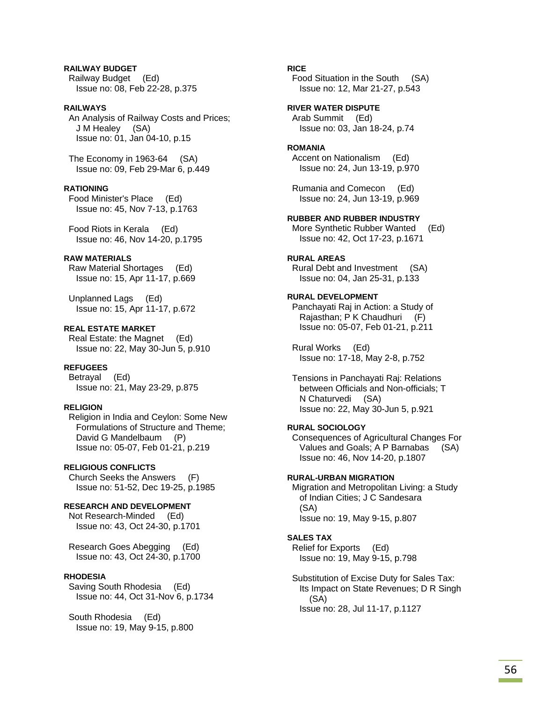### **RAILWAY BUDGET**  Railway Budget (Ed) Issue no: 08, Feb 22-28, p.375

#### **RAILWAYS**

 An Analysis of Railway Costs and Prices; J M Healey (SA) Issue no: 01, Jan 04-10, p.15

 The Economy in 1963-64 (SA) Issue no: 09, Feb 29-Mar 6, p.449

#### **RATIONING**

 Food Minister's Place (Ed) Issue no: 45, Nov 7-13, p.1763

 Food Riots in Kerala (Ed) Issue no: 46, Nov 14-20, p.1795

### **RAW MATERIALS**

 Raw Material Shortages (Ed) Issue no: 15, Apr 11-17, p.669

 Unplanned Lags (Ed) Issue no: 15, Apr 11-17, p.672

### **REAL ESTATE MARKET**

 Real Estate: the Magnet (Ed) Issue no: 22, May 30-Jun 5, p.910

#### **REFUGEES**

 Betrayal (Ed) Issue no: 21, May 23-29, p.875

### **RELIGION**

 Religion in India and Ceylon: Some New Formulations of Structure and Theme; David G Mandelbaum (P) Issue no: 05-07, Feb 01-21, p.219

## **RELIGIOUS CONFLICTS**

 Church Seeks the Answers (F) Issue no: 51-52, Dec 19-25, p.1985

#### **RESEARCH AND DEVELOPMENT**

 Not Research-Minded (Ed) Issue no: 43, Oct 24-30, p.1701

 Research Goes Abegging (Ed) Issue no: 43, Oct 24-30, p.1700

#### **RHODESIA**

 Saving South Rhodesia (Ed) Issue no: 44, Oct 31-Nov 6, p.1734

 South Rhodesia (Ed) Issue no: 19, May 9-15, p.800

### **RICE**

 Food Situation in the South (SA) Issue no: 12, Mar 21-27, p.543

**RIVER WATER DISPUTE**  Arab Summit (Ed) Issue no: 03, Jan 18-24, p.74

#### **ROMANIA**

 Accent on Nationalism (Ed) Issue no: 24, Jun 13-19, p.970

 Rumania and Comecon (Ed) Issue no: 24, Jun 13-19, p.969

#### **RUBBER AND RUBBER INDUSTRY**

 More Synthetic Rubber Wanted (Ed) Issue no: 42, Oct 17-23, p.1671

### **RURAL AREAS**

 Rural Debt and Investment (SA) Issue no: 04, Jan 25-31, p.133

### **RURAL DEVELOPMENT**

 Panchayati Raj in Action: a Study of Rajasthan; P K Chaudhuri (F) Issue no: 05-07, Feb 01-21, p.211

 Rural Works (Ed) Issue no: 17-18, May 2-8, p.752

 Tensions in Panchayati Raj: Relations between Officials and Non-officials; T N Chaturvedi (SA) Issue no: 22, May 30-Jun 5, p.921

#### **RURAL SOCIOLOGY**

 Consequences of Agricultural Changes For Values and Goals; A P Barnabas (SA) Issue no: 46, Nov 14-20, p.1807

#### **RURAL-URBAN MIGRATION**

 Migration and Metropolitan Living: a Study of Indian Cities; J C Sandesara (SA) Issue no: 19, May 9-15, p.807

### **SALES TAX**

 Relief for Exports (Ed) Issue no: 19, May 9-15, p.798

 Substitution of Excise Duty for Sales Tax: Its Impact on State Revenues; D R Singh (SA) Issue no: 28, Jul 11-17, p.1127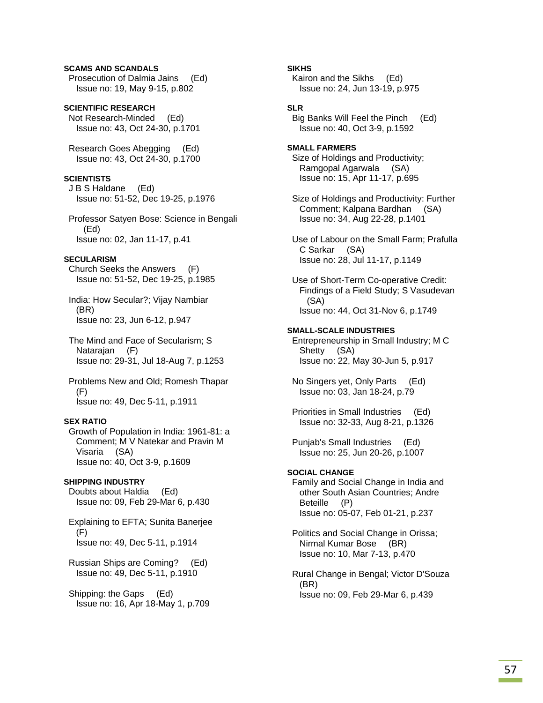### **SCAMS AND SCANDALS**

 Prosecution of Dalmia Jains (Ed) Issue no: 19, May 9-15, p.802

**SCIENTIFIC RESEARCH**  Not Research-Minded (Ed) Issue no: 43, Oct 24-30, p.1701

 Research Goes Abegging (Ed) Issue no: 43, Oct 24-30, p.1700

### **SCIENTISTS**

 J B S Haldane (Ed) Issue no: 51-52, Dec 19-25, p.1976

 Professor Satyen Bose: Science in Bengali (Ed) Issue no: 02, Jan 11-17, p.41

#### **SECULARISM**

 Church Seeks the Answers (F) Issue no: 51-52, Dec 19-25, p.1985

 India: How Secular?; Vijay Nambiar (BR) Issue no: 23, Jun 6-12, p.947

 The Mind and Face of Secularism; S Natarajan (F) Issue no: 29-31, Jul 18-Aug 7, p.1253

 Problems New and Old; Romesh Thapar (F) Issue no: 49, Dec 5-11, p.1911

### **SEX RATIO**

 Growth of Population in India: 1961-81: a Comment; M V Natekar and Pravin M Visaria (SA) Issue no: 40, Oct 3-9, p.1609

#### **SHIPPING INDUSTRY**

 Doubts about Haldia (Ed) Issue no: 09, Feb 29-Mar 6, p.430

 Explaining to EFTA; Sunita Banerjee (F) Issue no: 49, Dec 5-11, p.1914

 Russian Ships are Coming? (Ed) Issue no: 49, Dec 5-11, p.1910

 Shipping: the Gaps (Ed) Issue no: 16, Apr 18-May 1, p.709 **SIKHS** 

 Kairon and the Sikhs (Ed) Issue no: 24, Jun 13-19, p.975

#### **SLR**

 Big Banks Will Feel the Pinch (Ed) Issue no: 40, Oct 3-9, p.1592

**SMALL FARMERS**  Size of Holdings and Productivity; Ramgopal Agarwala (SA) Issue no: 15, Apr 11-17, p.695

 Size of Holdings and Productivity: Further Comment; Kalpana Bardhan (SA) Issue no: 34, Aug 22-28, p.1401

 Use of Labour on the Small Farm; Prafulla C Sarkar (SA) Issue no: 28, Jul 11-17, p.1149

 Use of Short-Term Co-operative Credit: Findings of a Field Study; S Vasudevan (SA) Issue no: 44, Oct 31-Nov 6, p.1749

#### **SMALL-SCALE INDUSTRIES**

 Entrepreneurship in Small Industry; M C Shetty (SA) Issue no: 22, May 30-Jun 5, p.917

 No Singers yet, Only Parts (Ed) Issue no: 03, Jan 18-24, p.79

 Priorities in Small Industries (Ed) Issue no: 32-33, Aug 8-21, p.1326

 Punjab's Small Industries (Ed) Issue no: 25, Jun 20-26, p.1007

### **SOCIAL CHANGE**

 Family and Social Change in India and other South Asian Countries; Andre Beteille (P) Issue no: 05-07, Feb 01-21, p.237

 Politics and Social Change in Orissa; Nirmal Kumar Bose (BR) Issue no: 10, Mar 7-13, p.470

 Rural Change in Bengal; Victor D'Souza (BR) Issue no: 09, Feb 29-Mar 6, p.439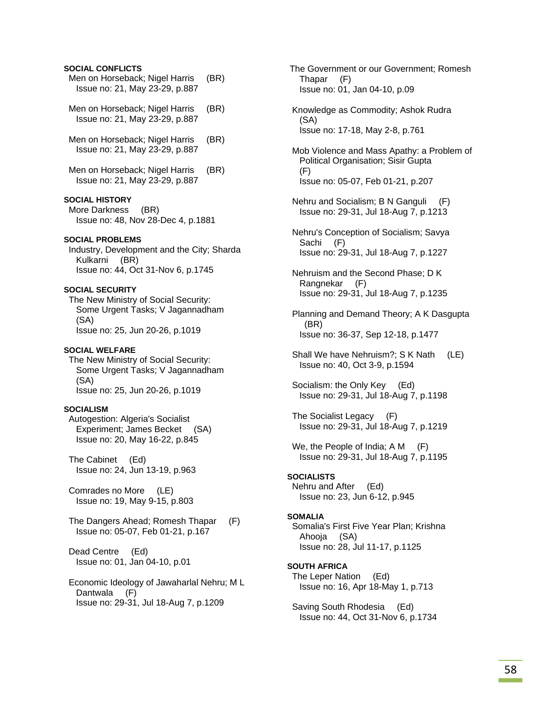#### **SOCIAL CONFLICTS**

- Men on Horseback; Nigel Harris (BR) Issue no: 21, May 23-29, p.887
- Men on Horseback; Nigel Harris (BR) Issue no: 21, May 23-29, p.887
- Men on Horseback; Nigel Harris (BR) Issue no: 21, May 23-29, p.887
- Men on Horseback; Nigel Harris (BR) Issue no: 21, May 23-29, p.887

### **SOCIAL HISTORY**

 More Darkness (BR) Issue no: 48, Nov 28-Dec 4, p.1881

#### **SOCIAL PROBLEMS**

 Industry, Development and the City; Sharda Kulkarni (BR) Issue no: 44, Oct 31-Nov 6, p.1745

### **SOCIAL SECURITY**

 The New Ministry of Social Security: Some Urgent Tasks; V Jagannadham (SA) Issue no: 25, Jun 20-26, p.1019

#### **SOCIAL WELFARE**

 The New Ministry of Social Security: Some Urgent Tasks; V Jagannadham (SA) Issue no: 25, Jun 20-26, p.1019

#### **SOCIALISM**

 Autogestion: Algeria's Socialist Experiment; James Becket (SA) Issue no: 20, May 16-22, p.845

 The Cabinet (Ed) Issue no: 24, Jun 13-19, p.963

 Comrades no More (LE) Issue no: 19, May 9-15, p.803

 The Dangers Ahead; Romesh Thapar (F) Issue no: 05-07, Feb 01-21, p.167

 Dead Centre (Ed) Issue no: 01, Jan 04-10, p.01

 Economic Ideology of Jawaharlal Nehru; M L Dantwala (F) Issue no: 29-31, Jul 18-Aug 7, p.1209

 The Government or our Government; Romesh Thapar (F) Issue no: 01, Jan 04-10, p.09

 Knowledge as Commodity; Ashok Rudra (SA) Issue no: 17-18, May 2-8, p.761

 Mob Violence and Mass Apathy: a Problem of Political Organisation; Sisir Gupta (F) Issue no: 05-07, Feb 01-21, p.207

- Nehru and Socialism; B N Ganguli (F) Issue no: 29-31, Jul 18-Aug 7, p.1213
- Nehru's Conception of Socialism; Savya Sachi (F) Issue no: 29-31, Jul 18-Aug 7, p.1227
- Nehruism and the Second Phase; D K Rangnekar (F) Issue no: 29-31, Jul 18-Aug 7, p.1235

 Planning and Demand Theory; A K Dasgupta (BR) Issue no: 36-37, Sep 12-18, p.1477

- Shall We have Nehruism?; S K Nath (LE) Issue no: 40, Oct 3-9, p.1594
- Socialism: the Only Key (Ed) Issue no: 29-31, Jul 18-Aug 7, p.1198
- The Socialist Legacy (F) Issue no: 29-31, Jul 18-Aug 7, p.1219
- We, the People of India; A M (F) Issue no: 29-31, Jul 18-Aug 7, p.1195

#### **SOCIALISTS**

 Nehru and After (Ed) Issue no: 23, Jun 6-12, p.945

#### **SOMALIA**

 Somalia's First Five Year Plan; Krishna Ahooja (SA) Issue no: 28, Jul 11-17, p.1125

**SOUTH AFRICA**  The Leper Nation (Ed) Issue no: 16, Apr 18-May 1, p.713

 Saving South Rhodesia (Ed) Issue no: 44, Oct 31-Nov 6, p.1734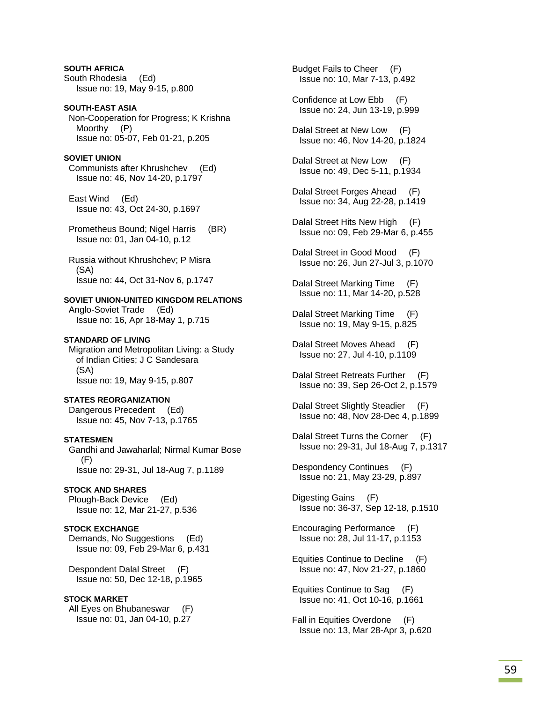**SOUTH AFRICA** South Rhodesia (Ed) Issue no: 19, May 9-15, p.800

**SOUTH-EAST ASIA**  Non-Cooperation for Progress; K Krishna Moorthy (P) Issue no: 05-07, Feb 01-21, p.205

### **SOVIET UNION**

 Communists after Khrushchev (Ed) Issue no: 46, Nov 14-20, p.1797

 East Wind (Ed) Issue no: 43, Oct 24-30, p.1697

 Prometheus Bound; Nigel Harris (BR) Issue no: 01, Jan 04-10, p.12

 Russia without Khrushchev; P Misra (SA) Issue no: 44, Oct 31-Nov 6, p.1747

### **SOVIET UNION-UNITED KINGDOM RELATIONS**

 Anglo-Soviet Trade (Ed) Issue no: 16, Apr 18-May 1, p.715

#### **STANDARD OF LIVING**

 Migration and Metropolitan Living: a Study of Indian Cities; J C Sandesara (SA) Issue no: 19, May 9-15, p.807

### **STATES REORGANIZATION**

 Dangerous Precedent (Ed) Issue no: 45, Nov 7-13, p.1765

### **STATESMEN**

 Gandhi and Jawaharlal; Nirmal Kumar Bose (F) Issue no: 29-31, Jul 18-Aug 7, p.1189

#### **STOCK AND SHARES**

 Plough-Back Device (Ed) Issue no: 12, Mar 21-27, p.536

### **STOCK EXCHANGE**

 Demands, No Suggestions (Ed) Issue no: 09, Feb 29-Mar 6, p.431

 Despondent Dalal Street (F) Issue no: 50, Dec 12-18, p.1965

#### **STOCK MARKET**

 All Eyes on Bhubaneswar (F) Issue no: 01, Jan 04-10, p.27

 Budget Fails to Cheer (F) Issue no: 10, Mar 7-13, p.492

- Confidence at Low Ebb (F) Issue no: 24, Jun 13-19, p.999
- Dalal Street at New Low (F) Issue no: 46, Nov 14-20, p.1824
- Dalal Street at New Low (F) Issue no: 49, Dec 5-11, p.1934
- Dalal Street Forges Ahead (F) Issue no: 34, Aug 22-28, p.1419
- Dalal Street Hits New High (F) Issue no: 09, Feb 29-Mar 6, p.455
- Dalal Street in Good Mood (F) Issue no: 26, Jun 27-Jul 3, p.1070
- Dalal Street Marking Time (F) Issue no: 11, Mar 14-20, p.528
- Dalal Street Marking Time (F) Issue no: 19, May 9-15, p.825
- Dalal Street Moves Ahead (F) Issue no: 27, Jul 4-10, p.1109
- Dalal Street Retreats Further (F) Issue no: 39, Sep 26-Oct 2, p.1579
- Dalal Street Slightly Steadier (F) Issue no: 48, Nov 28-Dec 4, p.1899
- Dalal Street Turns the Corner (F) Issue no: 29-31, Jul 18-Aug 7, p.1317

 Despondency Continues (F) Issue no: 21, May 23-29, p.897

 Digesting Gains (F) Issue no: 36-37, Sep 12-18, p.1510

 Encouraging Performance (F) Issue no: 28, Jul 11-17, p.1153

 Equities Continue to Decline (F) Issue no: 47, Nov 21-27, p.1860

 Equities Continue to Sag (F) Issue no: 41, Oct 10-16, p.1661

 Fall in Equities Overdone (F) Issue no: 13, Mar 28-Apr 3, p.620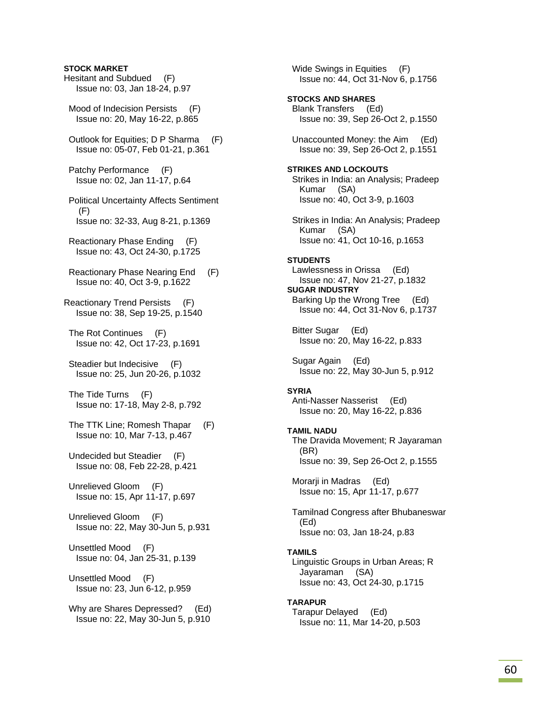# **STOCK MARKET** Hesitant and Subdued (F) Issue no: 03, Jan 18-24, p.97 Mood of Indecision Persists (F) Issue no: 20, May 16-22, p.865 Outlook for Equities; D P Sharma (F) Issue no: 05-07, Feb 01-21, p.361 Patchy Performance (F) Issue no: 02, Jan 11-17, p.64 Political Uncertainty Affects Sentiment (F) Issue no: 32-33, Aug 8-21, p.1369 Reactionary Phase Ending (F) Issue no: 43, Oct 24-30, p.1725 Reactionary Phase Nearing End (F) Issue no: 40, Oct 3-9, p.1622 Reactionary Trend Persists (F) Issue no: 38, Sep 19-25, p.1540 The Rot Continues (F) Issue no: 42, Oct 17-23, p.1691 Steadier but Indecisive (F) Issue no: 25, Jun 20-26, p.1032 The Tide Turns (F) Issue no: 17-18, May 2-8, p.792 The TTK Line; Romesh Thapar (F) Issue no: 10, Mar 7-13, p.467 Undecided but Steadier (F) Issue no: 08, Feb 22-28, p.421 Unrelieved Gloom (F) Issue no: 15, Apr 11-17, p.697 Unrelieved Gloom (F) Issue no: 22, May 30-Jun 5, p.931 Unsettled Mood (F) Issue no: 04, Jan 25-31, p.139 Unsettled Mood (F)

Issue no: 23, Jun 6-12, p.959

 Why are Shares Depressed? (Ed) Issue no: 22, May 30-Jun 5, p.910

Wide Swings in Equities (F) Issue no: 44, Oct 31-Nov 6, p.1756 **STOCKS AND SHARES**  Blank Transfers (Ed) Issue no: 39, Sep 26-Oct 2, p.1550 Unaccounted Money: the Aim (Ed) Issue no: 39, Sep 26-Oct 2, p.1551 **STRIKES AND LOCKOUTS**  Strikes in India: an Analysis; Pradeep Kumar (SA) Issue no: 40, Oct 3-9, p.1603 Strikes in India: An Analysis; Pradeep Kumar (SA) Issue no: 41, Oct 10-16, p.1653 **STUDENTS**  Lawlessness in Orissa (Ed) Issue no: 47, Nov 21-27, p.1832 **SUGAR INDUSTRY**  Barking Up the Wrong Tree (Ed) Issue no: 44, Oct 31-Nov 6, p.1737 Bitter Sugar (Ed) Issue no: 20, May 16-22, p.833 Sugar Again (Ed) Issue no: 22, May 30-Jun 5, p.912 **SYRIA**  Anti-Nasser Nasserist (Ed) Issue no: 20, May 16-22, p.836 **TAMIL NADU**  The Dravida Movement; R Jayaraman (BR) Issue no: 39, Sep 26-Oct 2, p.1555 Morarji in Madras (Ed) Issue no: 15, Apr 11-17, p.677 Tamilnad Congress after Bhubaneswar (Ed) Issue no: 03, Jan 18-24, p.83 **TAMILS**  Linguistic Groups in Urban Areas; R Jayaraman (SA) Issue no: 43, Oct 24-30, p.1715 **TARAPUR**  Tarapur Delayed (Ed) Issue no: 11, Mar 14-20, p.503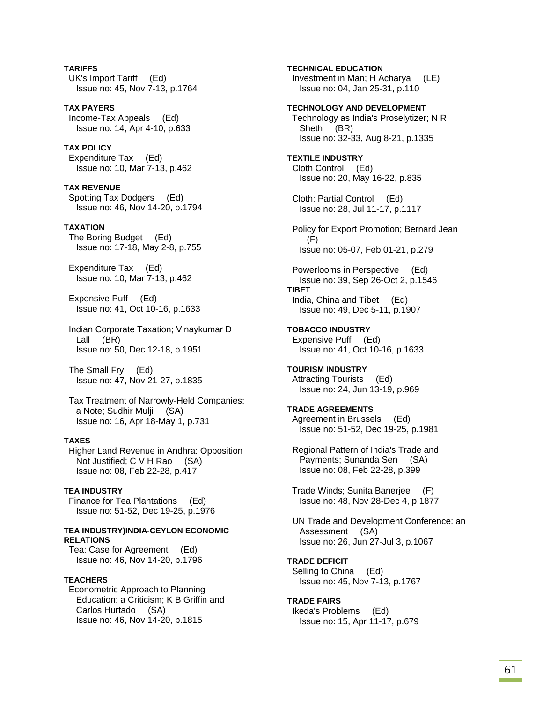**TARIFFS**  UK's Import Tariff (Ed) Issue no: 45, Nov 7-13, p.1764

**TAX PAYERS**  Income-Tax Appeals (Ed) Issue no: 14, Apr 4-10, p.633

**TAX POLICY**  Expenditure Tax (Ed) Issue no: 10, Mar 7-13, p.462

**TAX REVENUE**  Spotting Tax Dodgers (Ed) Issue no: 46, Nov 14-20, p.1794

#### **TAXATION**

 The Boring Budget (Ed) Issue no: 17-18, May 2-8, p.755

 Expenditure Tax (Ed) Issue no: 10, Mar 7-13, p.462

 Expensive Puff (Ed) Issue no: 41, Oct 10-16, p.1633

 Indian Corporate Taxation; Vinaykumar D Lall (BR) Issue no: 50, Dec 12-18, p.1951

 The Small Fry (Ed) Issue no: 47, Nov 21-27, p.1835

 Tax Treatment of Narrowly-Held Companies: a Note; Sudhir Mulji (SA) Issue no: 16, Apr 18-May 1, p.731

#### **TAXES**

 Higher Land Revenue in Andhra: Opposition Not Justified; C V H Rao (SA) Issue no: 08, Feb 22-28, p.417

**TEA INDUSTRY**  Finance for Tea Plantations (Ed) Issue no: 51-52, Dec 19-25, p.1976

#### **TEA INDUSTRY)INDIA-CEYLON ECONOMIC RELATIONS**

 Tea: Case for Agreement (Ed) Issue no: 46, Nov 14-20, p.1796

### **TEACHERS**

 Econometric Approach to Planning Education: a Criticism; K B Griffin and Carlos Hurtado (SA) Issue no: 46, Nov 14-20, p.1815

**TECHNICAL EDUCATION**  Investment in Man; H Acharya (LE) Issue no: 04, Jan 25-31, p.110 **TECHNOLOGY AND DEVELOPMENT**  Technology as India's Proselytizer; N R Sheth (BR) Issue no: 32-33, Aug 8-21, p.1335 **TEXTILE INDUSTRY**  Cloth Control (Ed) Issue no: 20, May 16-22, p.835 Cloth: Partial Control (Ed) Issue no: 28, Jul 11-17, p.1117 Policy for Export Promotion; Bernard Jean (F) Issue no: 05-07, Feb 01-21, p.279 Powerlooms in Perspective (Ed) Issue no: 39, Sep 26-Oct 2, p.1546 **TIBET**  India, China and Tibet (Ed) Issue no: 49, Dec 5-11, p.1907 **TOBACCO INDUSTRY**  Expensive Puff (Ed) Issue no: 41, Oct 10-16, p.1633 **TOURISM INDUSTRY**  Attracting Tourists (Ed) Issue no: 24, Jun 13-19, p.969 **TRADE AGREEMENTS**  Agreement in Brussels (Ed) Issue no: 51-52, Dec 19-25, p.1981 Regional Pattern of India's Trade and Payments; Sunanda Sen (SA) Issue no: 08, Feb 22-28, p.399 Trade Winds; Sunita Banerjee (F) Issue no: 48, Nov 28-Dec 4, p.1877

 UN Trade and Development Conference: an Assessment (SA) Issue no: 26, Jun 27-Jul 3, p.1067

### **TRADE DEFICIT**  Selling to China (Ed)

Issue no: 45, Nov 7-13, p.1767

### **TRADE FAIRS**

 Ikeda's Problems (Ed) Issue no: 15, Apr 11-17, p.679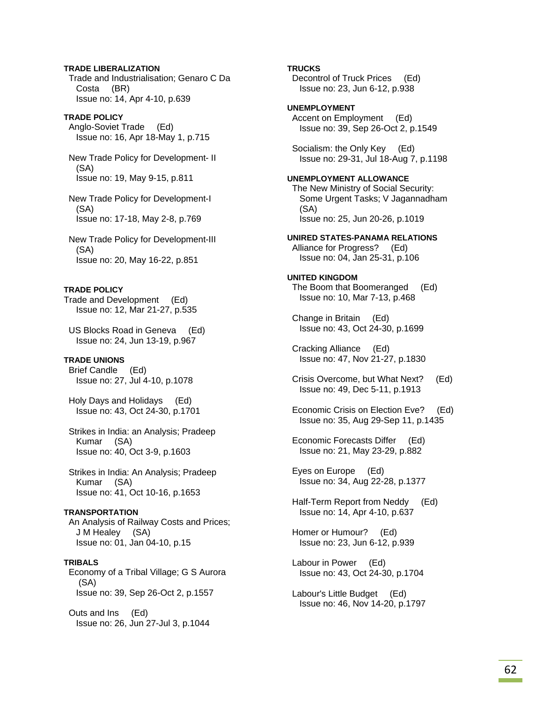### **TRADE LIBERALIZATION**  Trade and Industrialisation; Genaro C Da Costa (BR) Issue no: 14, Apr 4-10, p.639

### **TRADE POLICY**

 Anglo-Soviet Trade (Ed) Issue no: 16, Apr 18-May 1, p.715

 New Trade Policy for Development- II (SA) Issue no: 19, May 9-15, p.811

 New Trade Policy for Development-I (SA) Issue no: 17-18, May 2-8, p.769

 New Trade Policy for Development-III (SA) Issue no: 20, May 16-22, p.851

### **TRADE POLICY**

Trade and Development (Ed) Issue no: 12, Mar 21-27, p.535

 US Blocks Road in Geneva (Ed) Issue no: 24, Jun 13-19, p.967

### **TRADE UNIONS**

 Brief Candle (Ed) Issue no: 27, Jul 4-10, p.1078

 Holy Days and Holidays (Ed) Issue no: 43, Oct 24-30, p.1701

 Strikes in India: an Analysis; Pradeep Kumar (SA) Issue no: 40, Oct 3-9, p.1603

 Strikes in India: An Analysis; Pradeep Kumar (SA) Issue no: 41, Oct 10-16, p.1653

# **TRANSPORTATION**

 An Analysis of Railway Costs and Prices; J M Healey (SA) Issue no: 01, Jan 04-10, p.15

### **TRIBALS**

 Economy of a Tribal Village; G S Aurora (SA) Issue no: 39, Sep 26-Oct 2, p.1557

 Outs and Ins (Ed) Issue no: 26, Jun 27-Jul 3, p.1044

### **TRUCKS**

 Decontrol of Truck Prices (Ed) Issue no: 23, Jun 6-12, p.938

### **UNEMPLOYMENT**

 Accent on Employment (Ed) Issue no: 39, Sep 26-Oct 2, p.1549

 Socialism: the Only Key (Ed) Issue no: 29-31, Jul 18-Aug 7, p.1198

# **UNEMPLOYMENT ALLOWANCE**

 The New Ministry of Social Security: Some Urgent Tasks; V Jagannadham (SA) Issue no: 25, Jun 20-26, p.1019

**UNIRED STATES-PANAMA RELATIONS**  Alliance for Progress? (Ed) Issue no: 04, Jan 25-31, p.106

### **UNITED KINGDOM**

 The Boom that Boomeranged (Ed) Issue no: 10, Mar 7-13, p.468

 Change in Britain (Ed) Issue no: 43, Oct 24-30, p.1699

 Cracking Alliance (Ed) Issue no: 47, Nov 21-27, p.1830

 Crisis Overcome, but What Next? (Ed) Issue no: 49, Dec 5-11, p.1913

 Economic Crisis on Election Eve? (Ed) Issue no: 35, Aug 29-Sep 11, p.1435

 Economic Forecasts Differ (Ed) Issue no: 21, May 23-29, p.882

 Eyes on Europe (Ed) Issue no: 34, Aug 22-28, p.1377

 Half-Term Report from Neddy (Ed) Issue no: 14, Apr 4-10, p.637

 Homer or Humour? (Ed) Issue no: 23, Jun 6-12, p.939

 Labour in Power (Ed) Issue no: 43, Oct 24-30, p.1704

 Labour's Little Budget (Ed) Issue no: 46, Nov 14-20, p.1797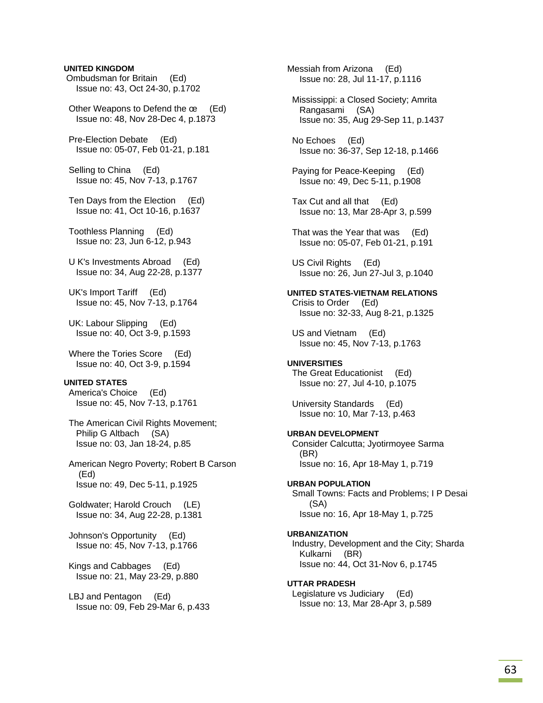### **UNITED KINGDOM**

 Ombudsman for Britain (Ed) Issue no: 43, Oct 24-30, p.1702

 Other Weapons to Defend the œ (Ed) Issue no: 48, Nov 28-Dec 4, p.1873

 Pre-Election Debate (Ed) Issue no: 05-07, Feb 01-21, p.181

 Selling to China (Ed) Issue no: 45, Nov 7-13, p.1767

 Ten Days from the Election (Ed) Issue no: 41, Oct 10-16, p.1637

 Toothless Planning (Ed) Issue no: 23, Jun 6-12, p.943

 U K's Investments Abroad (Ed) Issue no: 34, Aug 22-28, p.1377

 UK's Import Tariff (Ed) Issue no: 45, Nov 7-13, p.1764

 UK: Labour Slipping (Ed) Issue no: 40, Oct 3-9, p.1593

 Where the Tories Score (Ed) Issue no: 40, Oct 3-9, p.1594

### **UNITED STATES**

 America's Choice (Ed) Issue no: 45, Nov 7-13, p.1761

 The American Civil Rights Movement; Philip G Altbach (SA) Issue no: 03, Jan 18-24, p.85

 American Negro Poverty; Robert B Carson (Ed) Issue no: 49, Dec 5-11, p.1925

 Goldwater; Harold Crouch (LE) Issue no: 34, Aug 22-28, p.1381

 Johnson's Opportunity (Ed) Issue no: 45, Nov 7-13, p.1766

 Kings and Cabbages (Ed) Issue no: 21, May 23-29, p.880

 LBJ and Pentagon (Ed) Issue no: 09, Feb 29-Mar 6, p.433 Messiah from Arizona (Ed) Issue no: 28, Jul 11-17, p.1116 Mississippi: a Closed Society; Amrita Rangasami (SA) Issue no: 35, Aug 29-Sep 11, p.1437 No Echoes (Ed) Issue no: 36-37, Sep 12-18, p.1466 Paying for Peace-Keeping (Ed) Issue no: 49, Dec 5-11, p.1908 Tax Cut and all that (Ed) Issue no: 13, Mar 28-Apr 3, p.599 That was the Year that was (Ed) Issue no: 05-07, Feb 01-21, p.191 US Civil Rights (Ed) Issue no: 26, Jun 27-Jul 3, p.1040 **UNITED STATES-VIETNAM RELATIONS**  Crisis to Order (Ed) Issue no: 32-33, Aug 8-21, p.1325 US and Vietnam (Ed) Issue no: 45, Nov 7-13, p.1763 **UNIVERSITIES**  The Great Educationist (Ed) Issue no: 27, Jul 4-10, p.1075 University Standards (Ed) Issue no: 10, Mar 7-13, p.463 **URBAN DEVELOPMENT**  Consider Calcutta; Jyotirmoyee Sarma (BR) Issue no: 16, Apr 18-May 1, p.719 **URBAN POPULATION**  Small Towns: Facts and Problems; I P Desai (SA) Issue no: 16, Apr 18-May 1, p.725 **URBANIZATION**  Industry, Development and the City; Sharda Kulkarni (BR) Issue no: 44, Oct 31-Nov 6, p.1745 **UTTAR PRADESH**  Legislature vs Judiciary (Ed) Issue no: 13, Mar 28-Apr 3, p.589